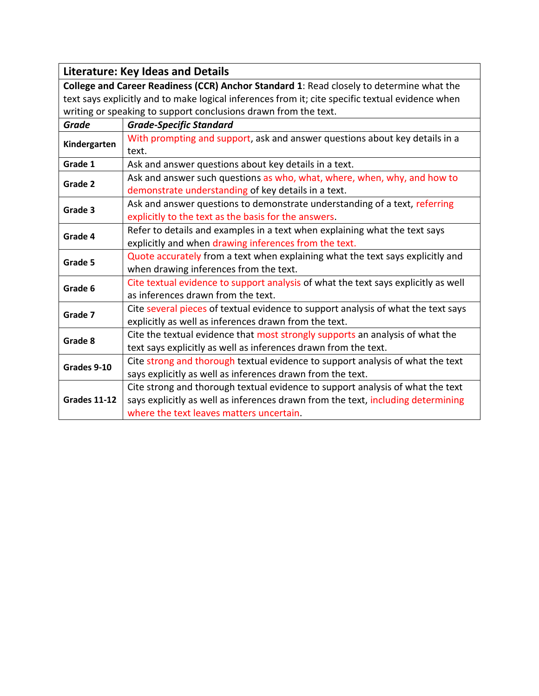|                                                                                                  | <b>Literature: Key Ideas and Details</b>                                           |
|--------------------------------------------------------------------------------------------------|------------------------------------------------------------------------------------|
| College and Career Readiness (CCR) Anchor Standard 1: Read closely to determine what the         |                                                                                    |
| text says explicitly and to make logical inferences from it; cite specific textual evidence when |                                                                                    |
|                                                                                                  | writing or speaking to support conclusions drawn from the text.                    |
| <b>Grade</b>                                                                                     | <b>Grade-Specific Standard</b>                                                     |
|                                                                                                  | With prompting and support, ask and answer questions about key details in a        |
| Kindergarten                                                                                     | text.                                                                              |
| Grade 1                                                                                          | Ask and answer questions about key details in a text.                              |
| Grade 2                                                                                          | Ask and answer such questions as who, what, where, when, why, and how to           |
|                                                                                                  | demonstrate understanding of key details in a text.                                |
| Grade 3                                                                                          | Ask and answer questions to demonstrate understanding of a text, referring         |
|                                                                                                  | explicitly to the text as the basis for the answers.                               |
| Grade 4                                                                                          | Refer to details and examples in a text when explaining what the text says         |
|                                                                                                  | explicitly and when drawing inferences from the text.                              |
| Grade 5                                                                                          | Quote accurately from a text when explaining what the text says explicitly and     |
|                                                                                                  | when drawing inferences from the text.                                             |
|                                                                                                  | Cite textual evidence to support analysis of what the text says explicitly as well |
| Grade 6                                                                                          | as inferences drawn from the text.                                                 |
|                                                                                                  | Cite several pieces of textual evidence to support analysis of what the text says  |
| Grade 7                                                                                          | explicitly as well as inferences drawn from the text.                              |
| Grade 8                                                                                          | Cite the textual evidence that most strongly supports an analysis of what the      |
|                                                                                                  | text says explicitly as well as inferences drawn from the text.                    |
| Grades 9-10                                                                                      | Cite strong and thorough textual evidence to support analysis of what the text     |
|                                                                                                  | says explicitly as well as inferences drawn from the text.                         |
|                                                                                                  | Cite strong and thorough textual evidence to support analysis of what the text     |
| <b>Grades 11-12</b>                                                                              | says explicitly as well as inferences drawn from the text, including determining   |
|                                                                                                  | where the text leaves matters uncertain.                                           |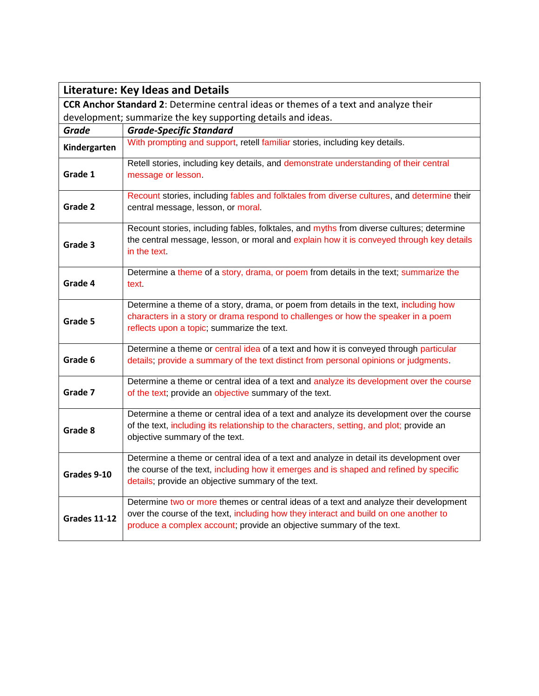| <b>Literature: Key Ideas and Details</b>                                             |                                                                                                                                                                                                                                                       |
|--------------------------------------------------------------------------------------|-------------------------------------------------------------------------------------------------------------------------------------------------------------------------------------------------------------------------------------------------------|
| CCR Anchor Standard 2: Determine central ideas or themes of a text and analyze their |                                                                                                                                                                                                                                                       |
| development; summarize the key supporting details and ideas.                         |                                                                                                                                                                                                                                                       |
| Grade                                                                                | <b>Grade-Specific Standard</b>                                                                                                                                                                                                                        |
| Kindergarten                                                                         | With prompting and support, retell familiar stories, including key details.                                                                                                                                                                           |
| Grade 1                                                                              | Retell stories, including key details, and demonstrate understanding of their central<br>message or lesson.                                                                                                                                           |
| Grade 2                                                                              | Recount stories, including fables and folktales from diverse cultures, and determine their<br>central message, lesson, or moral.                                                                                                                      |
| Grade 3                                                                              | Recount stories, including fables, folktales, and myths from diverse cultures; determine<br>the central message, lesson, or moral and explain how it is conveyed through key details<br>in the text                                                   |
| Grade 4                                                                              | Determine a theme of a story, drama, or poem from details in the text; summarize the<br>text.                                                                                                                                                         |
| Grade 5                                                                              | Determine a theme of a story, drama, or poem from details in the text, including how<br>characters in a story or drama respond to challenges or how the speaker in a poem<br>reflects upon a topic; summarize the text.                               |
| Grade 6                                                                              | Determine a theme or central idea of a text and how it is conveyed through particular<br>details; provide a summary of the text distinct from personal opinions or judgments.                                                                         |
| Grade 7                                                                              | Determine a theme or central idea of a text and analyze its development over the course<br>of the text; provide an objective summary of the text.                                                                                                     |
| Grade 8                                                                              | Determine a theme or central idea of a text and analyze its development over the course<br>of the text, including its relationship to the characters, setting, and plot; provide an<br>objective summary of the text.                                 |
| Grades 9-10                                                                          | Determine a theme or central idea of a text and analyze in detail its development over<br>the course of the text, including how it emerges and is shaped and refined by specific<br>details; provide an objective summary of the text.                |
| <b>Grades 11-12</b>                                                                  | Determine two or more themes or central ideas of a text and analyze their development<br>over the course of the text, including how they interact and build on one another to<br>produce a complex account; provide an objective summary of the text. |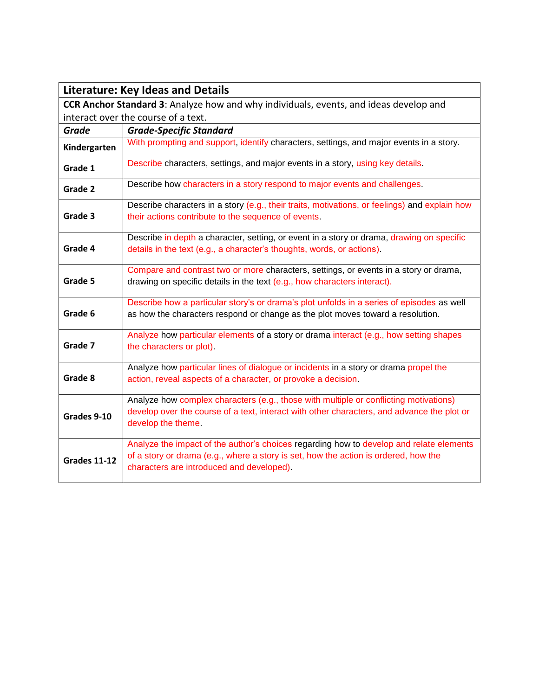|                                                                                              | <b>Literature: Key Ideas and Details</b>                                                      |
|----------------------------------------------------------------------------------------------|-----------------------------------------------------------------------------------------------|
| <b>CCR Anchor Standard 3:</b> Analyze how and why individuals, events, and ideas develop and |                                                                                               |
| interact over the course of a text.                                                          |                                                                                               |
| Grade                                                                                        | <b>Grade-Specific Standard</b>                                                                |
| Kindergarten                                                                                 | With prompting and support, identify characters, settings, and major events in a story.       |
| Grade 1                                                                                      | Describe characters, settings, and major events in a story, using key details.                |
| Grade 2                                                                                      | Describe how characters in a story respond to major events and challenges.                    |
|                                                                                              | Describe characters in a story (e.g., their traits, motivations, or feelings) and explain how |
| Grade 3                                                                                      | their actions contribute to the sequence of events.                                           |
|                                                                                              | Describe in depth a character, setting, or event in a story or drama, drawing on specific     |
| Grade 4                                                                                      | details in the text (e.g., a character's thoughts, words, or actions).                        |
|                                                                                              | Compare and contrast two or more characters, settings, or events in a story or drama,         |
| Grade 5                                                                                      | drawing on specific details in the text (e.g., how characters interact).                      |
|                                                                                              | Describe how a particular story's or drama's plot unfolds in a series of episodes as well     |
| Grade 6                                                                                      | as how the characters respond or change as the plot moves toward a resolution.                |
|                                                                                              | Analyze how particular elements of a story or drama interact (e.g., how setting shapes        |
| Grade 7                                                                                      | the characters or plot).                                                                      |
|                                                                                              | Analyze how particular lines of dialogue or incidents in a story or drama propel the          |
| Grade 8                                                                                      | action, reveal aspects of a character, or provoke a decision.                                 |
|                                                                                              | Analyze how complex characters (e.g., those with multiple or conflicting motivations)         |
| Grades 9-10                                                                                  | develop over the course of a text, interact with other characters, and advance the plot or    |
|                                                                                              | develop the theme.                                                                            |
|                                                                                              | Analyze the impact of the author's choices regarding how to develop and relate elements       |
| <b>Grades 11-12</b>                                                                          | of a story or drama (e.g., where a story is set, how the action is ordered, how the           |
|                                                                                              | characters are introduced and developed).                                                     |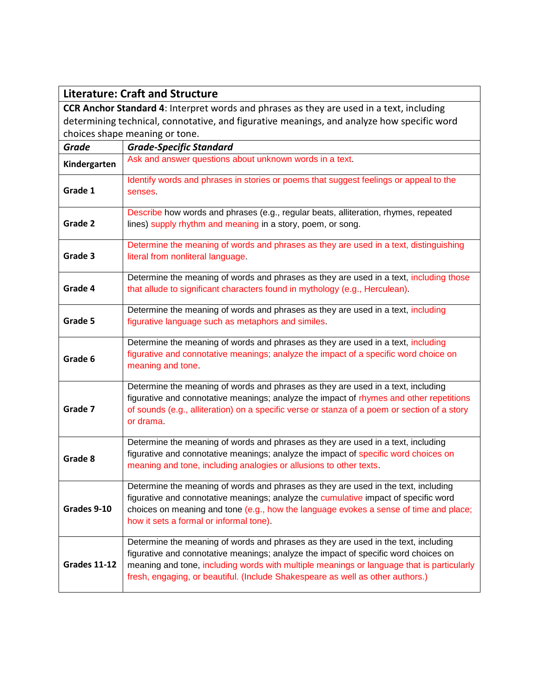|                                                                                                 | <b>Literature: Craft and Structure</b>                                                                                                                                                                                                                                                                                                                   |
|-------------------------------------------------------------------------------------------------|----------------------------------------------------------------------------------------------------------------------------------------------------------------------------------------------------------------------------------------------------------------------------------------------------------------------------------------------------------|
| <b>CCR Anchor Standard 4:</b> Interpret words and phrases as they are used in a text, including |                                                                                                                                                                                                                                                                                                                                                          |
| determining technical, connotative, and figurative meanings, and analyze how specific word      |                                                                                                                                                                                                                                                                                                                                                          |
|                                                                                                 | choices shape meaning or tone.                                                                                                                                                                                                                                                                                                                           |
| <b>Grade</b>                                                                                    | <b>Grade-Specific Standard</b>                                                                                                                                                                                                                                                                                                                           |
| Kindergarten                                                                                    | Ask and answer questions about unknown words in a text.                                                                                                                                                                                                                                                                                                  |
| Grade 1                                                                                         | Identify words and phrases in stories or poems that suggest feelings or appeal to the<br>senses                                                                                                                                                                                                                                                          |
| Grade 2                                                                                         | Describe how words and phrases (e.g., regular beats, alliteration, rhymes, repeated<br>lines) supply rhythm and meaning in a story, poem, or song.                                                                                                                                                                                                       |
| Grade 3                                                                                         | Determine the meaning of words and phrases as they are used in a text, distinguishing<br>literal from nonliteral language.                                                                                                                                                                                                                               |
| Grade 4                                                                                         | Determine the meaning of words and phrases as they are used in a text, including those<br>that allude to significant characters found in mythology (e.g., Herculean).                                                                                                                                                                                    |
| Grade 5                                                                                         | Determine the meaning of words and phrases as they are used in a text, including<br>figurative language such as metaphors and similes.                                                                                                                                                                                                                   |
| Grade 6                                                                                         | Determine the meaning of words and phrases as they are used in a text, including<br>figurative and connotative meanings; analyze the impact of a specific word choice on<br>meaning and tone.                                                                                                                                                            |
| Grade 7                                                                                         | Determine the meaning of words and phrases as they are used in a text, including<br>figurative and connotative meanings; analyze the impact of rhymes and other repetitions<br>of sounds (e.g., alliteration) on a specific verse or stanza of a poem or section of a story<br>or drama.                                                                 |
| Grade 8                                                                                         | Determine the meaning of words and phrases as they are used in a text, including<br>figurative and connotative meanings; analyze the impact of specific word choices on<br>meaning and tone, including analogies or allusions to other texts.                                                                                                            |
| Grades 9-10                                                                                     | Determine the meaning of words and phrases as they are used in the text, including<br>figurative and connotative meanings; analyze the cumulative impact of specific word<br>choices on meaning and tone (e.g., how the language evokes a sense of time and place;<br>how it sets a formal or informal tone).                                            |
| Grades 11-12                                                                                    | Determine the meaning of words and phrases as they are used in the text, including<br>figurative and connotative meanings; analyze the impact of specific word choices on<br>meaning and tone, including words with multiple meanings or language that is particularly<br>fresh, engaging, or beautiful. (Include Shakespeare as well as other authors.) |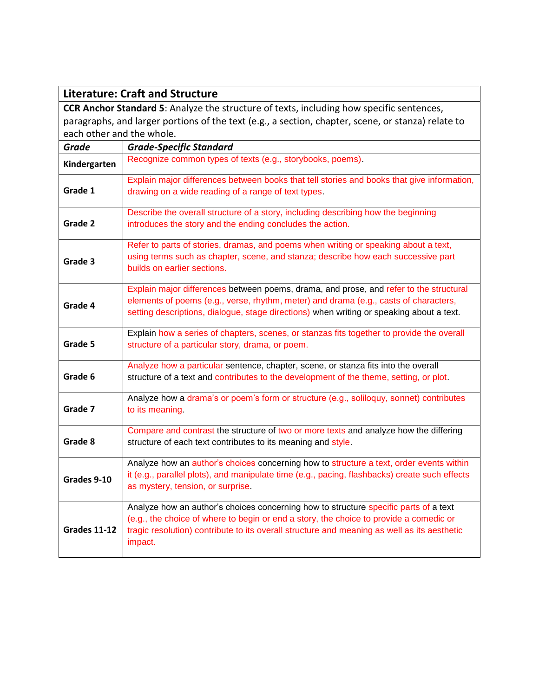|                                                                                                    | <b>Literature: Craft and Structure</b>                                                                                                                                                                                                                                                   |  |
|----------------------------------------------------------------------------------------------------|------------------------------------------------------------------------------------------------------------------------------------------------------------------------------------------------------------------------------------------------------------------------------------------|--|
|                                                                                                    | <b>CCR Anchor Standard 5:</b> Analyze the structure of texts, including how specific sentences,                                                                                                                                                                                          |  |
| paragraphs, and larger portions of the text (e.g., a section, chapter, scene, or stanza) relate to |                                                                                                                                                                                                                                                                                          |  |
| each other and the whole.                                                                          |                                                                                                                                                                                                                                                                                          |  |
| <b>Grade</b>                                                                                       | <b>Grade-Specific Standard</b>                                                                                                                                                                                                                                                           |  |
| Kindergarten                                                                                       | Recognize common types of texts (e.g., storybooks, poems).                                                                                                                                                                                                                               |  |
| Grade 1                                                                                            | Explain major differences between books that tell stories and books that give information,<br>drawing on a wide reading of a range of text types.                                                                                                                                        |  |
| Grade 2                                                                                            | Describe the overall structure of a story, including describing how the beginning<br>introduces the story and the ending concludes the action.                                                                                                                                           |  |
| Grade 3                                                                                            | Refer to parts of stories, dramas, and poems when writing or speaking about a text,<br>using terms such as chapter, scene, and stanza; describe how each successive part<br>builds on earlier sections.                                                                                  |  |
| Grade 4                                                                                            | Explain major differences between poems, drama, and prose, and refer to the structural<br>elements of poems (e.g., verse, rhythm, meter) and drama (e.g., casts of characters,<br>setting descriptions, dialogue, stage directions) when writing or speaking about a text.               |  |
| Grade 5                                                                                            | Explain how a series of chapters, scenes, or stanzas fits together to provide the overall<br>structure of a particular story, drama, or poem.                                                                                                                                            |  |
| Grade 6                                                                                            | Analyze how a particular sentence, chapter, scene, or stanza fits into the overall<br>structure of a text and contributes to the development of the theme, setting, or plot.                                                                                                             |  |
| Grade 7                                                                                            | Analyze how a drama's or poem's form or structure (e.g., soliloquy, sonnet) contributes<br>to its meaning.                                                                                                                                                                               |  |
| Grade 8                                                                                            | Compare and contrast the structure of two or more texts and analyze how the differing<br>structure of each text contributes to its meaning and style.                                                                                                                                    |  |
| Grades 9-10                                                                                        | Analyze how an author's choices concerning how to structure a text, order events within<br>it (e.g., parallel plots), and manipulate time (e.g., pacing, flashbacks) create such effects<br>as mystery, tension, or surprise.                                                            |  |
| <b>Grades 11-12</b>                                                                                | Analyze how an author's choices concerning how to structure specific parts of a text<br>(e.g., the choice of where to begin or end a story, the choice to provide a comedic or<br>tragic resolution) contribute to its overall structure and meaning as well as its aesthetic<br>impact. |  |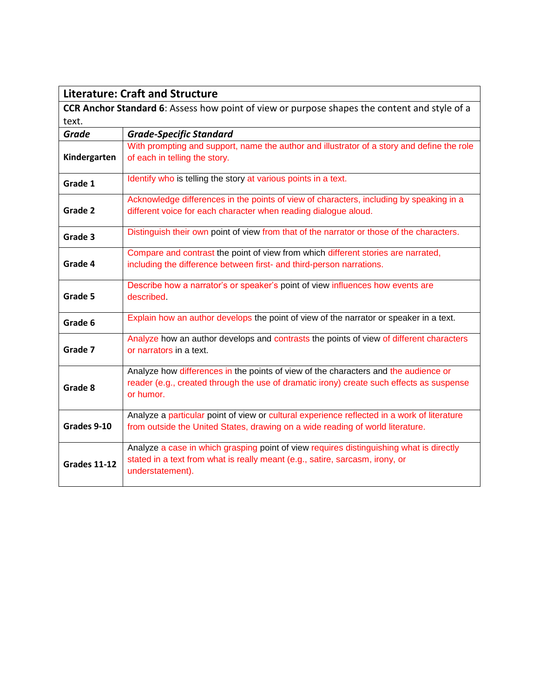| <b>Literature: Craft and Structure</b>                                                       |                                                                                                                                                                                              |
|----------------------------------------------------------------------------------------------|----------------------------------------------------------------------------------------------------------------------------------------------------------------------------------------------|
| CCR Anchor Standard 6: Assess how point of view or purpose shapes the content and style of a |                                                                                                                                                                                              |
| text.                                                                                        |                                                                                                                                                                                              |
| Grade                                                                                        | <b>Grade-Specific Standard</b>                                                                                                                                                               |
| Kindergarten                                                                                 | With prompting and support, name the author and illustrator of a story and define the role<br>of each in telling the story.                                                                  |
| Grade 1                                                                                      | Identify who is telling the story at various points in a text.                                                                                                                               |
| Grade 2                                                                                      | Acknowledge differences in the points of view of characters, including by speaking in a<br>different voice for each character when reading dialogue aloud.                                   |
|                                                                                              |                                                                                                                                                                                              |
| Grade 3                                                                                      | Distinguish their own point of view from that of the narrator or those of the characters.                                                                                                    |
| Grade 4                                                                                      | Compare and contrast the point of view from which different stories are narrated,<br>including the difference between first- and third-person narrations.                                    |
| Grade 5                                                                                      | Describe how a narrator's or speaker's point of view influences how events are<br>described                                                                                                  |
| Grade 6                                                                                      | Explain how an author develops the point of view of the narrator or speaker in a text.                                                                                                       |
| Grade 7                                                                                      | Analyze how an author develops and contrasts the points of view of different characters<br>or narrators in a text.                                                                           |
| Grade 8                                                                                      | Analyze how differences in the points of view of the characters and the audience or<br>reader (e.g., created through the use of dramatic irony) create such effects as suspense<br>or humor. |
| Grades 9-10                                                                                  | Analyze a particular point of view or cultural experience reflected in a work of literature<br>from outside the United States, drawing on a wide reading of world literature.                |
| <b>Grades 11-12</b>                                                                          | Analyze a case in which grasping point of view requires distinguishing what is directly<br>stated in a text from what is really meant (e.g., satire, sarcasm, irony, or<br>understatement).  |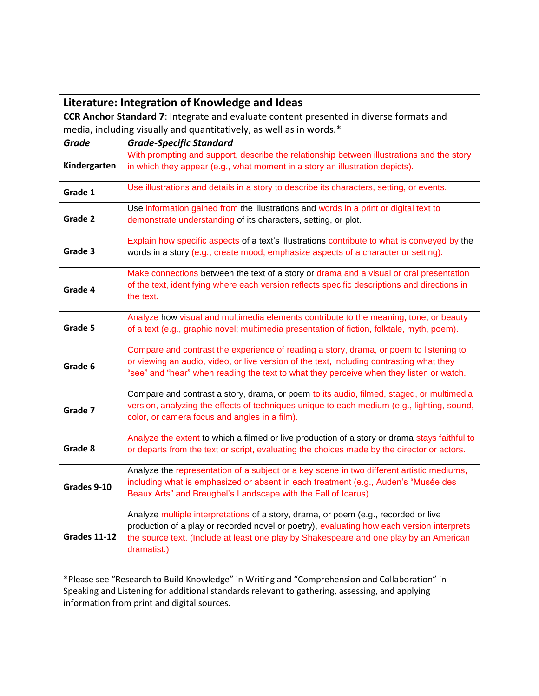| Literature: Integration of Knowledge and Ideas                                                |                                                                                                                                                                                                                                                                                           |
|-----------------------------------------------------------------------------------------------|-------------------------------------------------------------------------------------------------------------------------------------------------------------------------------------------------------------------------------------------------------------------------------------------|
| <b>CCR Anchor Standard 7:</b> Integrate and evaluate content presented in diverse formats and |                                                                                                                                                                                                                                                                                           |
| media, including visually and quantitatively, as well as in words.*                           |                                                                                                                                                                                                                                                                                           |
| <b>Grade</b>                                                                                  | <b>Grade-Specific Standard</b>                                                                                                                                                                                                                                                            |
| Kindergarten                                                                                  | With prompting and support, describe the relationship between illustrations and the story<br>in which they appear (e.g., what moment in a story an illustration depicts).                                                                                                                 |
| Grade 1                                                                                       | Use illustrations and details in a story to describe its characters, setting, or events.                                                                                                                                                                                                  |
| Grade 2                                                                                       | Use information gained from the illustrations and words in a print or digital text to<br>demonstrate understanding of its characters, setting, or plot.                                                                                                                                   |
| Grade 3                                                                                       | Explain how specific aspects of a text's illustrations contribute to what is conveyed by the<br>words in a story (e.g., create mood, emphasize aspects of a character or setting).                                                                                                        |
| Grade 4                                                                                       | Make connections between the text of a story or drama and a visual or oral presentation<br>of the text, identifying where each version reflects specific descriptions and directions in<br>the text.                                                                                      |
| Grade 5                                                                                       | Analyze how visual and multimedia elements contribute to the meaning, tone, or beauty<br>of a text (e.g., graphic novel; multimedia presentation of fiction, folktale, myth, poem).                                                                                                       |
| Grade 6                                                                                       | Compare and contrast the experience of reading a story, drama, or poem to listening to<br>or viewing an audio, video, or live version of the text, including contrasting what they<br>"see" and "hear" when reading the text to what they perceive when they listen or watch.             |
| Grade 7                                                                                       | Compare and contrast a story, drama, or poem to its audio, filmed, staged, or multimedia<br>version, analyzing the effects of techniques unique to each medium (e.g., lighting, sound,<br>color, or camera focus and angles in a film).                                                   |
| Grade 8                                                                                       | Analyze the extent to which a filmed or live production of a story or drama stays faithful to<br>or departs from the text or script, evaluating the choices made by the director or actors.                                                                                               |
| Grades 9-10                                                                                   | Analyze the representation of a subject or a key scene in two different artistic mediums,<br>including what is emphasized or absent in each treatment (e.g., Auden's "Musée des<br>Beaux Arts" and Breughel's Landscape with the Fall of Icarus).                                         |
| <b>Grades 11-12</b>                                                                           | Analyze multiple interpretations of a story, drama, or poem (e.g., recorded or live<br>production of a play or recorded novel or poetry), evaluating how each version interprets<br>the source text. (Include at least one play by Shakespeare and one play by an American<br>dramatist.) |

\*Please see "Research to Build Knowledge" in Writing and "Comprehension and Collaboration" in Speaking and Listening for additional standards relevant to gathering, assessing, and applying information from print and digital sources.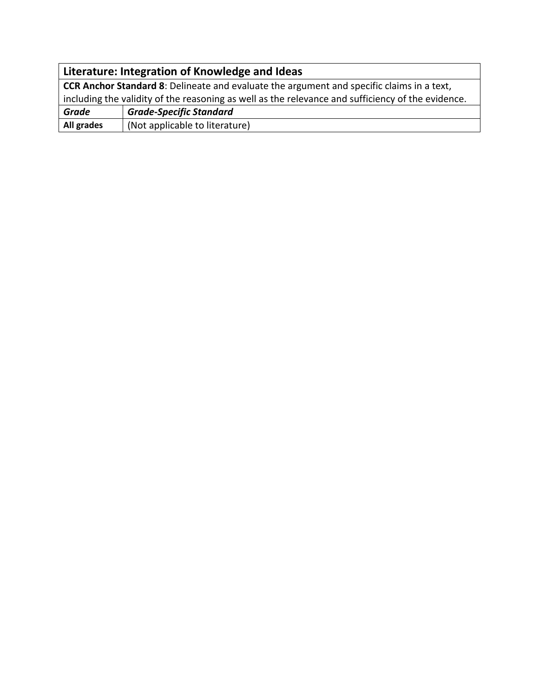| Literature: Integration of Knowledge and Ideas                                                    |                                |
|---------------------------------------------------------------------------------------------------|--------------------------------|
| <b>CCR Anchor Standard 8:</b> Delineate and evaluate the argument and specific claims in a text,  |                                |
| including the validity of the reasoning as well as the relevance and sufficiency of the evidence. |                                |
| <b>Grade</b>                                                                                      | <b>Grade-Specific Standard</b> |
| All grades                                                                                        | (Not applicable to literature) |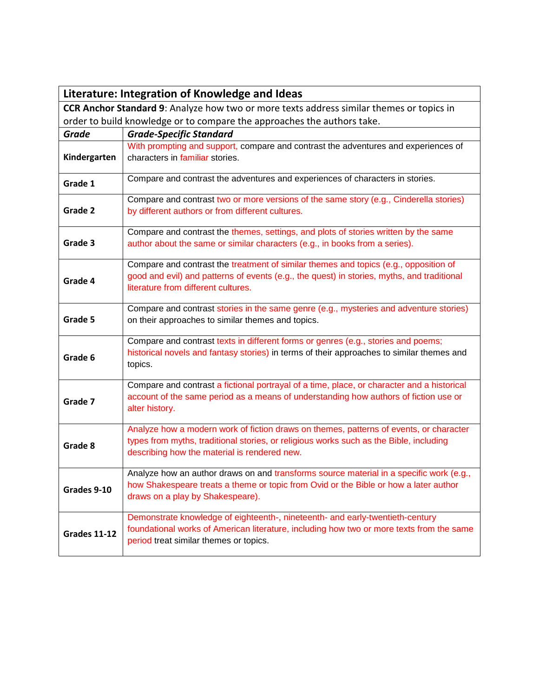|                                                                                                 | Literature: Integration of Knowledge and Ideas                                                                                                                                                                                   |
|-------------------------------------------------------------------------------------------------|----------------------------------------------------------------------------------------------------------------------------------------------------------------------------------------------------------------------------------|
| <b>CCR Anchor Standard 9:</b> Analyze how two or more texts address similar themes or topics in |                                                                                                                                                                                                                                  |
| order to build knowledge or to compare the approaches the authors take.                         |                                                                                                                                                                                                                                  |
| <b>Grade</b>                                                                                    | <b>Grade-Specific Standard</b>                                                                                                                                                                                                   |
| Kindergarten                                                                                    | With prompting and support, compare and contrast the adventures and experiences of<br>characters in familiar stories.                                                                                                            |
| Grade 1                                                                                         | Compare and contrast the adventures and experiences of characters in stories.                                                                                                                                                    |
| Grade 2                                                                                         | Compare and contrast two or more versions of the same story (e.g., Cinderella stories)<br>by different authors or from different cultures.                                                                                       |
| Grade 3                                                                                         | Compare and contrast the themes, settings, and plots of stories written by the same<br>author about the same or similar characters (e.g., in books from a series).                                                               |
| Grade 4                                                                                         | Compare and contrast the treatment of similar themes and topics (e.g., opposition of<br>good and evil) and patterns of events (e.g., the quest) in stories, myths, and traditional<br>literature from different cultures.        |
| Grade 5                                                                                         | Compare and contrast stories in the same genre (e.g., mysteries and adventure stories)<br>on their approaches to similar themes and topics.                                                                                      |
| Grade 6                                                                                         | Compare and contrast texts in different forms or genres (e.g., stories and poems;<br>historical novels and fantasy stories) in terms of their approaches to similar themes and<br>topics.                                        |
| Grade 7                                                                                         | Compare and contrast a fictional portrayal of a time, place, or character and a historical<br>account of the same period as a means of understanding how authors of fiction use or<br>alter history.                             |
| Grade 8                                                                                         | Analyze how a modern work of fiction draws on themes, patterns of events, or character<br>types from myths, traditional stories, or religious works such as the Bible, including<br>describing how the material is rendered new. |
| Grades 9-10                                                                                     | Analyze how an author draws on and transforms source material in a specific work (e.g.,<br>how Shakespeare treats a theme or topic from Ovid or the Bible or how a later author<br>draws on a play by Shakespeare).              |
| <b>Grades 11-12</b>                                                                             | Demonstrate knowledge of eighteenth-, nineteenth- and early-twentieth-century<br>foundational works of American literature, including how two or more texts from the same<br>period treat similar themes or topics.              |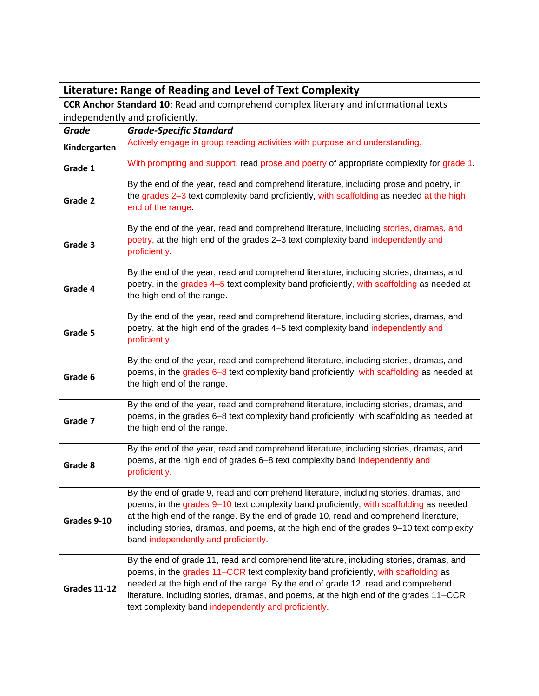| Literature: Range of Reading and Level of Text Complexity                            |                                                                                                                                                                                                                                                                                                                                                                                                                    |
|--------------------------------------------------------------------------------------|--------------------------------------------------------------------------------------------------------------------------------------------------------------------------------------------------------------------------------------------------------------------------------------------------------------------------------------------------------------------------------------------------------------------|
| CCR Anchor Standard 10: Read and comprehend complex literary and informational texts |                                                                                                                                                                                                                                                                                                                                                                                                                    |
| independently and proficiently.                                                      |                                                                                                                                                                                                                                                                                                                                                                                                                    |
| <b>Grade</b>                                                                         | <b>Grade-Specific Standard</b>                                                                                                                                                                                                                                                                                                                                                                                     |
| Kindergarten                                                                         | Actively engage in group reading activities with purpose and understanding.                                                                                                                                                                                                                                                                                                                                        |
| Grade 1                                                                              | With prompting and support, read prose and poetry of appropriate complexity for grade 1.                                                                                                                                                                                                                                                                                                                           |
| Grade 2                                                                              | By the end of the year, read and comprehend literature, including prose and poetry, in<br>the grades 2-3 text complexity band proficiently, with scaffolding as needed at the high<br>end of the range.                                                                                                                                                                                                            |
| Grade 3                                                                              | By the end of the year, read and comprehend literature, including stories, dramas, and<br>poetry, at the high end of the grades 2-3 text complexity band independently and<br>proficiently.                                                                                                                                                                                                                        |
| Grade 4                                                                              | By the end of the year, read and comprehend literature, including stories, dramas, and<br>poetry, in the grades 4-5 text complexity band proficiently, with scaffolding as needed at<br>the high end of the range.                                                                                                                                                                                                 |
| Grade 5                                                                              | By the end of the year, read and comprehend literature, including stories, dramas, and<br>poetry, at the high end of the grades 4–5 text complexity band independently and<br>proficiently                                                                                                                                                                                                                         |
| Grade 6                                                                              | By the end of the year, read and comprehend literature, including stories, dramas, and<br>poems, in the grades 6-8 text complexity band proficiently, with scaffolding as needed at<br>the high end of the range.                                                                                                                                                                                                  |
| Grade 7                                                                              | By the end of the year, read and comprehend literature, including stories, dramas, and<br>poems, in the grades 6–8 text complexity band proficiently, with scaffolding as needed at<br>the high end of the range.                                                                                                                                                                                                  |
| Grade 8                                                                              | By the end of the year, read and comprehend literature, including stories, dramas, and<br>poems, at the high end of grades 6-8 text complexity band independently and<br>proficiently.                                                                                                                                                                                                                             |
| Grades 9-10                                                                          | By the end of grade 9, read and comprehend literature, including stories, dramas, and<br>poems, in the grades 9–10 text complexity band proficiently, with scaffolding as needed<br>at the high end of the range. By the end of grade 10, read and comprehend literature,<br>including stories, dramas, and poems, at the high end of the grades 9-10 text complexity<br>band independently and proficiently.      |
| <b>Grades 11-12</b>                                                                  | By the end of grade 11, read and comprehend literature, including stories, dramas, and<br>poems, in the grades 11–CCR text complexity band proficiently, with scaffolding as<br>needed at the high end of the range. By the end of grade 12, read and comprehend<br>literature, including stories, dramas, and poems, at the high end of the grades 11–CCR<br>text complexity band independently and proficiently. |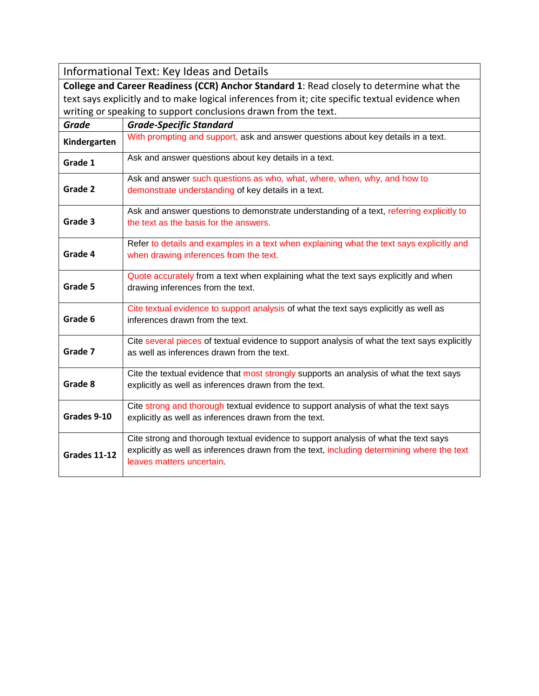Informational Text: Key Ideas and Details

**College and Career Readiness (CCR) Anchor Standard 1**: Read closely to determine what the text says explicitly and to make logical inferences from it; cite specific textual evidence when writing or speaking to support conclusions drawn from the text.

| <b>Grade</b>        | <b>Grade-Specific Standard</b>                                                                                                                                                                                 |
|---------------------|----------------------------------------------------------------------------------------------------------------------------------------------------------------------------------------------------------------|
| Kindergarten        | With prompting and support, ask and answer questions about key details in a text.                                                                                                                              |
| Grade 1             | Ask and answer questions about key details in a text.                                                                                                                                                          |
| Grade 2             | Ask and answer such questions as who, what, where, when, why, and how to<br>demonstrate understanding of key details in a text.                                                                                |
| Grade 3             | Ask and answer questions to demonstrate understanding of a text, referring explicitly to<br>the text as the basis for the answers.                                                                             |
| Grade 4             | Refer to details and examples in a text when explaining what the text says explicitly and<br>when drawing inferences from the text.                                                                            |
| Grade 5             | Quote accurately from a text when explaining what the text says explicitly and when<br>drawing inferences from the text.                                                                                       |
| Grade 6             | Cite textual evidence to support analysis of what the text says explicitly as well as<br>inferences drawn from the text.                                                                                       |
| Grade 7             | Cite several pieces of textual evidence to support analysis of what the text says explicitly<br>as well as inferences drawn from the text.                                                                     |
| Grade 8             | Cite the textual evidence that most strongly supports an analysis of what the text says<br>explicitly as well as inferences drawn from the text.                                                               |
| Grades 9-10         | Cite strong and thorough textual evidence to support analysis of what the text says<br>explicitly as well as inferences drawn from the text.                                                                   |
| <b>Grades 11-12</b> | Cite strong and thorough textual evidence to support analysis of what the text says<br>explicitly as well as inferences drawn from the text, including determining where the text<br>leaves matters uncertain. |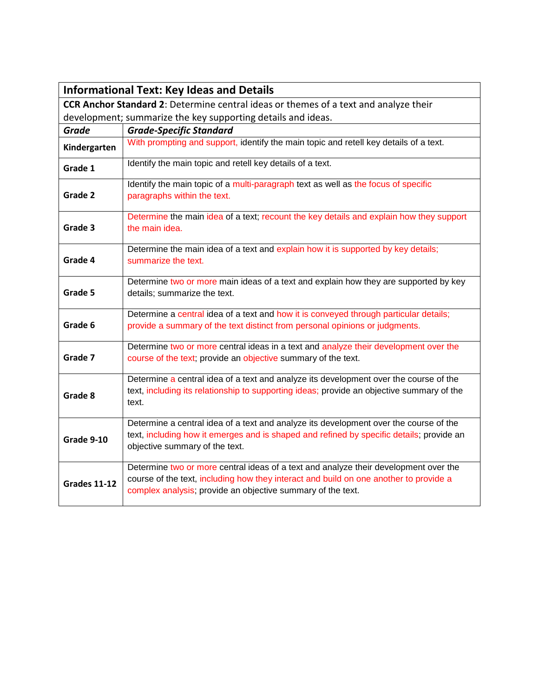|                                                                                             | <b>Informational Text: Key Ideas and Details</b>                                                                                                                                                                                             |  |
|---------------------------------------------------------------------------------------------|----------------------------------------------------------------------------------------------------------------------------------------------------------------------------------------------------------------------------------------------|--|
| <b>CCR Anchor Standard 2: Determine central ideas or themes of a text and analyze their</b> |                                                                                                                                                                                                                                              |  |
| development; summarize the key supporting details and ideas.                                |                                                                                                                                                                                                                                              |  |
| <b>Grade</b>                                                                                | <b>Grade-Specific Standard</b>                                                                                                                                                                                                               |  |
| Kindergarten                                                                                | With prompting and support, identify the main topic and retell key details of a text.                                                                                                                                                        |  |
| Grade 1                                                                                     | Identify the main topic and retell key details of a text.                                                                                                                                                                                    |  |
| Grade 2                                                                                     | Identify the main topic of a multi-paragraph text as well as the focus of specific<br>paragraphs within the text.                                                                                                                            |  |
| Grade 3                                                                                     | Determine the main idea of a text; recount the key details and explain how they support<br>the main idea.                                                                                                                                    |  |
| Grade 4                                                                                     | Determine the main idea of a text and explain how it is supported by key details;<br>summarize the text.                                                                                                                                     |  |
| Grade 5                                                                                     | Determine two or more main ideas of a text and explain how they are supported by key<br>details; summarize the text.                                                                                                                         |  |
| Grade 6                                                                                     | Determine a central idea of a text and how it is conveyed through particular details;<br>provide a summary of the text distinct from personal opinions or judgments.                                                                         |  |
| Grade 7                                                                                     | Determine two or more central ideas in a text and analyze their development over the<br>course of the text; provide an objective summary of the text.                                                                                        |  |
| Grade 8                                                                                     | Determine a central idea of a text and analyze its development over the course of the<br>text, including its relationship to supporting ideas; provide an objective summary of the<br>text.                                                  |  |
| Grade 9-10                                                                                  | Determine a central idea of a text and analyze its development over the course of the<br>text, including how it emerges and is shaped and refined by specific details; provide an<br>objective summary of the text.                          |  |
| <b>Grades 11-12</b>                                                                         | Determine two or more central ideas of a text and analyze their development over the<br>course of the text, including how they interact and build on one another to provide a<br>complex analysis; provide an objective summary of the text. |  |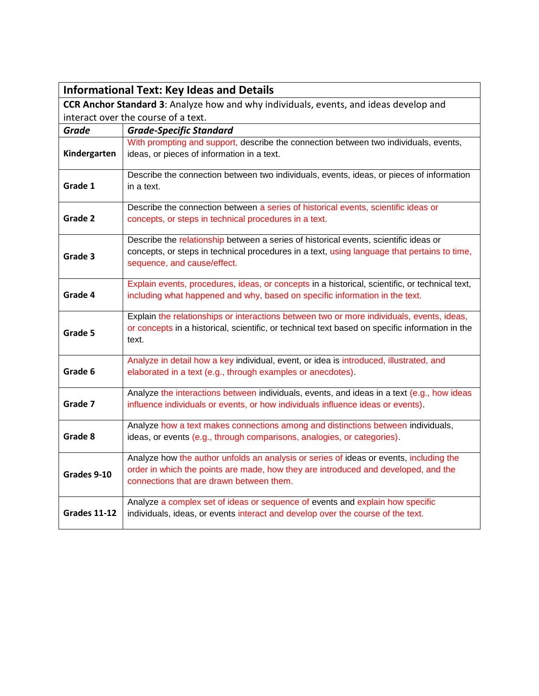|                     | <b>Informational Text: Key Ideas and Details</b>                                                                                                                                                                         |
|---------------------|--------------------------------------------------------------------------------------------------------------------------------------------------------------------------------------------------------------------------|
|                     | CCR Anchor Standard 3: Analyze how and why individuals, events, and ideas develop and                                                                                                                                    |
|                     | interact over the course of a text.                                                                                                                                                                                      |
| <b>Grade</b>        | <b>Grade-Specific Standard</b>                                                                                                                                                                                           |
| Kindergarten        | With prompting and support, describe the connection between two individuals, events,<br>ideas, or pieces of information in a text.                                                                                       |
| Grade 1             | Describe the connection between two individuals, events, ideas, or pieces of information<br>in a text.                                                                                                                   |
|                     | Describe the connection between a series of historical events, scientific ideas or                                                                                                                                       |
| Grade 2             | concepts, or steps in technical procedures in a text.                                                                                                                                                                    |
| Grade 3             | Describe the relationship between a series of historical events, scientific ideas or<br>concepts, or steps in technical procedures in a text, using language that pertains to time,<br>sequence, and cause/effect.       |
| Grade 4             | Explain events, procedures, ideas, or concepts in a historical, scientific, or technical text,<br>including what happened and why, based on specific information in the text.                                            |
| Grade 5             | Explain the relationships or interactions between two or more individuals, events, ideas,<br>or concepts in a historical, scientific, or technical text based on specific information in the<br>text.                    |
| Grade 6             | Analyze in detail how a key individual, event, or idea is introduced, illustrated, and<br>elaborated in a text (e.g., through examples or anecdotes).                                                                    |
| Grade 7             | Analyze the interactions between individuals, events, and ideas in a text (e.g., how ideas<br>influence individuals or events, or how individuals influence ideas or events).                                            |
| Grade 8             | Analyze how a text makes connections among and distinctions between individuals,<br>ideas, or events (e.g., through comparisons, analogies, or categories).                                                              |
| Grades 9-10         | Analyze how the author unfolds an analysis or series of ideas or events, including the<br>order in which the points are made, how they are introduced and developed, and the<br>connections that are drawn between them. |
| <b>Grades 11-12</b> | Analyze a complex set of ideas or sequence of events and explain how specific<br>individuals, ideas, or events interact and develop over the course of the text.                                                         |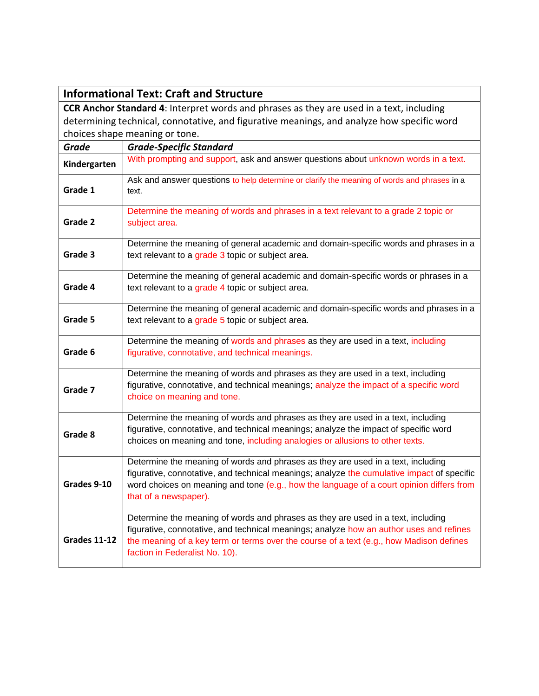|                                                                                            | <b>Informational Text: Craft and Structure</b>                                                                                                                                                                                                                                                           |
|--------------------------------------------------------------------------------------------|----------------------------------------------------------------------------------------------------------------------------------------------------------------------------------------------------------------------------------------------------------------------------------------------------------|
| CCR Anchor Standard 4: Interpret words and phrases as they are used in a text, including   |                                                                                                                                                                                                                                                                                                          |
| determining technical, connotative, and figurative meanings, and analyze how specific word |                                                                                                                                                                                                                                                                                                          |
|                                                                                            | choices shape meaning or tone.                                                                                                                                                                                                                                                                           |
| <b>Grade</b>                                                                               | <b>Grade-Specific Standard</b>                                                                                                                                                                                                                                                                           |
| Kindergarten                                                                               | With prompting and support, ask and answer questions about unknown words in a text.                                                                                                                                                                                                                      |
| Grade 1                                                                                    | Ask and answer questions to help determine or clarify the meaning of words and phrases in a<br>text.                                                                                                                                                                                                     |
| Grade 2                                                                                    | Determine the meaning of words and phrases in a text relevant to a grade 2 topic or<br>subject area.                                                                                                                                                                                                     |
| Grade 3                                                                                    | Determine the meaning of general academic and domain-specific words and phrases in a<br>text relevant to a grade 3 topic or subject area.                                                                                                                                                                |
| Grade 4                                                                                    | Determine the meaning of general academic and domain-specific words or phrases in a<br>text relevant to a grade 4 topic or subject area.                                                                                                                                                                 |
| Grade 5                                                                                    | Determine the meaning of general academic and domain-specific words and phrases in a<br>text relevant to a grade 5 topic or subject area.                                                                                                                                                                |
| Grade 6                                                                                    | Determine the meaning of words and phrases as they are used in a text, including<br>figurative, connotative, and technical meanings.                                                                                                                                                                     |
| Grade 7                                                                                    | Determine the meaning of words and phrases as they are used in a text, including<br>figurative, connotative, and technical meanings; analyze the impact of a specific word<br>choice on meaning and tone.                                                                                                |
| Grade 8                                                                                    | Determine the meaning of words and phrases as they are used in a text, including<br>figurative, connotative, and technical meanings; analyze the impact of specific word<br>choices on meaning and tone, including analogies or allusions to other texts.                                                |
| Grades 9-10                                                                                | Determine the meaning of words and phrases as they are used in a text, including<br>figurative, connotative, and technical meanings; analyze the cumulative impact of specific<br>word choices on meaning and tone (e.g., how the language of a court opinion differs from<br>that of a newspaper).      |
| <b>Grades 11-12</b>                                                                        | Determine the meaning of words and phrases as they are used in a text, including<br>figurative, connotative, and technical meanings; analyze how an author uses and refines<br>the meaning of a key term or terms over the course of a text (e.g., how Madison defines<br>faction in Federalist No. 10). |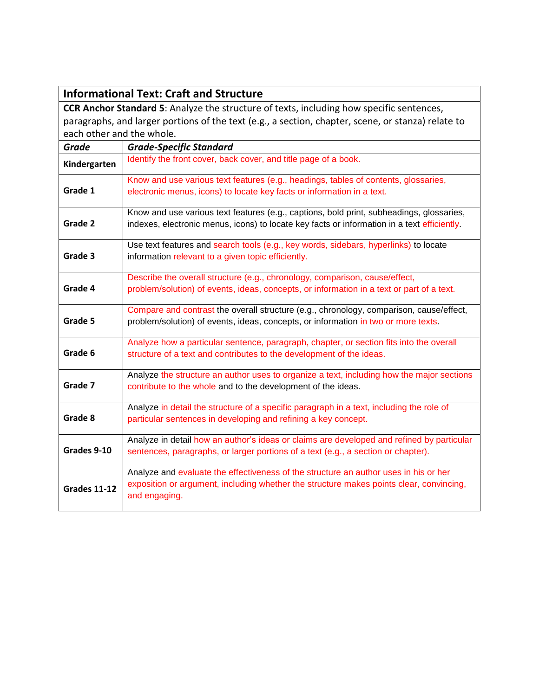|                           | <b>Informational Text: Craft and Structure</b>                                                                                                                                                   |  |
|---------------------------|--------------------------------------------------------------------------------------------------------------------------------------------------------------------------------------------------|--|
|                           | <b>CCR Anchor Standard 5:</b> Analyze the structure of texts, including how specific sentences,                                                                                                  |  |
|                           | paragraphs, and larger portions of the text (e.g., a section, chapter, scene, or stanza) relate to                                                                                               |  |
| each other and the whole. |                                                                                                                                                                                                  |  |
| <b>Grade</b>              | <b>Grade-Specific Standard</b>                                                                                                                                                                   |  |
| Kindergarten              | Identify the front cover, back cover, and title page of a book.                                                                                                                                  |  |
| Grade 1                   | Know and use various text features (e.g., headings, tables of contents, glossaries,<br>electronic menus, icons) to locate key facts or information in a text.                                    |  |
| Grade 2                   | Know and use various text features (e.g., captions, bold print, subheadings, glossaries,<br>indexes, electronic menus, icons) to locate key facts or information in a text efficiently.          |  |
| Grade 3                   | Use text features and search tools (e.g., key words, sidebars, hyperlinks) to locate<br>information relevant to a given topic efficiently.                                                       |  |
| Grade 4                   | Describe the overall structure (e.g., chronology, comparison, cause/effect,<br>problem/solution) of events, ideas, concepts, or information in a text or part of a text.                         |  |
| Grade 5                   | Compare and contrast the overall structure (e.g., chronology, comparison, cause/effect,<br>problem/solution) of events, ideas, concepts, or information in two or more texts.                    |  |
| Grade 6                   | Analyze how a particular sentence, paragraph, chapter, or section fits into the overall<br>structure of a text and contributes to the development of the ideas.                                  |  |
| Grade 7                   | Analyze the structure an author uses to organize a text, including how the major sections<br>contribute to the whole and to the development of the ideas.                                        |  |
| Grade 8                   | Analyze in detail the structure of a specific paragraph in a text, including the role of<br>particular sentences in developing and refining a key concept.                                       |  |
| Grades 9-10               | Analyze in detail how an author's ideas or claims are developed and refined by particular<br>sentences, paragraphs, or larger portions of a text (e.g., a section or chapter).                   |  |
| <b>Grades 11-12</b>       | Analyze and evaluate the effectiveness of the structure an author uses in his or her<br>exposition or argument, including whether the structure makes points clear, convincing,<br>and engaging. |  |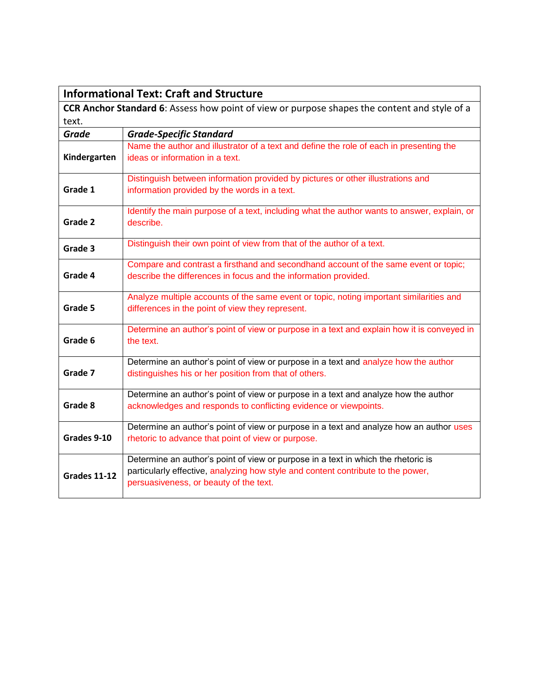|              | <b>Informational Text: Craft and Structure</b>                                                                                                                                                                  |
|--------------|-----------------------------------------------------------------------------------------------------------------------------------------------------------------------------------------------------------------|
|              | CCR Anchor Standard 6: Assess how point of view or purpose shapes the content and style of a                                                                                                                    |
| text.        |                                                                                                                                                                                                                 |
| <b>Grade</b> | <b>Grade-Specific Standard</b>                                                                                                                                                                                  |
| Kindergarten | Name the author and illustrator of a text and define the role of each in presenting the<br>ideas or information in a text.                                                                                      |
| Grade 1      | Distinguish between information provided by pictures or other illustrations and<br>information provided by the words in a text.                                                                                 |
| Grade 2      | Identify the main purpose of a text, including what the author wants to answer, explain, or<br>describe.                                                                                                        |
| Grade 3      | Distinguish their own point of view from that of the author of a text.                                                                                                                                          |
| Grade 4      | Compare and contrast a firsthand and secondhand account of the same event or topic;<br>describe the differences in focus and the information provided.                                                          |
| Grade 5      | Analyze multiple accounts of the same event or topic, noting important similarities and<br>differences in the point of view they represent.                                                                     |
| Grade 6      | Determine an author's point of view or purpose in a text and explain how it is conveyed in<br>the text.                                                                                                         |
| Grade 7      | Determine an author's point of view or purpose in a text and analyze how the author<br>distinguishes his or her position from that of others.                                                                   |
| Grade 8      | Determine an author's point of view or purpose in a text and analyze how the author<br>acknowledges and responds to conflicting evidence or viewpoints.                                                         |
| Grades 9-10  | Determine an author's point of view or purpose in a text and analyze how an author uses<br>rhetoric to advance that point of view or purpose.                                                                   |
| Grades 11-12 | Determine an author's point of view or purpose in a text in which the rhetoric is<br>particularly effective, analyzing how style and content contribute to the power,<br>persuasiveness, or beauty of the text. |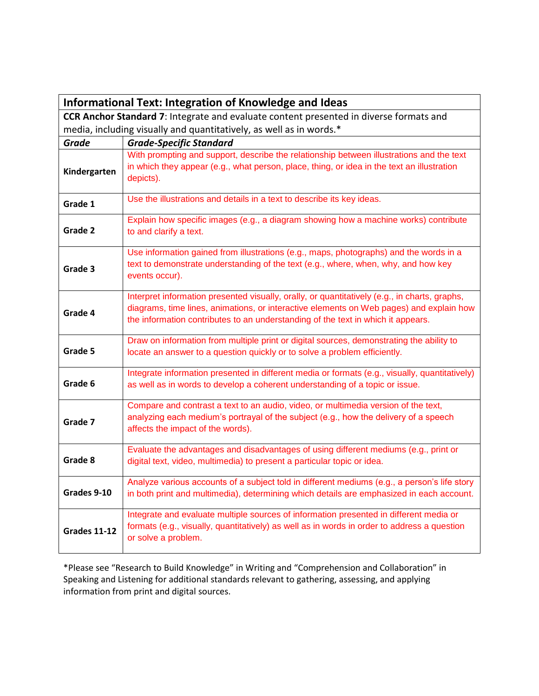|                     | <b>Informational Text: Integration of Knowledge and Ideas</b>                                                                                                                                                                                                                |
|---------------------|------------------------------------------------------------------------------------------------------------------------------------------------------------------------------------------------------------------------------------------------------------------------------|
|                     | <b>CCR Anchor Standard 7:</b> Integrate and evaluate content presented in diverse formats and                                                                                                                                                                                |
|                     | media, including visually and quantitatively, as well as in words.*                                                                                                                                                                                                          |
| <b>Grade</b>        | <b>Grade-Specific Standard</b>                                                                                                                                                                                                                                               |
| Kindergarten        | With prompting and support, describe the relationship between illustrations and the text<br>in which they appear (e.g., what person, place, thing, or idea in the text an illustration<br>depicts).                                                                          |
| Grade 1             | Use the illustrations and details in a text to describe its key ideas.                                                                                                                                                                                                       |
| Grade 2             | Explain how specific images (e.g., a diagram showing how a machine works) contribute<br>to and clarify a text.                                                                                                                                                               |
| Grade 3             | Use information gained from illustrations (e.g., maps, photographs) and the words in a<br>text to demonstrate understanding of the text (e.g., where, when, why, and how key<br>events occur).                                                                               |
| Grade 4             | Interpret information presented visually, orally, or quantitatively (e.g., in charts, graphs,<br>diagrams, time lines, animations, or interactive elements on Web pages) and explain how<br>the information contributes to an understanding of the text in which it appears. |
| Grade 5             | Draw on information from multiple print or digital sources, demonstrating the ability to<br>locate an answer to a question quickly or to solve a problem efficiently.                                                                                                        |
| Grade 6             | Integrate information presented in different media or formats (e.g., visually, quantitatively)<br>as well as in words to develop a coherent understanding of a topic or issue.                                                                                               |
| Grade 7             | Compare and contrast a text to an audio, video, or multimedia version of the text,<br>analyzing each medium's portrayal of the subject (e.g., how the delivery of a speech<br>affects the impact of the words).                                                              |
| Grade 8             | Evaluate the advantages and disadvantages of using different mediums (e.g., print or<br>digital text, video, multimedia) to present a particular topic or idea.                                                                                                              |
| Grades 9-10         | Analyze various accounts of a subject told in different mediums (e.g., a person's life story<br>in both print and multimedia), determining which details are emphasized in each account.                                                                                     |
| <b>Grades 11-12</b> | Integrate and evaluate multiple sources of information presented in different media or<br>formats (e.g., visually, quantitatively) as well as in words in order to address a question<br>or solve a problem.                                                                 |

\*Please see "Research to Build Knowledge" in Writing and "Comprehension and Collaboration" in Speaking and Listening for additional standards relevant to gathering, assessing, and applying information from print and digital sources.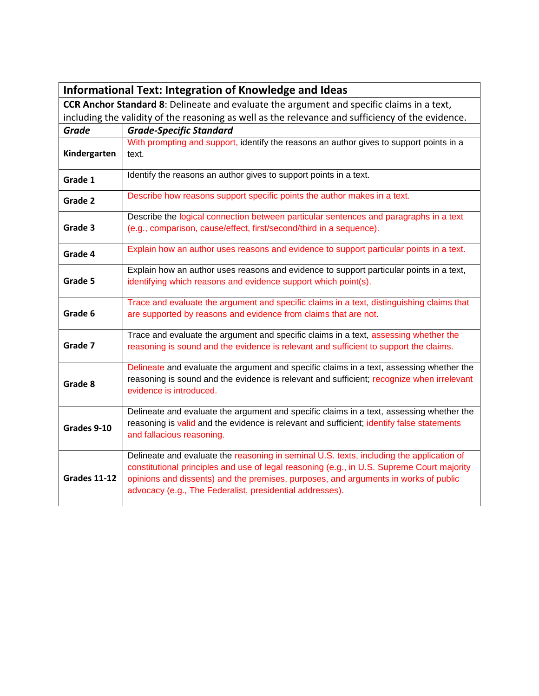|                                                                                                  | <b>Informational Text: Integration of Knowledge and Ideas</b>                                                                                                                                                                                                                                                                             |  |
|--------------------------------------------------------------------------------------------------|-------------------------------------------------------------------------------------------------------------------------------------------------------------------------------------------------------------------------------------------------------------------------------------------------------------------------------------------|--|
| <b>CCR Anchor Standard 8:</b> Delineate and evaluate the argument and specific claims in a text, |                                                                                                                                                                                                                                                                                                                                           |  |
|                                                                                                  | including the validity of the reasoning as well as the relevance and sufficiency of the evidence.                                                                                                                                                                                                                                         |  |
| <b>Grade</b>                                                                                     | <b>Grade-Specific Standard</b>                                                                                                                                                                                                                                                                                                            |  |
| Kindergarten                                                                                     | With prompting and support, identify the reasons an author gives to support points in a<br>text.                                                                                                                                                                                                                                          |  |
| Grade 1                                                                                          | Identify the reasons an author gives to support points in a text.                                                                                                                                                                                                                                                                         |  |
| Grade 2                                                                                          | Describe how reasons support specific points the author makes in a text.                                                                                                                                                                                                                                                                  |  |
| Grade 3                                                                                          | Describe the logical connection between particular sentences and paragraphs in a text<br>(e.g., comparison, cause/effect, first/second/third in a sequence).                                                                                                                                                                              |  |
| Grade 4                                                                                          | Explain how an author uses reasons and evidence to support particular points in a text.                                                                                                                                                                                                                                                   |  |
| Grade 5                                                                                          | Explain how an author uses reasons and evidence to support particular points in a text,<br>identifying which reasons and evidence support which point(s).                                                                                                                                                                                 |  |
| Grade 6                                                                                          | Trace and evaluate the argument and specific claims in a text, distinguishing claims that<br>are supported by reasons and evidence from claims that are not.                                                                                                                                                                              |  |
| Grade 7                                                                                          | Trace and evaluate the argument and specific claims in a text, assessing whether the<br>reasoning is sound and the evidence is relevant and sufficient to support the claims.                                                                                                                                                             |  |
| Grade 8                                                                                          | Delineate and evaluate the argument and specific claims in a text, assessing whether the<br>reasoning is sound and the evidence is relevant and sufficient; recognize when irrelevant<br>evidence is introduced.                                                                                                                          |  |
| Grades 9-10                                                                                      | Delineate and evaluate the argument and specific claims in a text, assessing whether the<br>reasoning is valid and the evidence is relevant and sufficient; identify false statements<br>and fallacious reasoning.                                                                                                                        |  |
| <b>Grades 11-12</b>                                                                              | Delineate and evaluate the reasoning in seminal U.S. texts, including the application of<br>constitutional principles and use of legal reasoning (e.g., in U.S. Supreme Court majority<br>opinions and dissents) and the premises, purposes, and arguments in works of public<br>advocacy (e.g., The Federalist, presidential addresses). |  |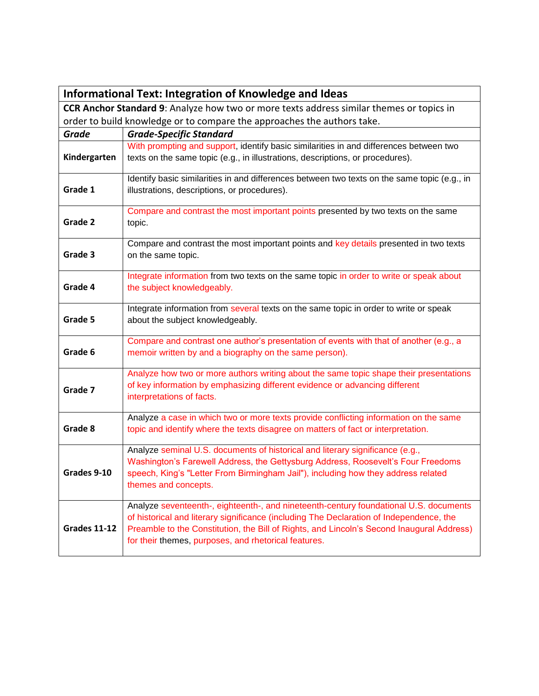|                     | <b>Informational Text: Integration of Knowledge and Ideas</b>                                                                                                                                                                                                                                                                         |
|---------------------|---------------------------------------------------------------------------------------------------------------------------------------------------------------------------------------------------------------------------------------------------------------------------------------------------------------------------------------|
|                     | CCR Anchor Standard 9: Analyze how two or more texts address similar themes or topics in                                                                                                                                                                                                                                              |
|                     | order to build knowledge or to compare the approaches the authors take.                                                                                                                                                                                                                                                               |
| <b>Grade</b>        | <b>Grade-Specific Standard</b>                                                                                                                                                                                                                                                                                                        |
| Kindergarten        | With prompting and support, identify basic similarities in and differences between two<br>texts on the same topic (e.g., in illustrations, descriptions, or procedures).                                                                                                                                                              |
| Grade 1             | Identify basic similarities in and differences between two texts on the same topic (e.g., in<br>illustrations, descriptions, or procedures).                                                                                                                                                                                          |
| Grade 2             | Compare and contrast the most important points presented by two texts on the same<br>topic.                                                                                                                                                                                                                                           |
| Grade 3             | Compare and contrast the most important points and key details presented in two texts<br>on the same topic.                                                                                                                                                                                                                           |
| Grade 4             | Integrate information from two texts on the same topic in order to write or speak about<br>the subject knowledgeably.                                                                                                                                                                                                                 |
| Grade 5             | Integrate information from several texts on the same topic in order to write or speak<br>about the subject knowledgeably.                                                                                                                                                                                                             |
| Grade 6             | Compare and contrast one author's presentation of events with that of another (e.g., a<br>memoir written by and a biography on the same person).                                                                                                                                                                                      |
| Grade 7             | Analyze how two or more authors writing about the same topic shape their presentations<br>of key information by emphasizing different evidence or advancing different<br>interpretations of facts.                                                                                                                                    |
| Grade 8             | Analyze a case in which two or more texts provide conflicting information on the same<br>topic and identify where the texts disagree on matters of fact or interpretation.                                                                                                                                                            |
| Grades 9-10         | Analyze seminal U.S. documents of historical and literary significance (e.g.,<br>Washington's Farewell Address, the Gettysburg Address, Roosevelt's Four Freedoms<br>speech, King's "Letter From Birmingham Jail"), including how they address related<br>themes and concepts.                                                        |
| <b>Grades 11-12</b> | Analyze seventeenth-, eighteenth-, and nineteenth-century foundational U.S. documents<br>of historical and literary significance (including The Declaration of Independence, the<br>Preamble to the Constitution, the Bill of Rights, and Lincoln's Second Inaugural Address)<br>for their themes, purposes, and rhetorical features. |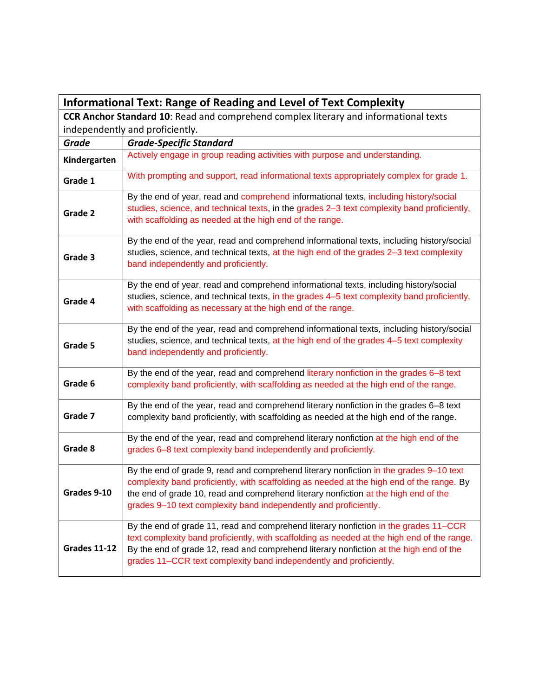| <b>Informational Text: Range of Reading and Level of Text Complexity</b> |                                                                                                                                                                                                                                                                                                                                                     |
|--------------------------------------------------------------------------|-----------------------------------------------------------------------------------------------------------------------------------------------------------------------------------------------------------------------------------------------------------------------------------------------------------------------------------------------------|
|                                                                          | CCR Anchor Standard 10: Read and comprehend complex literary and informational texts                                                                                                                                                                                                                                                                |
|                                                                          | independently and proficiently.                                                                                                                                                                                                                                                                                                                     |
| <b>Grade</b>                                                             | <b>Grade-Specific Standard</b>                                                                                                                                                                                                                                                                                                                      |
| Kindergarten                                                             | Actively engage in group reading activities with purpose and understanding.                                                                                                                                                                                                                                                                         |
| Grade 1                                                                  | With prompting and support, read informational texts appropriately complex for grade 1.                                                                                                                                                                                                                                                             |
| Grade 2                                                                  | By the end of year, read and comprehend informational texts, including history/social<br>studies, science, and technical texts, in the grades 2-3 text complexity band proficiently,<br>with scaffolding as needed at the high end of the range.                                                                                                    |
| Grade 3                                                                  | By the end of the year, read and comprehend informational texts, including history/social<br>studies, science, and technical texts, at the high end of the grades 2-3 text complexity<br>band independently and proficiently.                                                                                                                       |
| Grade 4                                                                  | By the end of year, read and comprehend informational texts, including history/social<br>studies, science, and technical texts, in the grades 4-5 text complexity band proficiently,<br>with scaffolding as necessary at the high end of the range.                                                                                                 |
| Grade 5                                                                  | By the end of the year, read and comprehend informational texts, including history/social<br>studies, science, and technical texts, at the high end of the grades 4-5 text complexity<br>band independently and proficiently.                                                                                                                       |
| Grade 6                                                                  | By the end of the year, read and comprehend literary nonfiction in the grades 6-8 text<br>complexity band proficiently, with scaffolding as needed at the high end of the range.                                                                                                                                                                    |
| Grade 7                                                                  | By the end of the year, read and comprehend literary nonfiction in the grades 6-8 text<br>complexity band proficiently, with scaffolding as needed at the high end of the range.                                                                                                                                                                    |
| Grade 8                                                                  | By the end of the year, read and comprehend literary nonfiction at the high end of the<br>grades 6-8 text complexity band independently and proficiently.                                                                                                                                                                                           |
| Grades 9-10                                                              | By the end of grade 9, read and comprehend literary nonfiction in the grades 9-10 text<br>complexity band proficiently, with scaffolding as needed at the high end of the range. By<br>the end of grade 10, read and comprehend literary nonfiction at the high end of the<br>grades 9-10 text complexity band independently and proficiently.      |
| <b>Grades 11-12</b>                                                      | By the end of grade 11, read and comprehend literary nonfiction in the grades 11–CCR<br>text complexity band proficiently, with scaffolding as needed at the high end of the range.<br>By the end of grade 12, read and comprehend literary nonfiction at the high end of the<br>grades 11–CCR text complexity band independently and proficiently. |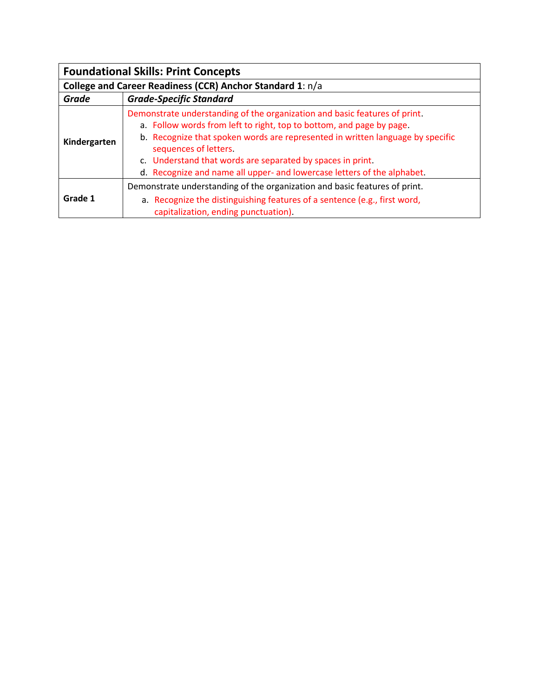| <b>Foundational Skills: Print Concepts</b>                |                                                                                                                                                                                                                                                                                                                                                                                                        |  |
|-----------------------------------------------------------|--------------------------------------------------------------------------------------------------------------------------------------------------------------------------------------------------------------------------------------------------------------------------------------------------------------------------------------------------------------------------------------------------------|--|
| College and Career Readiness (CCR) Anchor Standard 1: n/a |                                                                                                                                                                                                                                                                                                                                                                                                        |  |
| Grade                                                     | <b>Grade-Specific Standard</b>                                                                                                                                                                                                                                                                                                                                                                         |  |
| Kindergarten                                              | Demonstrate understanding of the organization and basic features of print.<br>a. Follow words from left to right, top to bottom, and page by page.<br>b. Recognize that spoken words are represented in written language by specific<br>sequences of letters.<br>c. Understand that words are separated by spaces in print.<br>d. Recognize and name all upper- and lowercase letters of the alphabet. |  |
| Grade 1                                                   | Demonstrate understanding of the organization and basic features of print.<br>a. Recognize the distinguishing features of a sentence (e.g., first word,<br>capitalization, ending punctuation).                                                                                                                                                                                                        |  |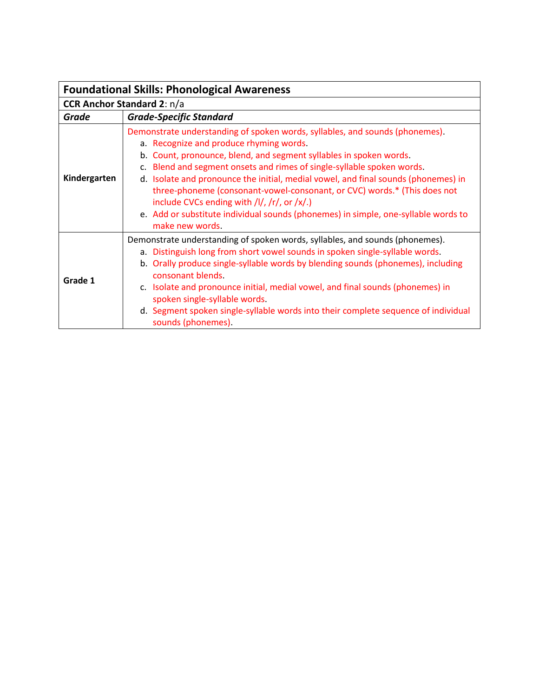| <b>Foundational Skills: Phonological Awareness</b> |                                                                                                                                                                                                                                                                                                                                                                                                                                                                                                                                                                                                   |  |  |
|----------------------------------------------------|---------------------------------------------------------------------------------------------------------------------------------------------------------------------------------------------------------------------------------------------------------------------------------------------------------------------------------------------------------------------------------------------------------------------------------------------------------------------------------------------------------------------------------------------------------------------------------------------------|--|--|
|                                                    | <b>CCR Anchor Standard 2: n/a</b>                                                                                                                                                                                                                                                                                                                                                                                                                                                                                                                                                                 |  |  |
| Grade                                              | <b>Grade-Specific Standard</b>                                                                                                                                                                                                                                                                                                                                                                                                                                                                                                                                                                    |  |  |
| Kindergarten                                       | Demonstrate understanding of spoken words, syllables, and sounds (phonemes).<br>a. Recognize and produce rhyming words.<br>b. Count, pronounce, blend, and segment syllables in spoken words.<br>c. Blend and segment onsets and rimes of single-syllable spoken words.<br>d. Isolate and pronounce the initial, medial vowel, and final sounds (phonemes) in<br>three-phoneme (consonant-vowel-consonant, or CVC) words.* (This does not<br>include CVCs ending with /l/, /r/, or /x/.)<br>e. Add or substitute individual sounds (phonemes) in simple, one-syllable words to<br>make new words. |  |  |
| Grade 1                                            | Demonstrate understanding of spoken words, syllables, and sounds (phonemes).<br>a. Distinguish long from short vowel sounds in spoken single-syllable words.<br>b. Orally produce single-syllable words by blending sounds (phonemes), including<br>consonant blends.<br>c. Isolate and pronounce initial, medial vowel, and final sounds (phonemes) in<br>spoken single-syllable words.<br>d. Segment spoken single-syllable words into their complete sequence of individual<br>sounds (phonemes).                                                                                              |  |  |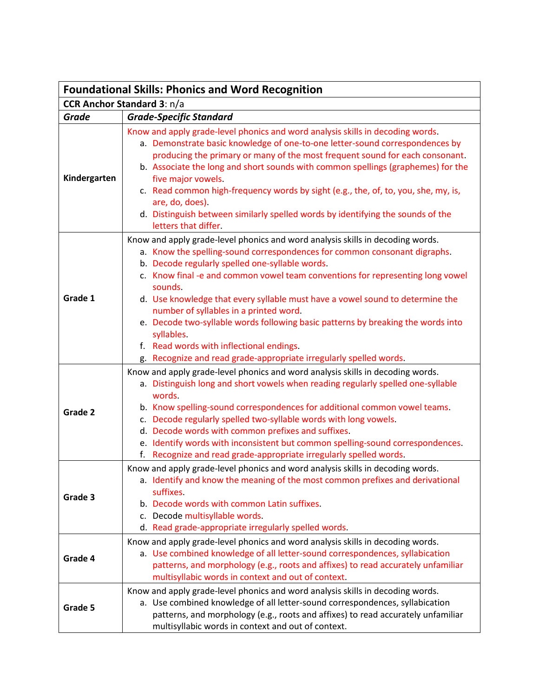| <b>Foundational Skills: Phonics and Word Recognition</b> |                                                                                                                                                                                                                                                                                                                                                                                                                                                                                                                                                                                                                                                            |
|----------------------------------------------------------|------------------------------------------------------------------------------------------------------------------------------------------------------------------------------------------------------------------------------------------------------------------------------------------------------------------------------------------------------------------------------------------------------------------------------------------------------------------------------------------------------------------------------------------------------------------------------------------------------------------------------------------------------------|
| <b>CCR Anchor Standard 3: n/a</b>                        |                                                                                                                                                                                                                                                                                                                                                                                                                                                                                                                                                                                                                                                            |
| <b>Grade</b>                                             | <b>Grade-Specific Standard</b>                                                                                                                                                                                                                                                                                                                                                                                                                                                                                                                                                                                                                             |
| Kindergarten                                             | Know and apply grade-level phonics and word analysis skills in decoding words.<br>a. Demonstrate basic knowledge of one-to-one letter-sound correspondences by<br>producing the primary or many of the most frequent sound for each consonant.<br>b. Associate the long and short sounds with common spellings (graphemes) for the<br>five major vowels.<br>c. Read common high-frequency words by sight (e.g., the, of, to, you, she, my, is,<br>are, do, does).<br>d. Distinguish between similarly spelled words by identifying the sounds of the<br>letters that differ.                                                                               |
| Grade 1                                                  | Know and apply grade-level phonics and word analysis skills in decoding words.<br>a. Know the spelling-sound correspondences for common consonant digraphs.<br>b. Decode regularly spelled one-syllable words.<br>c. Know final -e and common vowel team conventions for representing long vowel<br>sounds.<br>d. Use knowledge that every syllable must have a vowel sound to determine the<br>number of syllables in a printed word.<br>e. Decode two-syllable words following basic patterns by breaking the words into<br>syllables.<br>f. Read words with inflectional endings.<br>g. Recognize and read grade-appropriate irregularly spelled words. |
| Grade 2                                                  | Know and apply grade-level phonics and word analysis skills in decoding words.<br>a. Distinguish long and short vowels when reading regularly spelled one-syllable<br>words.<br>b. Know spelling-sound correspondences for additional common vowel teams.<br>c. Decode regularly spelled two-syllable words with long vowels.<br>d. Decode words with common prefixes and suffixes.<br>e. Identify words with inconsistent but common spelling-sound correspondences.<br>f. Recognize and read grade-appropriate irregularly spelled words.                                                                                                                |
| Grade 3                                                  | Know and apply grade-level phonics and word analysis skills in decoding words.<br>a. Identify and know the meaning of the most common prefixes and derivational<br>suffixes.<br>b. Decode words with common Latin suffixes.<br>c. Decode multisyllable words.<br>d. Read grade-appropriate irregularly spelled words.                                                                                                                                                                                                                                                                                                                                      |
| Grade 4                                                  | Know and apply grade-level phonics and word analysis skills in decoding words.<br>a. Use combined knowledge of all letter-sound correspondences, syllabication<br>patterns, and morphology (e.g., roots and affixes) to read accurately unfamiliar<br>multisyllabic words in context and out of context.                                                                                                                                                                                                                                                                                                                                                   |
| Grade 5                                                  | Know and apply grade-level phonics and word analysis skills in decoding words.<br>a. Use combined knowledge of all letter-sound correspondences, syllabication<br>patterns, and morphology (e.g., roots and affixes) to read accurately unfamiliar<br>multisyllabic words in context and out of context.                                                                                                                                                                                                                                                                                                                                                   |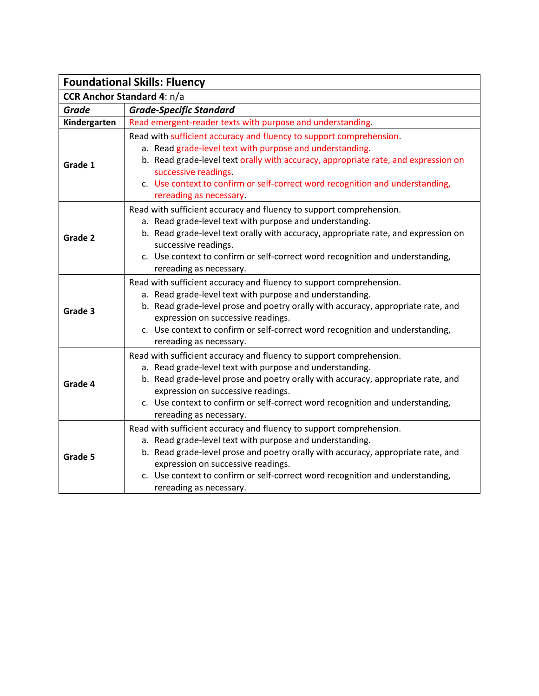| <b>Foundational Skills: Fluency</b> |                                                                                                                                                                                                                                                                                                                                                                       |
|-------------------------------------|-----------------------------------------------------------------------------------------------------------------------------------------------------------------------------------------------------------------------------------------------------------------------------------------------------------------------------------------------------------------------|
| <b>CCR Anchor Standard 4: n/a</b>   |                                                                                                                                                                                                                                                                                                                                                                       |
| <b>Grade</b>                        | <b>Grade-Specific Standard</b>                                                                                                                                                                                                                                                                                                                                        |
| Kindergarten                        | Read emergent-reader texts with purpose and understanding.                                                                                                                                                                                                                                                                                                            |
| Grade 1                             | Read with sufficient accuracy and fluency to support comprehension.<br>a. Read grade-level text with purpose and understanding.<br>b. Read grade-level text orally with accuracy, appropriate rate, and expression on<br>successive readings.<br>c. Use context to confirm or self-correct word recognition and understanding,<br>rereading as necessary.             |
| Grade 2                             | Read with sufficient accuracy and fluency to support comprehension.<br>a. Read grade-level text with purpose and understanding.<br>b. Read grade-level text orally with accuracy, appropriate rate, and expression on<br>successive readings.<br>c. Use context to confirm or self-correct word recognition and understanding,<br>rereading as necessary.             |
| Grade 3                             | Read with sufficient accuracy and fluency to support comprehension.<br>a. Read grade-level text with purpose and understanding.<br>b. Read grade-level prose and poetry orally with accuracy, appropriate rate, and<br>expression on successive readings.<br>c. Use context to confirm or self-correct word recognition and understanding,<br>rereading as necessary. |
| Grade 4                             | Read with sufficient accuracy and fluency to support comprehension.<br>a. Read grade-level text with purpose and understanding.<br>b. Read grade-level prose and poetry orally with accuracy, appropriate rate, and<br>expression on successive readings.<br>c. Use context to confirm or self-correct word recognition and understanding,<br>rereading as necessary. |
| Grade 5                             | Read with sufficient accuracy and fluency to support comprehension.<br>a. Read grade-level text with purpose and understanding.<br>b. Read grade-level prose and poetry orally with accuracy, appropriate rate, and<br>expression on successive readings.<br>c. Use context to confirm or self-correct word recognition and understanding,<br>rereading as necessary. |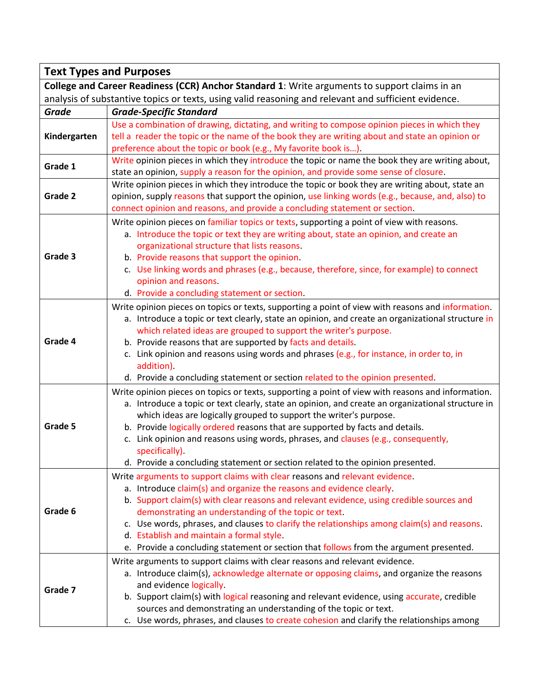| <b>Text Types and Purposes</b>                                                                       |                                                                                                                                                                                                                                                                                                                                                                                                                                                                                                                                                         |  |
|------------------------------------------------------------------------------------------------------|---------------------------------------------------------------------------------------------------------------------------------------------------------------------------------------------------------------------------------------------------------------------------------------------------------------------------------------------------------------------------------------------------------------------------------------------------------------------------------------------------------------------------------------------------------|--|
| College and Career Readiness (CCR) Anchor Standard 1: Write arguments to support claims in an        |                                                                                                                                                                                                                                                                                                                                                                                                                                                                                                                                                         |  |
| analysis of substantive topics or texts, using valid reasoning and relevant and sufficient evidence. |                                                                                                                                                                                                                                                                                                                                                                                                                                                                                                                                                         |  |
| <b>Grade</b>                                                                                         | <b>Grade-Specific Standard</b>                                                                                                                                                                                                                                                                                                                                                                                                                                                                                                                          |  |
| Kindergarten                                                                                         | Use a combination of drawing, dictating, and writing to compose opinion pieces in which they<br>tell a reader the topic or the name of the book they are writing about and state an opinion or<br>preference about the topic or book (e.g., My favorite book is).                                                                                                                                                                                                                                                                                       |  |
| Grade 1                                                                                              | Write opinion pieces in which they introduce the topic or name the book they are writing about,<br>state an opinion, supply a reason for the opinion, and provide some sense of closure.                                                                                                                                                                                                                                                                                                                                                                |  |
| Grade 2                                                                                              | Write opinion pieces in which they introduce the topic or book they are writing about, state an<br>opinion, supply reasons that support the opinion, use linking words (e.g., because, and, also) to<br>connect opinion and reasons, and provide a concluding statement or section.                                                                                                                                                                                                                                                                     |  |
| Grade 3                                                                                              | Write opinion pieces on familiar topics or texts, supporting a point of view with reasons.<br>a. Introduce the topic or text they are writing about, state an opinion, and create an<br>organizational structure that lists reasons.<br>b. Provide reasons that support the opinion.<br>c. Use linking words and phrases (e.g., because, therefore, since, for example) to connect<br>opinion and reasons.<br>d. Provide a concluding statement or section.                                                                                             |  |
| Grade 4                                                                                              | Write opinion pieces on topics or texts, supporting a point of view with reasons and information.<br>a. Introduce a topic or text clearly, state an opinion, and create an organizational structure in<br>which related ideas are grouped to support the writer's purpose.<br>b. Provide reasons that are supported by facts and details.<br>c. Link opinion and reasons using words and phrases (e.g., for instance, in order to, in<br>addition).<br>d. Provide a concluding statement or section related to the opinion presented.                   |  |
| Grade 5                                                                                              | Write opinion pieces on topics or texts, supporting a point of view with reasons and information.<br>a. Introduce a topic or text clearly, state an opinion, and create an organizational structure in<br>which ideas are logically grouped to support the writer's purpose.<br>b. Provide logically ordered reasons that are supported by facts and details.<br>c. Link opinion and reasons using words, phrases, and clauses (e.g., consequently,<br>specifically).<br>d. Provide a concluding statement or section related to the opinion presented. |  |
| Grade 6                                                                                              | Write arguments to support claims with clear reasons and relevant evidence.<br>a. Introduce claim(s) and organize the reasons and evidence clearly.<br>b. Support claim(s) with clear reasons and relevant evidence, using credible sources and<br>demonstrating an understanding of the topic or text.<br>c. Use words, phrases, and clauses to clarify the relationships among claim(s) and reasons.<br>d. Establish and maintain a formal style.<br>e. Provide a concluding statement or section that follows from the argument presented.           |  |
| Grade 7                                                                                              | Write arguments to support claims with clear reasons and relevant evidence.<br>a. Introduce claim(s), acknowledge alternate or opposing claims, and organize the reasons<br>and evidence logically.<br>b. Support claim(s) with logical reasoning and relevant evidence, using accurate, credible<br>sources and demonstrating an understanding of the topic or text.<br>c. Use words, phrases, and clauses to create cohesion and clarify the relationships among                                                                                      |  |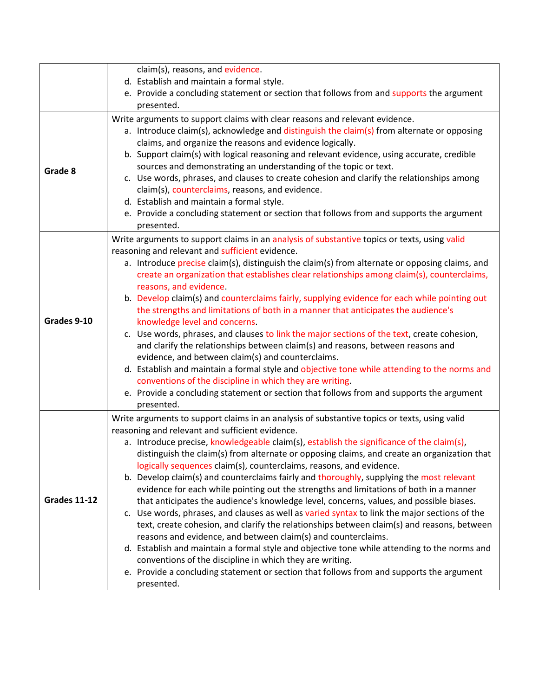|                     | claim(s), reasons, and evidence.                                                                                                                                          |
|---------------------|---------------------------------------------------------------------------------------------------------------------------------------------------------------------------|
|                     | d. Establish and maintain a formal style.                                                                                                                                 |
|                     | e. Provide a concluding statement or section that follows from and supports the argument                                                                                  |
|                     | presented.                                                                                                                                                                |
|                     | Write arguments to support claims with clear reasons and relevant evidence.<br>a. Introduce claim(s), acknowledge and distinguish the claim(s) from alternate or opposing |
|                     | claims, and organize the reasons and evidence logically.                                                                                                                  |
|                     | b. Support claim(s) with logical reasoning and relevant evidence, using accurate, credible                                                                                |
|                     | sources and demonstrating an understanding of the topic or text.                                                                                                          |
| Grade 8             | c. Use words, phrases, and clauses to create cohesion and clarify the relationships among                                                                                 |
|                     | claim(s), counterclaims, reasons, and evidence.                                                                                                                           |
|                     | d. Establish and maintain a formal style.                                                                                                                                 |
|                     | e. Provide a concluding statement or section that follows from and supports the argument                                                                                  |
|                     | presented.                                                                                                                                                                |
|                     | Write arguments to support claims in an analysis of substantive topics or texts, using valid                                                                              |
|                     | reasoning and relevant and sufficient evidence.                                                                                                                           |
|                     | a. Introduce precise claim(s), distinguish the claim(s) from alternate or opposing claims, and                                                                            |
|                     | create an organization that establishes clear relationships among claim(s), counterclaims,                                                                                |
|                     | reasons, and evidence.                                                                                                                                                    |
|                     | b. Develop claim(s) and counterclaims fairly, supplying evidence for each while pointing out                                                                              |
| Grades 9-10         | the strengths and limitations of both in a manner that anticipates the audience's                                                                                         |
|                     | knowledge level and concerns.<br>c. Use words, phrases, and clauses to link the major sections of the text, create cohesion,                                              |
|                     | and clarify the relationships between claim(s) and reasons, between reasons and                                                                                           |
|                     | evidence, and between claim(s) and counterclaims.                                                                                                                         |
|                     | d. Establish and maintain a formal style and objective tone while attending to the norms and                                                                              |
|                     | conventions of the discipline in which they are writing.                                                                                                                  |
|                     | e. Provide a concluding statement or section that follows from and supports the argument                                                                                  |
|                     | presented.                                                                                                                                                                |
|                     | Write arguments to support claims in an analysis of substantive topics or texts, using valid                                                                              |
|                     | reasoning and relevant and sufficient evidence.                                                                                                                           |
|                     | a. Introduce precise, knowledgeable claim(s), establish the significance of the claim(s),                                                                                 |
|                     | distinguish the claim(s) from alternate or opposing claims, and create an organization that                                                                               |
|                     | logically sequences claim(s), counterclaims, reasons, and evidence.                                                                                                       |
|                     | b. Develop claim(s) and counterclaims fairly and thoroughly, supplying the most relevant                                                                                  |
|                     | evidence for each while pointing out the strengths and limitations of both in a manner                                                                                    |
| <b>Grades 11-12</b> | that anticipates the audience's knowledge level, concerns, values, and possible biases.                                                                                   |
|                     | c. Use words, phrases, and clauses as well as varied syntax to link the major sections of the                                                                             |
|                     | text, create cohesion, and clarify the relationships between claim(s) and reasons, between<br>reasons and evidence, and between claim(s) and counterclaims.               |
|                     | d. Establish and maintain a formal style and objective tone while attending to the norms and                                                                              |
|                     | conventions of the discipline in which they are writing.                                                                                                                  |
|                     | e. Provide a concluding statement or section that follows from and supports the argument                                                                                  |
|                     | presented.                                                                                                                                                                |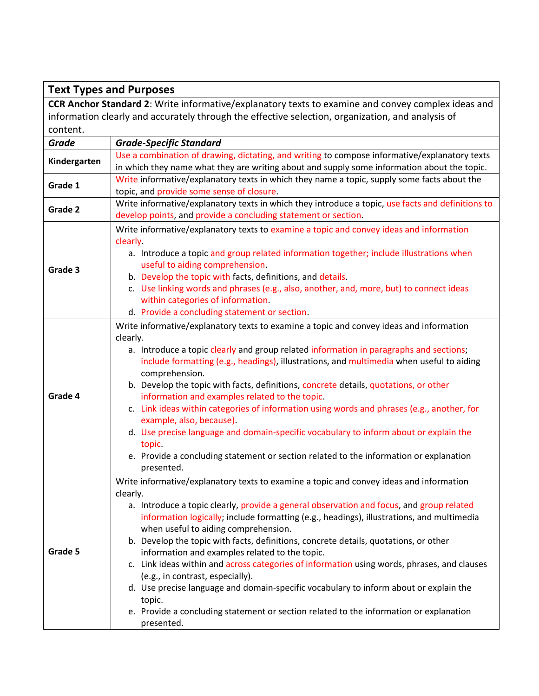## **Text Types and Purposes**

**CCR Anchor Standard 2**: Write informative/explanatory texts to examine and convey complex ideas and information clearly and accurately through the effective selection, organization, and analysis of content.

| <b>Grade</b> | <b>Grade-Specific Standard</b>                                                                       |
|--------------|------------------------------------------------------------------------------------------------------|
| Kindergarten | Use a combination of drawing, dictating, and writing to compose informative/explanatory texts        |
|              | in which they name what they are writing about and supply some information about the topic.          |
| Grade 1      | Write informative/explanatory texts in which they name a topic, supply some facts about the          |
|              | topic, and provide some sense of closure.                                                            |
| Grade 2      | Write informative/explanatory texts in which they introduce a topic, use facts and definitions to    |
|              | develop points, and provide a concluding statement or section.                                       |
|              | Write informative/explanatory texts to examine a topic and convey ideas and information              |
|              | clearly.                                                                                             |
|              | a. Introduce a topic and group related information together; include illustrations when              |
| Grade 3      | useful to aiding comprehension.                                                                      |
|              | b. Develop the topic with facts, definitions, and details.                                           |
|              | c. Use linking words and phrases (e.g., also, another, and, more, but) to connect ideas              |
|              | within categories of information.                                                                    |
|              | d. Provide a concluding statement or section.                                                        |
|              | Write informative/explanatory texts to examine a topic and convey ideas and information              |
|              | clearly.                                                                                             |
|              | a. Introduce a topic clearly and group related information in paragraphs and sections;               |
|              | include formatting (e.g., headings), illustrations, and multimedia when useful to aiding             |
|              | comprehension.                                                                                       |
|              | b. Develop the topic with facts, definitions, concrete details, quotations, or other                 |
| Grade 4      | information and examples related to the topic.                                                       |
|              | c. Link ideas within categories of information using words and phrases (e.g., another, for           |
|              | example, also, because).                                                                             |
|              | d. Use precise language and domain-specific vocabulary to inform about or explain the                |
|              | topic.                                                                                               |
|              | e. Provide a concluding statement or section related to the information or explanation<br>presented. |
|              | Write informative/explanatory texts to examine a topic and convey ideas and information              |
|              | clearly.                                                                                             |
|              | a. Introduce a topic clearly, provide a general observation and focus, and group related             |
|              | information logically; include formatting (e.g., headings), illustrations, and multimedia            |
|              | when useful to aiding comprehension.                                                                 |
|              | b. Develop the topic with facts, definitions, concrete details, quotations, or other                 |
| Grade 5      | information and examples related to the topic.                                                       |
|              | c. Link ideas within and across categories of information using words, phrases, and clauses          |
|              | (e.g., in contrast, especially).                                                                     |
|              | d. Use precise language and domain-specific vocabulary to inform about or explain the                |
|              | topic.                                                                                               |
|              | e. Provide a concluding statement or section related to the information or explanation               |
|              | presented.                                                                                           |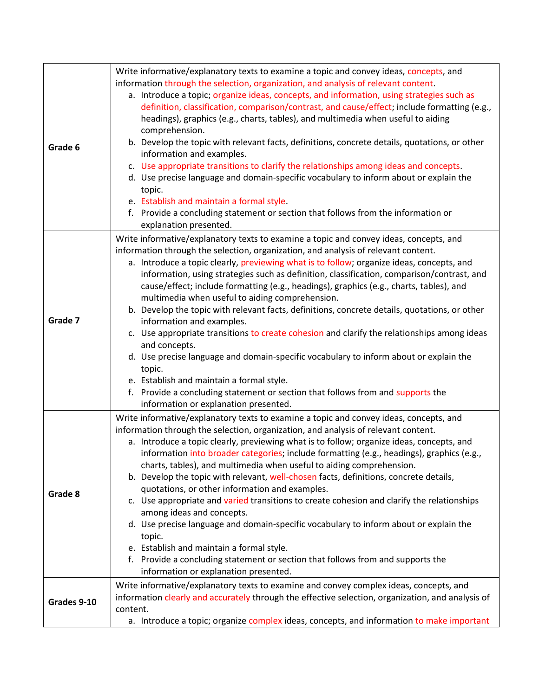| Grade 6     | Write informative/explanatory texts to examine a topic and convey ideas, concepts, and<br>information through the selection, organization, and analysis of relevant content.<br>a. Introduce a topic; organize ideas, concepts, and information, using strategies such as<br>definition, classification, comparison/contrast, and cause/effect; include formatting (e.g.,<br>headings), graphics (e.g., charts, tables), and multimedia when useful to aiding<br>comprehension.<br>b. Develop the topic with relevant facts, definitions, concrete details, quotations, or other                                                                                                                                                                                                                                                                                                                                                                                                                                                                |
|-------------|-------------------------------------------------------------------------------------------------------------------------------------------------------------------------------------------------------------------------------------------------------------------------------------------------------------------------------------------------------------------------------------------------------------------------------------------------------------------------------------------------------------------------------------------------------------------------------------------------------------------------------------------------------------------------------------------------------------------------------------------------------------------------------------------------------------------------------------------------------------------------------------------------------------------------------------------------------------------------------------------------------------------------------------------------|
|             | information and examples.<br>c. Use appropriate transitions to clarify the relationships among ideas and concepts.<br>d. Use precise language and domain-specific vocabulary to inform about or explain the<br>topic.<br>e. Establish and maintain a formal style.<br>f. Provide a concluding statement or section that follows from the information or<br>explanation presented.                                                                                                                                                                                                                                                                                                                                                                                                                                                                                                                                                                                                                                                               |
| Grade 7     | Write informative/explanatory texts to examine a topic and convey ideas, concepts, and<br>information through the selection, organization, and analysis of relevant content.<br>a. Introduce a topic clearly, previewing what is to follow; organize ideas, concepts, and<br>information, using strategies such as definition, classification, comparison/contrast, and<br>cause/effect; include formatting (e.g., headings), graphics (e.g., charts, tables), and<br>multimedia when useful to aiding comprehension.<br>b. Develop the topic with relevant facts, definitions, concrete details, quotations, or other<br>information and examples.<br>c. Use appropriate transitions to create cohesion and clarify the relationships among ideas<br>and concepts.<br>d. Use precise language and domain-specific vocabulary to inform about or explain the<br>topic.<br>e. Establish and maintain a formal style.<br>f. Provide a concluding statement or section that follows from and supports the<br>information or explanation presented. |
| Grade 8     | Write informative/explanatory texts to examine a topic and convey ideas, concepts, and<br>information through the selection, organization, and analysis of relevant content.<br>a. Introduce a topic clearly, previewing what is to follow; organize ideas, concepts, and<br>information into broader categories; include formatting (e.g., headings), graphics (e.g.,<br>charts, tables), and multimedia when useful to aiding comprehension.<br>b. Develop the topic with relevant, well-chosen facts, definitions, concrete details,<br>quotations, or other information and examples.<br>c. Use appropriate and varied transitions to create cohesion and clarify the relationships<br>among ideas and concepts.<br>d. Use precise language and domain-specific vocabulary to inform about or explain the<br>topic.<br>e. Establish and maintain a formal style.<br>f. Provide a concluding statement or section that follows from and supports the<br>information or explanation presented.                                                |
| Grades 9-10 | Write informative/explanatory texts to examine and convey complex ideas, concepts, and<br>information clearly and accurately through the effective selection, organization, and analysis of<br>content.<br>a. Introduce a topic; organize complex ideas, concepts, and information to make important                                                                                                                                                                                                                                                                                                                                                                                                                                                                                                                                                                                                                                                                                                                                            |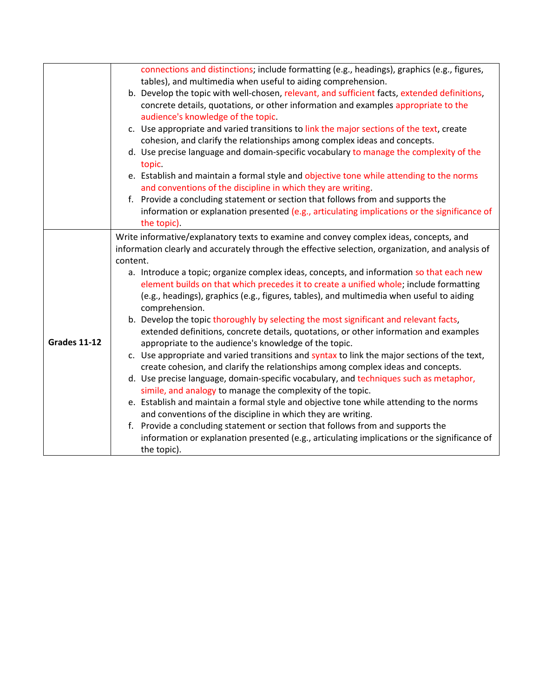|                     | connections and distinctions; include formatting (e.g., headings), graphics (e.g., figures,       |
|---------------------|---------------------------------------------------------------------------------------------------|
|                     | tables), and multimedia when useful to aiding comprehension.                                      |
|                     | b. Develop the topic with well-chosen, relevant, and sufficient facts, extended definitions,      |
|                     | concrete details, quotations, or other information and examples appropriate to the                |
|                     | audience's knowledge of the topic.                                                                |
|                     | c. Use appropriate and varied transitions to link the major sections of the text, create          |
|                     | cohesion, and clarify the relationships among complex ideas and concepts.                         |
|                     | d. Use precise language and domain-specific vocabulary to manage the complexity of the            |
|                     | topic.                                                                                            |
|                     | e. Establish and maintain a formal style and objective tone while attending to the norms          |
|                     | and conventions of the discipline in which they are writing.                                      |
|                     | f. Provide a concluding statement or section that follows from and supports the                   |
|                     | information or explanation presented (e.g., articulating implications or the significance of      |
|                     | the topic).                                                                                       |
|                     | Write informative/explanatory texts to examine and convey complex ideas, concepts, and            |
|                     | information clearly and accurately through the effective selection, organization, and analysis of |
|                     | content.                                                                                          |
|                     | a. Introduce a topic; organize complex ideas, concepts, and information so that each new          |
|                     | element builds on that which precedes it to create a unified whole; include formatting            |
|                     | (e.g., headings), graphics (e.g., figures, tables), and multimedia when useful to aiding          |
|                     | comprehension.                                                                                    |
|                     | b. Develop the topic thoroughly by selecting the most significant and relevant facts,             |
|                     | extended definitions, concrete details, quotations, or other information and examples             |
| <b>Grades 11-12</b> | appropriate to the audience's knowledge of the topic.                                             |
|                     | c. Use appropriate and varied transitions and syntax to link the major sections of the text,      |
|                     | create cohesion, and clarify the relationships among complex ideas and concepts.                  |
|                     | d. Use precise language, domain-specific vocabulary, and techniques such as metaphor,             |
|                     | simile, and analogy to manage the complexity of the topic.                                        |
|                     | e. Establish and maintain a formal style and objective tone while attending to the norms          |
|                     | and conventions of the discipline in which they are writing.                                      |
|                     | f. Provide a concluding statement or section that follows from and supports the                   |
|                     | information or explanation presented (e.g., articulating implications or the significance of      |
|                     | the topic).                                                                                       |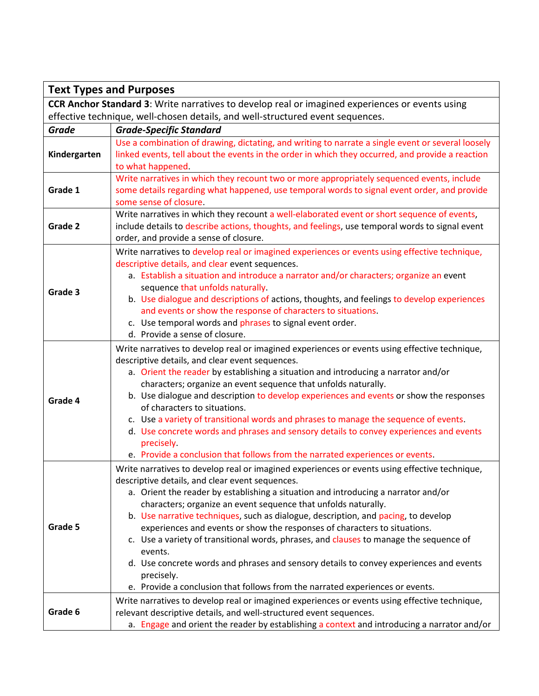| <b>Text Types and Purposes</b>                                                                  |                                                                                                                                                                                                                                                                                                                                                                                                                                                                                                                                                                                                                                                                                                                                                                           |  |
|-------------------------------------------------------------------------------------------------|---------------------------------------------------------------------------------------------------------------------------------------------------------------------------------------------------------------------------------------------------------------------------------------------------------------------------------------------------------------------------------------------------------------------------------------------------------------------------------------------------------------------------------------------------------------------------------------------------------------------------------------------------------------------------------------------------------------------------------------------------------------------------|--|
| CCR Anchor Standard 3: Write narratives to develop real or imagined experiences or events using |                                                                                                                                                                                                                                                                                                                                                                                                                                                                                                                                                                                                                                                                                                                                                                           |  |
| effective technique, well-chosen details, and well-structured event sequences.                  |                                                                                                                                                                                                                                                                                                                                                                                                                                                                                                                                                                                                                                                                                                                                                                           |  |
| <b>Grade</b>                                                                                    | <b>Grade-Specific Standard</b>                                                                                                                                                                                                                                                                                                                                                                                                                                                                                                                                                                                                                                                                                                                                            |  |
| Kindergarten                                                                                    | Use a combination of drawing, dictating, and writing to narrate a single event or several loosely<br>linked events, tell about the events in the order in which they occurred, and provide a reaction<br>to what happened.                                                                                                                                                                                                                                                                                                                                                                                                                                                                                                                                                |  |
| Grade 1                                                                                         | Write narratives in which they recount two or more appropriately sequenced events, include<br>some details regarding what happened, use temporal words to signal event order, and provide<br>some sense of closure.                                                                                                                                                                                                                                                                                                                                                                                                                                                                                                                                                       |  |
| Grade 2                                                                                         | Write narratives in which they recount a well-elaborated event or short sequence of events,<br>include details to describe actions, thoughts, and feelings, use temporal words to signal event<br>order, and provide a sense of closure.                                                                                                                                                                                                                                                                                                                                                                                                                                                                                                                                  |  |
| Grade 3                                                                                         | Write narratives to develop real or imagined experiences or events using effective technique,<br>descriptive details, and clear event sequences.<br>a. Establish a situation and introduce a narrator and/or characters; organize an event<br>sequence that unfolds naturally.<br>b. Use dialogue and descriptions of actions, thoughts, and feelings to develop experiences<br>and events or show the response of characters to situations.<br>c. Use temporal words and phrases to signal event order.<br>d. Provide a sense of closure.                                                                                                                                                                                                                                |  |
| Grade 4                                                                                         | Write narratives to develop real or imagined experiences or events using effective technique,<br>descriptive details, and clear event sequences.<br>a. Orient the reader by establishing a situation and introducing a narrator and/or<br>characters; organize an event sequence that unfolds naturally.<br>b. Use dialogue and description to develop experiences and events or show the responses<br>of characters to situations.<br>c. Use a variety of transitional words and phrases to manage the sequence of events.<br>d. Use concrete words and phrases and sensory details to convey experiences and events<br>precisely.<br>e. Provide a conclusion that follows from the narrated experiences or events.                                                      |  |
| Grade 5                                                                                         | Write narratives to develop real or imagined experiences or events using effective technique,<br>descriptive details, and clear event sequences.<br>a. Orient the reader by establishing a situation and introducing a narrator and/or<br>characters; organize an event sequence that unfolds naturally.<br>b. Use narrative techniques, such as dialogue, description, and pacing, to develop<br>experiences and events or show the responses of characters to situations.<br>c. Use a variety of transitional words, phrases, and clauses to manage the sequence of<br>events.<br>d. Use concrete words and phrases and sensory details to convey experiences and events<br>precisely.<br>e. Provide a conclusion that follows from the narrated experiences or events. |  |
| Grade 6                                                                                         | Write narratives to develop real or imagined experiences or events using effective technique,<br>relevant descriptive details, and well-structured event sequences.<br>a. Engage and orient the reader by establishing a context and introducing a narrator and/or                                                                                                                                                                                                                                                                                                                                                                                                                                                                                                        |  |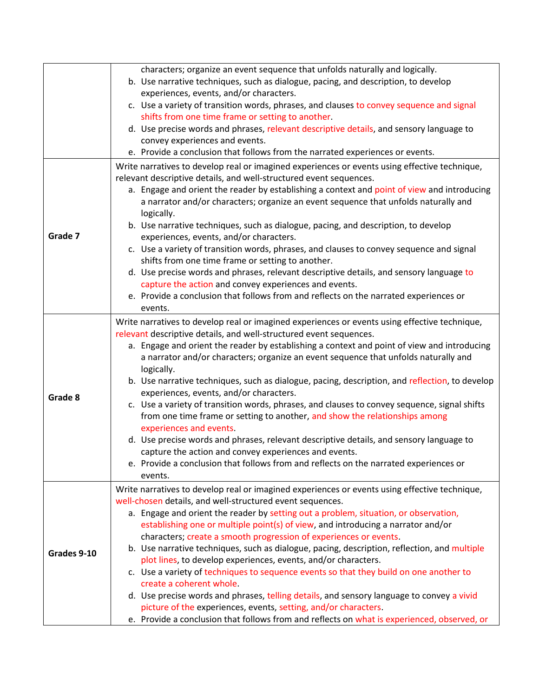|             | characters; organize an event sequence that unfolds naturally and logically.                   |
|-------------|------------------------------------------------------------------------------------------------|
|             | b. Use narrative techniques, such as dialogue, pacing, and description, to develop             |
|             | experiences, events, and/or characters.                                                        |
|             | c. Use a variety of transition words, phrases, and clauses to convey sequence and signal       |
|             | shifts from one time frame or setting to another.                                              |
|             | d. Use precise words and phrases, relevant descriptive details, and sensory language to        |
|             | convey experiences and events.                                                                 |
|             | e. Provide a conclusion that follows from the narrated experiences or events.                  |
|             | Write narratives to develop real or imagined experiences or events using effective technique,  |
|             | relevant descriptive details, and well-structured event sequences.                             |
|             | a. Engage and orient the reader by establishing a context and point of view and introducing    |
|             | a narrator and/or characters; organize an event sequence that unfolds naturally and            |
|             | logically.                                                                                     |
|             | b. Use narrative techniques, such as dialogue, pacing, and description, to develop             |
| Grade 7     | experiences, events, and/or characters.                                                        |
|             | c. Use a variety of transition words, phrases, and clauses to convey sequence and signal       |
|             | shifts from one time frame or setting to another.                                              |
|             | d. Use precise words and phrases, relevant descriptive details, and sensory language to        |
|             | capture the action and convey experiences and events.                                          |
|             | e. Provide a conclusion that follows from and reflects on the narrated experiences or          |
|             | events.                                                                                        |
|             | Write narratives to develop real or imagined experiences or events using effective technique,  |
|             | relevant descriptive details, and well-structured event sequences.                             |
|             | a. Engage and orient the reader by establishing a context and point of view and introducing    |
|             | a narrator and/or characters; organize an event sequence that unfolds naturally and            |
|             | logically.                                                                                     |
|             | b. Use narrative techniques, such as dialogue, pacing, description, and reflection, to develop |
|             | experiences, events, and/or characters.                                                        |
| Grade 8     | c. Use a variety of transition words, phrases, and clauses to convey sequence, signal shifts   |
|             | from one time frame or setting to another, and show the relationships among                    |
|             | experiences and events.                                                                        |
|             | d. Use precise words and phrases, relevant descriptive details, and sensory language to        |
|             | capture the action and convey experiences and events.                                          |
|             | e. Provide a conclusion that follows from and reflects on the narrated experiences or          |
|             | events.                                                                                        |
|             | Write narratives to develop real or imagined experiences or events using effective technique,  |
|             | well-chosen details, and well-structured event sequences.                                      |
|             | a. Engage and orient the reader by setting out a problem, situation, or observation,           |
|             | establishing one or multiple point(s) of view, and introducing a narrator and/or               |
| Grades 9-10 | characters; create a smooth progression of experiences or events.                              |
|             | b. Use narrative techniques, such as dialogue, pacing, description, reflection, and multiple   |
|             | plot lines, to develop experiences, events, and/or characters.                                 |
|             | c. Use a variety of techniques to sequence events so that they build on one another to         |
|             | create a coherent whole.                                                                       |
|             | d. Use precise words and phrases, telling details, and sensory language to convey a vivid      |
|             | picture of the experiences, events, setting, and/or characters.                                |
|             | e. Provide a conclusion that follows from and reflects on what is experienced, observed, or    |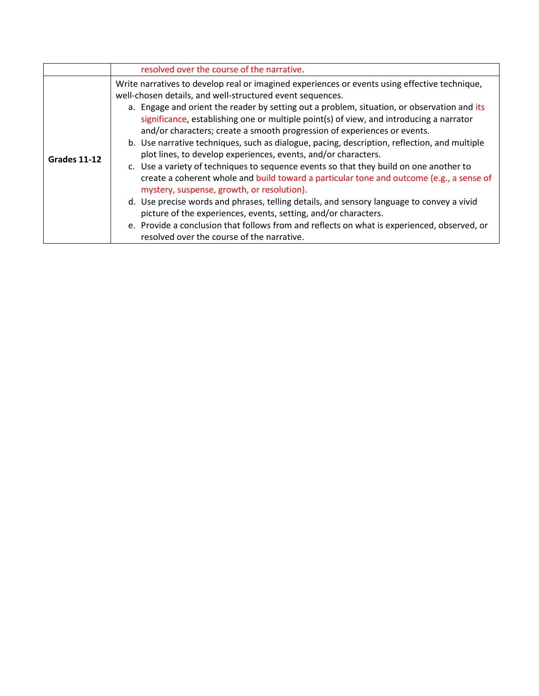|                     | resolved over the course of the narrative.                                                                                                                                                                                                                                                                                                                                                                                                                                                                                                                                                                                                                                                                                                                                                                                                                                                                                                                                                                                                                                                                                                          |
|---------------------|-----------------------------------------------------------------------------------------------------------------------------------------------------------------------------------------------------------------------------------------------------------------------------------------------------------------------------------------------------------------------------------------------------------------------------------------------------------------------------------------------------------------------------------------------------------------------------------------------------------------------------------------------------------------------------------------------------------------------------------------------------------------------------------------------------------------------------------------------------------------------------------------------------------------------------------------------------------------------------------------------------------------------------------------------------------------------------------------------------------------------------------------------------|
| <b>Grades 11-12</b> | Write narratives to develop real or imagined experiences or events using effective technique,<br>well-chosen details, and well-structured event sequences.<br>a. Engage and orient the reader by setting out a problem, situation, or observation and its<br>significance, establishing one or multiple point(s) of view, and introducing a narrator<br>and/or characters; create a smooth progression of experiences or events.<br>b. Use narrative techniques, such as dialogue, pacing, description, reflection, and multiple<br>plot lines, to develop experiences, events, and/or characters.<br>c. Use a variety of techniques to sequence events so that they build on one another to<br>create a coherent whole and build toward a particular tone and outcome (e.g., a sense of<br>mystery, suspense, growth, or resolution).<br>d. Use precise words and phrases, telling details, and sensory language to convey a vivid<br>picture of the experiences, events, setting, and/or characters.<br>e. Provide a conclusion that follows from and reflects on what is experienced, observed, or<br>resolved over the course of the narrative. |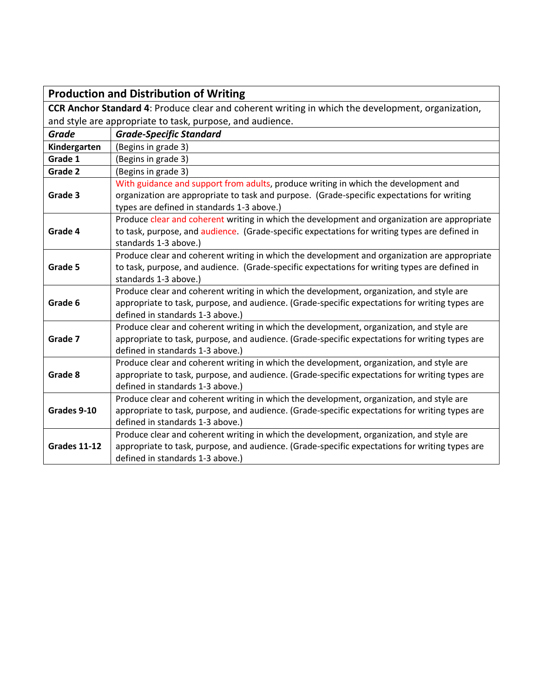|                                                                                                   | <b>Production and Distribution of Writing</b>                                                                                                                                                                                   |
|---------------------------------------------------------------------------------------------------|---------------------------------------------------------------------------------------------------------------------------------------------------------------------------------------------------------------------------------|
| CCR Anchor Standard 4: Produce clear and coherent writing in which the development, organization, |                                                                                                                                                                                                                                 |
| and style are appropriate to task, purpose, and audience.                                         |                                                                                                                                                                                                                                 |
| <b>Grade</b>                                                                                      | <b>Grade-Specific Standard</b>                                                                                                                                                                                                  |
| Kindergarten                                                                                      | (Begins in grade 3)                                                                                                                                                                                                             |
| Grade 1                                                                                           | (Begins in grade 3)                                                                                                                                                                                                             |
| Grade 2                                                                                           | (Begins in grade 3)                                                                                                                                                                                                             |
| Grade 3                                                                                           | With guidance and support from adults, produce writing in which the development and<br>organization are appropriate to task and purpose. (Grade-specific expectations for writing<br>types are defined in standards 1-3 above.) |
| Grade 4                                                                                           | Produce clear and coherent writing in which the development and organization are appropriate<br>to task, purpose, and audience. (Grade-specific expectations for writing types are defined in<br>standards 1-3 above.)          |
| Grade 5                                                                                           | Produce clear and coherent writing in which the development and organization are appropriate<br>to task, purpose, and audience. (Grade-specific expectations for writing types are defined in<br>standards 1-3 above.)          |
| Grade 6                                                                                           | Produce clear and coherent writing in which the development, organization, and style are<br>appropriate to task, purpose, and audience. (Grade-specific expectations for writing types are<br>defined in standards 1-3 above.)  |
| Grade 7                                                                                           | Produce clear and coherent writing in which the development, organization, and style are<br>appropriate to task, purpose, and audience. (Grade-specific expectations for writing types are<br>defined in standards 1-3 above.)  |
| Grade 8                                                                                           | Produce clear and coherent writing in which the development, organization, and style are<br>appropriate to task, purpose, and audience. (Grade-specific expectations for writing types are<br>defined in standards 1-3 above.)  |
| Grades 9-10                                                                                       | Produce clear and coherent writing in which the development, organization, and style are<br>appropriate to task, purpose, and audience. (Grade-specific expectations for writing types are<br>defined in standards 1-3 above.)  |
| <b>Grades 11-12</b>                                                                               | Produce clear and coherent writing in which the development, organization, and style are<br>appropriate to task, purpose, and audience. (Grade-specific expectations for writing types are<br>defined in standards 1-3 above.)  |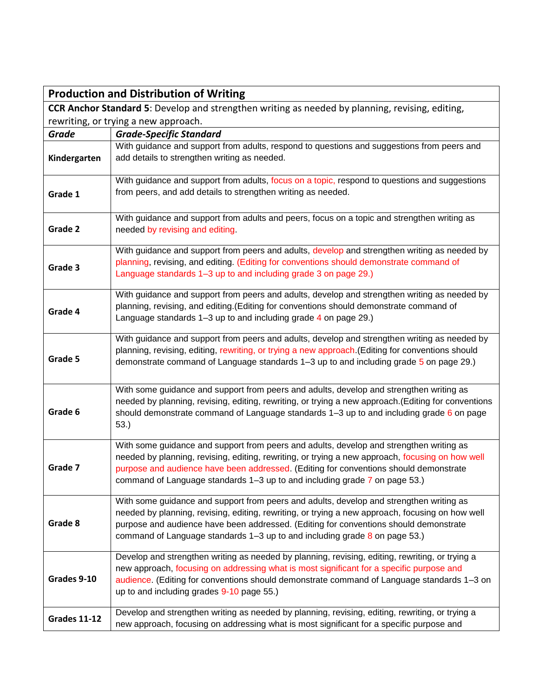| <b>Production and Distribution of Writing</b>                                                          |                                                                                                                                                                                                                                                                                                                                                                    |
|--------------------------------------------------------------------------------------------------------|--------------------------------------------------------------------------------------------------------------------------------------------------------------------------------------------------------------------------------------------------------------------------------------------------------------------------------------------------------------------|
| <b>CCR Anchor Standard 5:</b> Develop and strengthen writing as needed by planning, revising, editing, |                                                                                                                                                                                                                                                                                                                                                                    |
|                                                                                                        | rewriting, or trying a new approach.                                                                                                                                                                                                                                                                                                                               |
| <b>Grade</b>                                                                                           | <b>Grade-Specific Standard</b>                                                                                                                                                                                                                                                                                                                                     |
| Kindergarten                                                                                           | With guidance and support from adults, respond to questions and suggestions from peers and<br>add details to strengthen writing as needed.                                                                                                                                                                                                                         |
| Grade 1                                                                                                | With guidance and support from adults, focus on a topic, respond to questions and suggestions<br>from peers, and add details to strengthen writing as needed.                                                                                                                                                                                                      |
| Grade 2                                                                                                | With guidance and support from adults and peers, focus on a topic and strengthen writing as<br>needed by revising and editing.                                                                                                                                                                                                                                     |
| Grade 3                                                                                                | With guidance and support from peers and adults, develop and strengthen writing as needed by<br>planning, revising, and editing. (Editing for conventions should demonstrate command of<br>Language standards 1–3 up to and including grade 3 on page 29.)                                                                                                         |
| Grade 4                                                                                                | With guidance and support from peers and adults, develop and strengthen writing as needed by<br>planning, revising, and editing. (Editing for conventions should demonstrate command of<br>Language standards 1-3 up to and including grade 4 on page 29.)                                                                                                         |
| Grade 5                                                                                                | With guidance and support from peers and adults, develop and strengthen writing as needed by<br>planning, revising, editing, rewriting, or trying a new approach. (Editing for conventions should<br>demonstrate command of Language standards 1-3 up to and including grade 5 on page 29.)                                                                        |
| Grade 6                                                                                                | With some guidance and support from peers and adults, develop and strengthen writing as<br>needed by planning, revising, editing, rewriting, or trying a new approach. (Editing for conventions<br>should demonstrate command of Language standards $1-3$ up to and including grade 6 on page<br>53.)                                                              |
| Grade 7                                                                                                | With some guidance and support from peers and adults, develop and strengthen writing as<br>needed by planning, revising, editing, rewriting, or trying a new approach, focusing on how well<br>purpose and audience have been addressed. (Editing for conventions should demonstrate<br>command of Language standards 1-3 up to and including grade 7 on page 53.) |
| Grade 8                                                                                                | With some guidance and support from peers and adults, develop and strengthen writing as<br>needed by planning, revising, editing, rewriting, or trying a new approach, focusing on how well<br>purpose and audience have been addressed. (Editing for conventions should demonstrate<br>command of Language standards 1–3 up to and including grade 8 on page 53.) |
| Grades 9-10                                                                                            | Develop and strengthen writing as needed by planning, revising, editing, rewriting, or trying a<br>new approach, focusing on addressing what is most significant for a specific purpose and<br>audience. (Editing for conventions should demonstrate command of Language standards 1-3 on<br>up to and including grades 9-10 page 55.)                             |
| <b>Grades 11-12</b>                                                                                    | Develop and strengthen writing as needed by planning, revising, editing, rewriting, or trying a<br>new approach, focusing on addressing what is most significant for a specific purpose and                                                                                                                                                                        |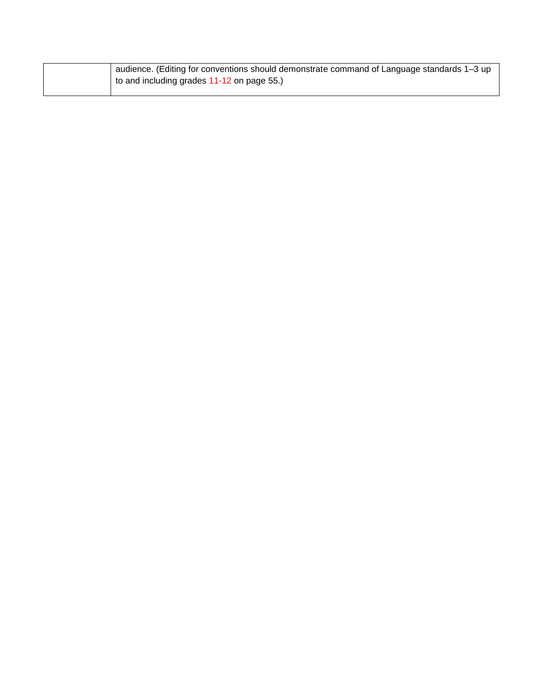| audience. (Editing for conventions should demonstrate command of Language standards 1–3 up |
|--------------------------------------------------------------------------------------------|
| to and including grades 11-12 on page 55.)                                                 |
|                                                                                            |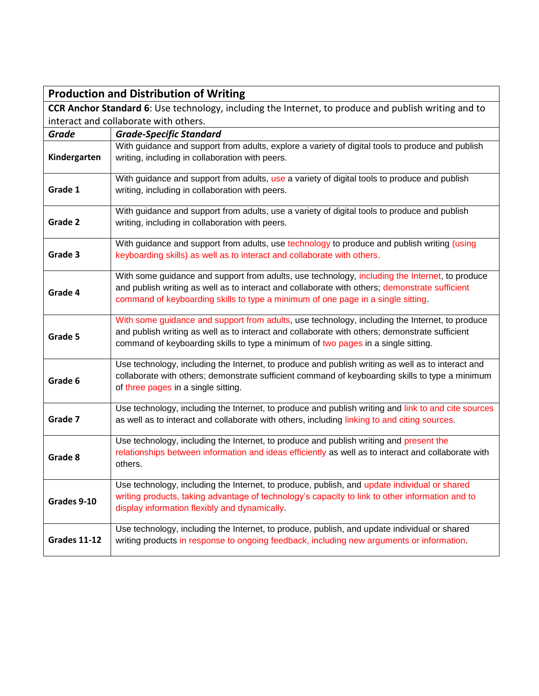| <b>Production and Distribution of Writing</b>                                                        |                                                                                                                                                                                                                                                                                       |  |  |
|------------------------------------------------------------------------------------------------------|---------------------------------------------------------------------------------------------------------------------------------------------------------------------------------------------------------------------------------------------------------------------------------------|--|--|
| CCR Anchor Standard 6: Use technology, including the Internet, to produce and publish writing and to |                                                                                                                                                                                                                                                                                       |  |  |
|                                                                                                      | interact and collaborate with others.                                                                                                                                                                                                                                                 |  |  |
| <b>Grade</b>                                                                                         | <b>Grade-Specific Standard</b>                                                                                                                                                                                                                                                        |  |  |
| Kindergarten                                                                                         | With guidance and support from adults, explore a variety of digital tools to produce and publish<br>writing, including in collaboration with peers.                                                                                                                                   |  |  |
| Grade 1                                                                                              | With guidance and support from adults, use a variety of digital tools to produce and publish<br>writing, including in collaboration with peers.                                                                                                                                       |  |  |
| Grade 2                                                                                              | With guidance and support from adults, use a variety of digital tools to produce and publish<br>writing, including in collaboration with peers.                                                                                                                                       |  |  |
| Grade 3                                                                                              | With guidance and support from adults, use technology to produce and publish writing (using<br>keyboarding skills) as well as to interact and collaborate with others.                                                                                                                |  |  |
| Grade 4                                                                                              | With some guidance and support from adults, use technology, including the Internet, to produce<br>and publish writing as well as to interact and collaborate with others; demonstrate sufficient<br>command of keyboarding skills to type a minimum of one page in a single sitting.  |  |  |
| Grade 5                                                                                              | With some guidance and support from adults, use technology, including the Internet, to produce<br>and publish writing as well as to interact and collaborate with others; demonstrate sufficient<br>command of keyboarding skills to type a minimum of two pages in a single sitting. |  |  |
| Grade 6                                                                                              | Use technology, including the Internet, to produce and publish writing as well as to interact and<br>collaborate with others; demonstrate sufficient command of keyboarding skills to type a minimum<br>of three pages in a single sitting.                                           |  |  |
| Grade 7                                                                                              | Use technology, including the Internet, to produce and publish writing and link to and cite sources<br>as well as to interact and collaborate with others, including linking to and citing sources.                                                                                   |  |  |
| Grade 8                                                                                              | Use technology, including the Internet, to produce and publish writing and present the<br>relationships between information and ideas efficiently as well as to interact and collaborate with<br>others.                                                                              |  |  |
| Grades 9-10                                                                                          | Use technology, including the Internet, to produce, publish, and update individual or shared<br>writing products, taking advantage of technology's capacity to link to other information and to<br>display information flexibly and dynamically.                                      |  |  |
| <b>Grades 11-12</b>                                                                                  | Use technology, including the Internet, to produce, publish, and update individual or shared<br>writing products in response to ongoing feedback, including new arguments or information.                                                                                             |  |  |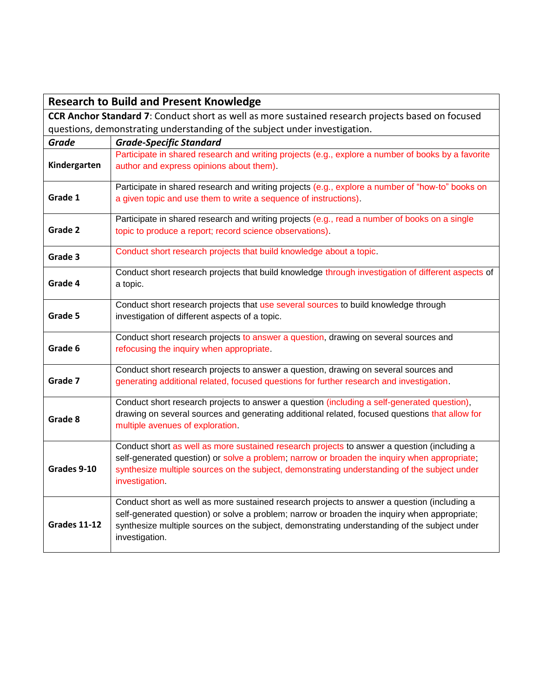|                     | <b>Research to Build and Present Knowledge</b>                                                                                                                                                                                                                                                                |  |
|---------------------|---------------------------------------------------------------------------------------------------------------------------------------------------------------------------------------------------------------------------------------------------------------------------------------------------------------|--|
|                     | CCR Anchor Standard 7: Conduct short as well as more sustained research projects based on focused                                                                                                                                                                                                             |  |
|                     | questions, demonstrating understanding of the subject under investigation.                                                                                                                                                                                                                                    |  |
| <b>Grade</b>        | <b>Grade-Specific Standard</b>                                                                                                                                                                                                                                                                                |  |
| Kindergarten        | Participate in shared research and writing projects (e.g., explore a number of books by a favorite<br>author and express opinions about them).                                                                                                                                                                |  |
| Grade 1             | Participate in shared research and writing projects (e.g., explore a number of "how-to" books on<br>a given topic and use them to write a sequence of instructions).                                                                                                                                          |  |
| Grade 2             | Participate in shared research and writing projects (e.g., read a number of books on a single<br>topic to produce a report; record science observations).                                                                                                                                                     |  |
| Grade 3             | Conduct short research projects that build knowledge about a topic.                                                                                                                                                                                                                                           |  |
| Grade 4             | Conduct short research projects that build knowledge through investigation of different aspects of<br>a topic.                                                                                                                                                                                                |  |
| Grade 5             | Conduct short research projects that use several sources to build knowledge through<br>investigation of different aspects of a topic.                                                                                                                                                                         |  |
| Grade 6             | Conduct short research projects to answer a question, drawing on several sources and<br>refocusing the inquiry when appropriate.                                                                                                                                                                              |  |
| Grade 7             | Conduct short research projects to answer a question, drawing on several sources and<br>generating additional related, focused questions for further research and investigation.                                                                                                                              |  |
| Grade 8             | Conduct short research projects to answer a question (including a self-generated question),<br>drawing on several sources and generating additional related, focused questions that allow for<br>multiple avenues of exploration.                                                                             |  |
| Grades 9-10         | Conduct short as well as more sustained research projects to answer a question (including a<br>self-generated question) or solve a problem; narrow or broaden the inquiry when appropriate;<br>synthesize multiple sources on the subject, demonstrating understanding of the subject under<br>investigation. |  |
| <b>Grades 11-12</b> | Conduct short as well as more sustained research projects to answer a question (including a<br>self-generated question) or solve a problem; narrow or broaden the inquiry when appropriate;<br>synthesize multiple sources on the subject, demonstrating understanding of the subject under<br>investigation. |  |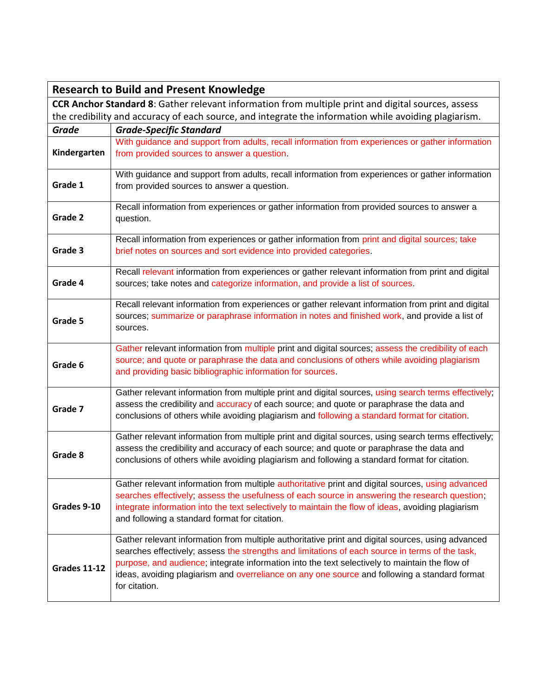|                                                                                                           | <b>Research to Build and Present Knowledge</b>                                                                                                                                                   |
|-----------------------------------------------------------------------------------------------------------|--------------------------------------------------------------------------------------------------------------------------------------------------------------------------------------------------|
| <b>CCR Anchor Standard 8:</b> Gather relevant information from multiple print and digital sources, assess |                                                                                                                                                                                                  |
|                                                                                                           | the credibility and accuracy of each source, and integrate the information while avoiding plagiarism.                                                                                            |
| <b>Grade</b>                                                                                              | <b>Grade-Specific Standard</b>                                                                                                                                                                   |
|                                                                                                           | With guidance and support from adults, recall information from experiences or gather information                                                                                                 |
| Kindergarten                                                                                              | from provided sources to answer a question.                                                                                                                                                      |
|                                                                                                           | With guidance and support from adults, recall information from experiences or gather information                                                                                                 |
| Grade 1                                                                                                   | from provided sources to answer a question.                                                                                                                                                      |
|                                                                                                           |                                                                                                                                                                                                  |
| Grade 2                                                                                                   | Recall information from experiences or gather information from provided sources to answer a                                                                                                      |
|                                                                                                           | question.                                                                                                                                                                                        |
|                                                                                                           | Recall information from experiences or gather information from print and digital sources; take                                                                                                   |
| Grade 3                                                                                                   | brief notes on sources and sort evidence into provided categories.                                                                                                                               |
|                                                                                                           | Recall relevant information from experiences or gather relevant information from print and digital                                                                                               |
| Grade 4                                                                                                   | sources; take notes and categorize information, and provide a list of sources.                                                                                                                   |
|                                                                                                           |                                                                                                                                                                                                  |
|                                                                                                           | Recall relevant information from experiences or gather relevant information from print and digital                                                                                               |
| Grade 5                                                                                                   | sources; summarize or paraphrase information in notes and finished work, and provide a list of                                                                                                   |
|                                                                                                           | sources.                                                                                                                                                                                         |
|                                                                                                           | Gather relevant information from multiple print and digital sources; assess the credibility of each                                                                                              |
| Grade 6                                                                                                   | source; and quote or paraphrase the data and conclusions of others while avoiding plagiarism                                                                                                     |
|                                                                                                           | and providing basic bibliographic information for sources.                                                                                                                                       |
|                                                                                                           | Gather relevant information from multiple print and digital sources, using search terms effectively;                                                                                             |
| Grade 7                                                                                                   | assess the credibility and accuracy of each source; and quote or paraphrase the data and                                                                                                         |
|                                                                                                           | conclusions of others while avoiding plagiarism and following a standard format for citation.                                                                                                    |
|                                                                                                           |                                                                                                                                                                                                  |
|                                                                                                           | Gather relevant information from multiple print and digital sources, using search terms effectively;<br>assess the credibility and accuracy of each source; and quote or paraphrase the data and |
| Grade 8                                                                                                   | conclusions of others while avoiding plagiarism and following a standard format for citation.                                                                                                    |
|                                                                                                           |                                                                                                                                                                                                  |
|                                                                                                           | Gather relevant information from multiple authoritative print and digital sources, using advanced                                                                                                |
|                                                                                                           | searches effectively; assess the usefulness of each source in answering the research question;                                                                                                   |
| Grades 9-10                                                                                               | integrate information into the text selectively to maintain the flow of ideas, avoiding plagiarism                                                                                               |
|                                                                                                           | and following a standard format for citation.                                                                                                                                                    |
|                                                                                                           | Gather relevant information from multiple authoritative print and digital sources, using advanced                                                                                                |
|                                                                                                           | searches effectively; assess the strengths and limitations of each source in terms of the task,                                                                                                  |
| <b>Grades 11-12</b>                                                                                       | purpose, and audience; integrate information into the text selectively to maintain the flow of                                                                                                   |
|                                                                                                           | ideas, avoiding plagiarism and overreliance on any one source and following a standard format                                                                                                    |
|                                                                                                           | for citation.                                                                                                                                                                                    |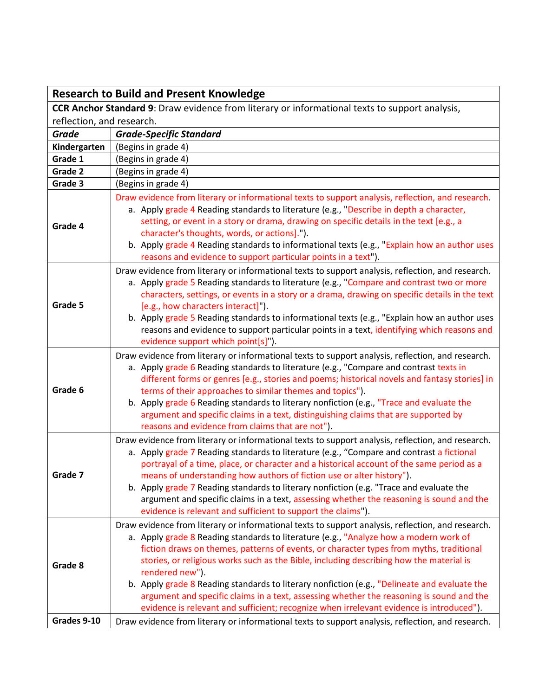## **Research to Build and Present Knowledge**

**CCR Anchor Standard 9**: Draw evidence from literary or informational texts to support analysis, reflection, and research.

| . Cheecion, and research. |                                                                                                                                                                                                                                                                                                                                                                                                                                                                                                                                                                                                                                                                                             |
|---------------------------|---------------------------------------------------------------------------------------------------------------------------------------------------------------------------------------------------------------------------------------------------------------------------------------------------------------------------------------------------------------------------------------------------------------------------------------------------------------------------------------------------------------------------------------------------------------------------------------------------------------------------------------------------------------------------------------------|
| Grade                     | <b>Grade-Specific Standard</b>                                                                                                                                                                                                                                                                                                                                                                                                                                                                                                                                                                                                                                                              |
| Kindergarten              | (Begins in grade 4)                                                                                                                                                                                                                                                                                                                                                                                                                                                                                                                                                                                                                                                                         |
| Grade 1                   | (Begins in grade 4)                                                                                                                                                                                                                                                                                                                                                                                                                                                                                                                                                                                                                                                                         |
| Grade 2                   | (Begins in grade 4)                                                                                                                                                                                                                                                                                                                                                                                                                                                                                                                                                                                                                                                                         |
| Grade 3                   | (Begins in grade 4)                                                                                                                                                                                                                                                                                                                                                                                                                                                                                                                                                                                                                                                                         |
| Grade 4                   | Draw evidence from literary or informational texts to support analysis, reflection, and research.<br>a. Apply grade 4 Reading standards to literature (e.g., "Describe in depth a character,<br>setting, or event in a story or drama, drawing on specific details in the text [e.g., a<br>character's thoughts, words, or actions].").<br>b. Apply grade 4 Reading standards to informational texts (e.g., "Explain how an author uses<br>reasons and evidence to support particular points in a text").                                                                                                                                                                                   |
| Grade 5                   | Draw evidence from literary or informational texts to support analysis, reflection, and research.<br>a. Apply grade 5 Reading standards to literature (e.g., "Compare and contrast two or more<br>characters, settings, or events in a story or a drama, drawing on specific details in the text<br>[e.g., how characters interact]").<br>b. Apply grade 5 Reading standards to informational texts (e.g., "Explain how an author uses<br>reasons and evidence to support particular points in a text, identifying which reasons and<br>evidence support which point[s]").                                                                                                                  |
| Grade 6                   | Draw evidence from literary or informational texts to support analysis, reflection, and research.<br>a. Apply grade 6 Reading standards to literature (e.g., "Compare and contrast texts in<br>different forms or genres [e.g., stories and poems; historical novels and fantasy stories] in<br>terms of their approaches to similar themes and topics").<br>b. Apply grade 6 Reading standards to literary nonfiction (e.g., "Trace and evaluate the<br>argument and specific claims in a text, distinguishing claims that are supported by<br>reasons and evidence from claims that are not").                                                                                            |
| Grade 7                   | Draw evidence from literary or informational texts to support analysis, reflection, and research.<br>a. Apply grade 7 Reading standards to literature (e.g., "Compare and contrast a fictional<br>portrayal of a time, place, or character and a historical account of the same period as a<br>means of understanding how authors of fiction use or alter history").<br>b. Apply grade 7 Reading standards to literary nonfiction (e.g. "Trace and evaluate the<br>argument and specific claims in a text, assessing whether the reasoning is sound and the<br>evidence is relevant and sufficient to support the claims").                                                                 |
| Grade 8<br>Grades 9-10    | Draw evidence from literary or informational texts to support analysis, reflection, and research.<br>a. Apply grade 8 Reading standards to literature (e.g., "Analyze how a modern work of<br>fiction draws on themes, patterns of events, or character types from myths, traditional<br>stories, or religious works such as the Bible, including describing how the material is<br>rendered new").<br>b. Apply grade 8 Reading standards to literary nonfiction (e.g., "Delineate and evaluate the<br>argument and specific claims in a text, assessing whether the reasoning is sound and the<br>evidence is relevant and sufficient; recognize when irrelevant evidence is introduced"). |
|                           | Draw evidence from literary or informational texts to support analysis, reflection, and research.                                                                                                                                                                                                                                                                                                                                                                                                                                                                                                                                                                                           |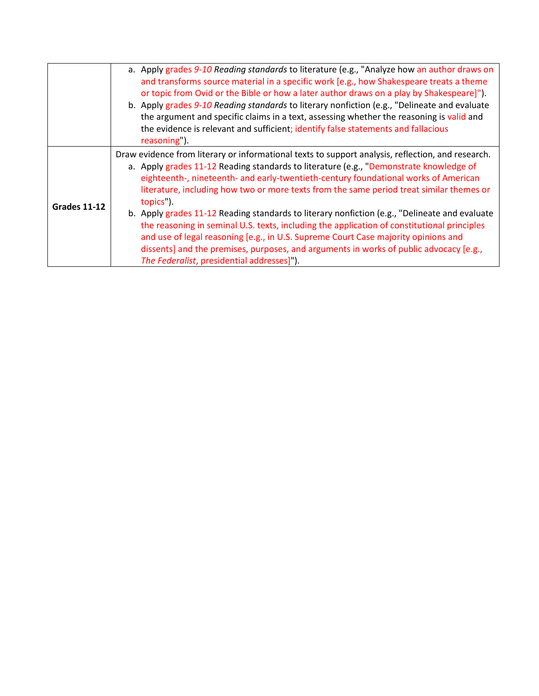|              | a. Apply grades 9-10 Reading standards to literature (e.g., "Analyze how an author draws on<br>and transforms source material in a specific work [e.g., how Shakespeare treats a theme<br>or topic from Ovid or the Bible or how a later author draws on a play by Shakespeare]").<br>b. Apply grades 9-10 Reading standards to literary nonfiction (e.g., "Delineate and evaluate<br>the argument and specific claims in a text, assessing whether the reasoning is valid and<br>the evidence is relevant and sufficient; identify false statements and fallacious<br>reasoning").                                                                                                                                                                                                                                       |
|--------------|---------------------------------------------------------------------------------------------------------------------------------------------------------------------------------------------------------------------------------------------------------------------------------------------------------------------------------------------------------------------------------------------------------------------------------------------------------------------------------------------------------------------------------------------------------------------------------------------------------------------------------------------------------------------------------------------------------------------------------------------------------------------------------------------------------------------------|
| Grades 11-12 | Draw evidence from literary or informational texts to support analysis, reflection, and research.<br>a. Apply grades 11-12 Reading standards to literature (e.g., "Demonstrate knowledge of<br>eighteenth-, nineteenth- and early-twentieth-century foundational works of American<br>literature, including how two or more texts from the same period treat similar themes or<br>topics").<br>b. Apply grades 11-12 Reading standards to literary nonfiction (e.g., "Delineate and evaluate<br>the reasoning in seminal U.S. texts, including the application of constitutional principles<br>and use of legal reasoning [e.g., in U.S. Supreme Court Case majority opinions and<br>dissents] and the premises, purposes, and arguments in works of public advocacy [e.g.,<br>The Federalist, presidential addresses]"). |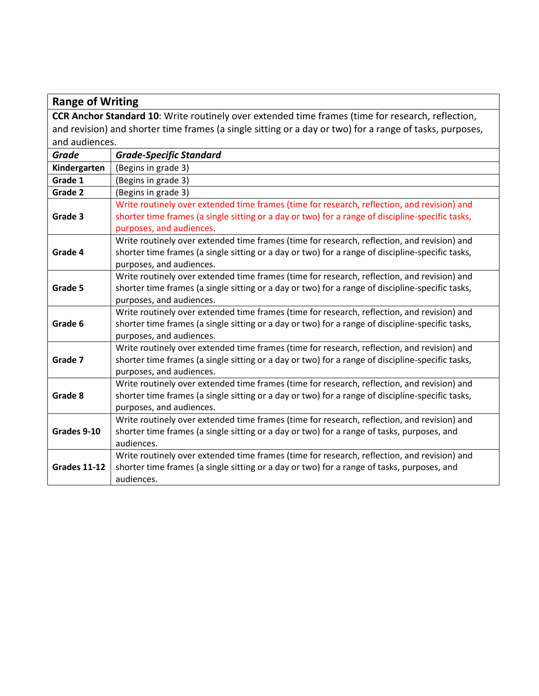## **Range of Writing**

**CCR Anchor Standard 10**: Write routinely over extended time frames (time for research, reflection, and revision) and shorter time frames (a single sitting or a day or two) for a range of tasks, purposes, and audiences.

| Grade               | <b>Grade-Specific Standard</b>                                                                                                                                                                                              |
|---------------------|-----------------------------------------------------------------------------------------------------------------------------------------------------------------------------------------------------------------------------|
| Kindergarten        | (Begins in grade 3)                                                                                                                                                                                                         |
| Grade 1             | (Begins in grade 3)                                                                                                                                                                                                         |
| Grade 2             | (Begins in grade 3)                                                                                                                                                                                                         |
| Grade 3             | Write routinely over extended time frames (time for research, reflection, and revision) and<br>shorter time frames (a single sitting or a day or two) for a range of discipline-specific tasks,                             |
|                     | purposes, and audiences.                                                                                                                                                                                                    |
| Grade 4             | Write routinely over extended time frames (time for research, reflection, and revision) and<br>shorter time frames (a single sitting or a day or two) for a range of discipline-specific tasks,<br>purposes, and audiences. |
| Grade 5             | Write routinely over extended time frames (time for research, reflection, and revision) and<br>shorter time frames (a single sitting or a day or two) for a range of discipline-specific tasks,<br>purposes, and audiences. |
| Grade 6             | Write routinely over extended time frames (time for research, reflection, and revision) and<br>shorter time frames (a single sitting or a day or two) for a range of discipline-specific tasks,<br>purposes, and audiences. |
| Grade 7             | Write routinely over extended time frames (time for research, reflection, and revision) and<br>shorter time frames (a single sitting or a day or two) for a range of discipline-specific tasks,<br>purposes, and audiences. |
| Grade 8             | Write routinely over extended time frames (time for research, reflection, and revision) and<br>shorter time frames (a single sitting or a day or two) for a range of discipline-specific tasks,<br>purposes, and audiences. |
| Grades 9-10         | Write routinely over extended time frames (time for research, reflection, and revision) and<br>shorter time frames (a single sitting or a day or two) for a range of tasks, purposes, and<br>audiences.                     |
| <b>Grades 11-12</b> | Write routinely over extended time frames (time for research, reflection, and revision) and<br>shorter time frames (a single sitting or a day or two) for a range of tasks, purposes, and<br>audiences.                     |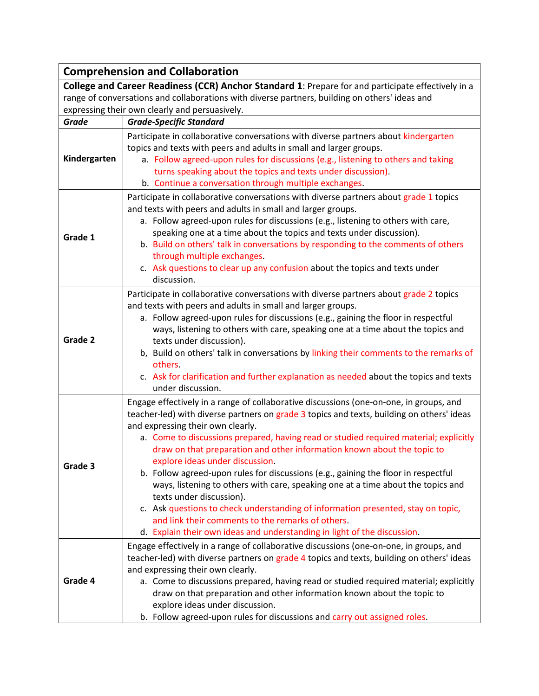| <b>Comprehension and Collaboration</b>                                                                                                                                                                                                                 |                                                                                                                                                                                                                                                                                                                                                                                                                                                                                                                                                                                                                                                                                                                                                                                                                                                            |  |
|--------------------------------------------------------------------------------------------------------------------------------------------------------------------------------------------------------------------------------------------------------|------------------------------------------------------------------------------------------------------------------------------------------------------------------------------------------------------------------------------------------------------------------------------------------------------------------------------------------------------------------------------------------------------------------------------------------------------------------------------------------------------------------------------------------------------------------------------------------------------------------------------------------------------------------------------------------------------------------------------------------------------------------------------------------------------------------------------------------------------------|--|
| College and Career Readiness (CCR) Anchor Standard 1: Prepare for and participate effectively in a<br>range of conversations and collaborations with diverse partners, building on others' ideas and<br>expressing their own clearly and persuasively. |                                                                                                                                                                                                                                                                                                                                                                                                                                                                                                                                                                                                                                                                                                                                                                                                                                                            |  |
| <b>Grade</b>                                                                                                                                                                                                                                           | <b>Grade-Specific Standard</b>                                                                                                                                                                                                                                                                                                                                                                                                                                                                                                                                                                                                                                                                                                                                                                                                                             |  |
| Kindergarten                                                                                                                                                                                                                                           | Participate in collaborative conversations with diverse partners about kindergarten<br>topics and texts with peers and adults in small and larger groups.<br>a. Follow agreed-upon rules for discussions (e.g., listening to others and taking<br>turns speaking about the topics and texts under discussion).<br>b. Continue a conversation through multiple exchanges.                                                                                                                                                                                                                                                                                                                                                                                                                                                                                   |  |
| Grade 1                                                                                                                                                                                                                                                | Participate in collaborative conversations with diverse partners about grade 1 topics<br>and texts with peers and adults in small and larger groups.<br>a. Follow agreed-upon rules for discussions (e.g., listening to others with care,<br>speaking one at a time about the topics and texts under discussion).<br>b. Build on others' talk in conversations by responding to the comments of others<br>through multiple exchanges.<br>c. Ask questions to clear up any confusion about the topics and texts under<br>discussion.                                                                                                                                                                                                                                                                                                                        |  |
| Grade 2                                                                                                                                                                                                                                                | Participate in collaborative conversations with diverse partners about grade 2 topics<br>and texts with peers and adults in small and larger groups.<br>a. Follow agreed-upon rules for discussions (e.g., gaining the floor in respectful<br>ways, listening to others with care, speaking one at a time about the topics and<br>texts under discussion).<br>b, Build on others' talk in conversations by linking their comments to the remarks of<br>others.<br>c. Ask for clarification and further explanation as needed about the topics and texts<br>under discussion.                                                                                                                                                                                                                                                                               |  |
| Grade 3                                                                                                                                                                                                                                                | Engage effectively in a range of collaborative discussions (one-on-one, in groups, and<br>teacher-led) with diverse partners on grade 3 topics and texts, building on others' ideas<br>and expressing their own clearly.<br>a. Come to discussions prepared, having read or studied required material; explicitly<br>draw on that preparation and other information known about the topic to<br>explore ideas under discussion.<br>b. Follow agreed-upon rules for discussions (e.g., gaining the floor in respectful<br>ways, listening to others with care, speaking one at a time about the topics and<br>texts under discussion).<br>c. Ask questions to check understanding of information presented, stay on topic,<br>and link their comments to the remarks of others.<br>d. Explain their own ideas and understanding in light of the discussion. |  |
| Grade 4                                                                                                                                                                                                                                                | Engage effectively in a range of collaborative discussions (one-on-one, in groups, and<br>teacher-led) with diverse partners on grade 4 topics and texts, building on others' ideas<br>and expressing their own clearly.<br>a. Come to discussions prepared, having read or studied required material; explicitly<br>draw on that preparation and other information known about the topic to<br>explore ideas under discussion.<br>b. Follow agreed-upon rules for discussions and carry out assigned roles.                                                                                                                                                                                                                                                                                                                                               |  |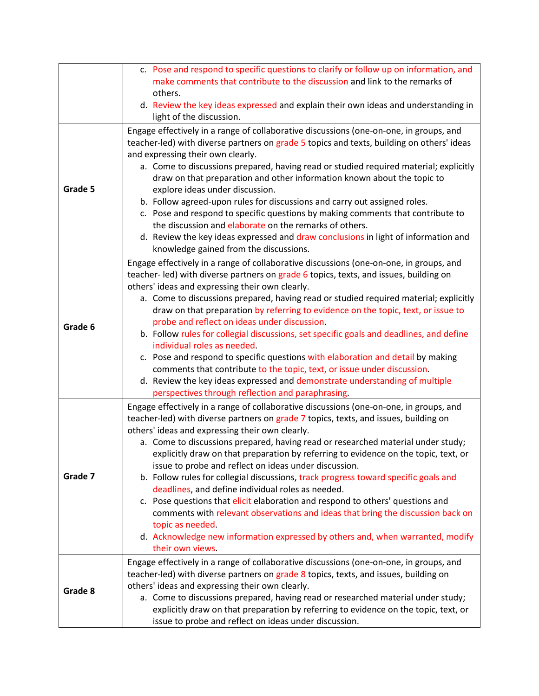|         | c. Pose and respond to specific questions to clarify or follow up on information, and<br>make comments that contribute to the discussion and link to the remarks of<br>others.                                                                                                                                                                                                                                                                                                                                                                                                                                                                                                                                                                                                                                                                                                                                   |
|---------|------------------------------------------------------------------------------------------------------------------------------------------------------------------------------------------------------------------------------------------------------------------------------------------------------------------------------------------------------------------------------------------------------------------------------------------------------------------------------------------------------------------------------------------------------------------------------------------------------------------------------------------------------------------------------------------------------------------------------------------------------------------------------------------------------------------------------------------------------------------------------------------------------------------|
|         | d. Review the key ideas expressed and explain their own ideas and understanding in<br>light of the discussion.                                                                                                                                                                                                                                                                                                                                                                                                                                                                                                                                                                                                                                                                                                                                                                                                   |
| Grade 5 | Engage effectively in a range of collaborative discussions (one-on-one, in groups, and<br>teacher-led) with diverse partners on grade 5 topics and texts, building on others' ideas<br>and expressing their own clearly.<br>a. Come to discussions prepared, having read or studied required material; explicitly<br>draw on that preparation and other information known about the topic to<br>explore ideas under discussion.<br>b. Follow agreed-upon rules for discussions and carry out assigned roles.<br>c. Pose and respond to specific questions by making comments that contribute to<br>the discussion and elaborate on the remarks of others.<br>d. Review the key ideas expressed and draw conclusions in light of information and<br>knowledge gained from the discussions.                                                                                                                        |
| Grade 6 | Engage effectively in a range of collaborative discussions (one-on-one, in groups, and<br>teacher-led) with diverse partners on grade 6 topics, texts, and issues, building on<br>others' ideas and expressing their own clearly.<br>a. Come to discussions prepared, having read or studied required material; explicitly<br>draw on that preparation by referring to evidence on the topic, text, or issue to<br>probe and reflect on ideas under discussion.<br>b. Follow rules for collegial discussions, set specific goals and deadlines, and define<br>individual roles as needed.<br>c. Pose and respond to specific questions with elaboration and detail by making<br>comments that contribute to the topic, text, or issue under discussion.<br>d. Review the key ideas expressed and demonstrate understanding of multiple<br>perspectives through reflection and paraphrasing.                      |
| Grade 7 | Engage effectively in a range of collaborative discussions (one-on-one, in groups, and<br>teacher-led) with diverse partners on grade 7 topics, texts, and issues, building on<br>others' ideas and expressing their own clearly.<br>a. Come to discussions prepared, having read or researched material under study;<br>explicitly draw on that preparation by referring to evidence on the topic, text, or<br>issue to probe and reflect on ideas under discussion.<br>b. Follow rules for collegial discussions, track progress toward specific goals and<br>deadlines, and define individual roles as needed.<br>c. Pose questions that elicit elaboration and respond to others' questions and<br>comments with relevant observations and ideas that bring the discussion back on<br>topic as needed.<br>d. Acknowledge new information expressed by others and, when warranted, modify<br>their own views. |
| Grade 8 | Engage effectively in a range of collaborative discussions (one-on-one, in groups, and<br>teacher-led) with diverse partners on grade 8 topics, texts, and issues, building on<br>others' ideas and expressing their own clearly.<br>a. Come to discussions prepared, having read or researched material under study;<br>explicitly draw on that preparation by referring to evidence on the topic, text, or<br>issue to probe and reflect on ideas under discussion.                                                                                                                                                                                                                                                                                                                                                                                                                                            |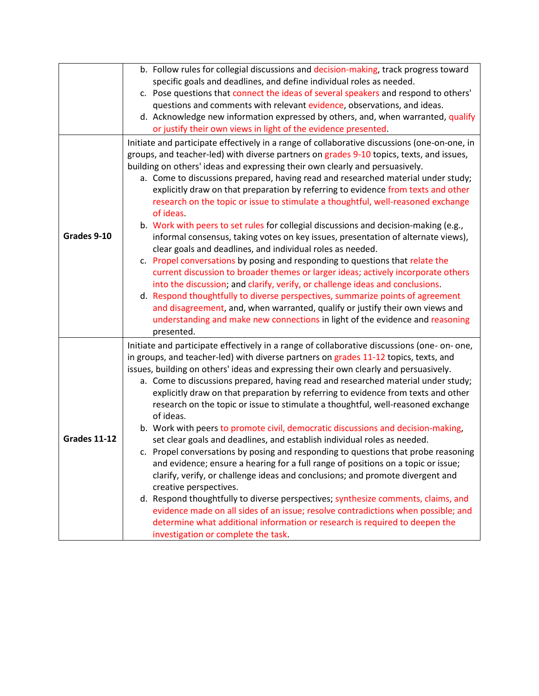|                     | b. Follow rules for collegial discussions and decision-making, track progress toward<br>specific goals and deadlines, and define individual roles as needed.<br>c. Pose questions that connect the ideas of several speakers and respond to others'<br>questions and comments with relevant evidence, observations, and ideas.<br>d. Acknowledge new information expressed by others, and, when warranted, qualify<br>or justify their own views in light of the evidence presented.                                                                                                                                                                                                                                                                                                                                                                                                                                                                                                                                                                                                                                                                                                                                                                                                                                    |
|---------------------|-------------------------------------------------------------------------------------------------------------------------------------------------------------------------------------------------------------------------------------------------------------------------------------------------------------------------------------------------------------------------------------------------------------------------------------------------------------------------------------------------------------------------------------------------------------------------------------------------------------------------------------------------------------------------------------------------------------------------------------------------------------------------------------------------------------------------------------------------------------------------------------------------------------------------------------------------------------------------------------------------------------------------------------------------------------------------------------------------------------------------------------------------------------------------------------------------------------------------------------------------------------------------------------------------------------------------|
| Grades 9-10         | Initiate and participate effectively in a range of collaborative discussions (one-on-one, in<br>groups, and teacher-led) with diverse partners on grades 9-10 topics, texts, and issues,<br>building on others' ideas and expressing their own clearly and persuasively.<br>a. Come to discussions prepared, having read and researched material under study;<br>explicitly draw on that preparation by referring to evidence from texts and other<br>research on the topic or issue to stimulate a thoughtful, well-reasoned exchange<br>of ideas.<br>b. Work with peers to set rules for collegial discussions and decision-making (e.g.,<br>informal consensus, taking votes on key issues, presentation of alternate views),<br>clear goals and deadlines, and individual roles as needed.<br>c. Propel conversations by posing and responding to questions that relate the<br>current discussion to broader themes or larger ideas; actively incorporate others<br>into the discussion; and clarify, verify, or challenge ideas and conclusions.<br>d. Respond thoughtfully to diverse perspectives, summarize points of agreement<br>and disagreement, and, when warranted, qualify or justify their own views and<br>understanding and make new connections in light of the evidence and reasoning<br>presented. |
| <b>Grades 11-12</b> | Initiate and participate effectively in a range of collaborative discussions (one- on- one,<br>in groups, and teacher-led) with diverse partners on grades 11-12 topics, texts, and<br>issues, building on others' ideas and expressing their own clearly and persuasively.<br>a. Come to discussions prepared, having read and researched material under study;<br>explicitly draw on that preparation by referring to evidence from texts and other<br>research on the topic or issue to stimulate a thoughtful, well-reasoned exchange<br>of ideas.<br>b. Work with peers to promote civil, democratic discussions and decision-making,<br>set clear goals and deadlines, and establish individual roles as needed.<br>c. Propel conversations by posing and responding to questions that probe reasoning<br>and evidence; ensure a hearing for a full range of positions on a topic or issue;<br>clarify, verify, or challenge ideas and conclusions; and promote divergent and<br>creative perspectives.<br>d. Respond thoughtfully to diverse perspectives; synthesize comments, claims, and<br>evidence made on all sides of an issue; resolve contradictions when possible; and<br>determine what additional information or research is required to deepen the<br>investigation or complete the task.           |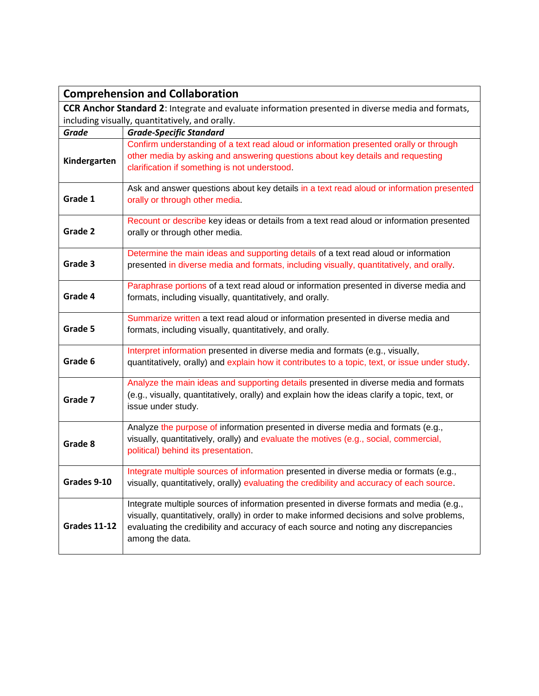|                     | <b>Comprehension and Collaboration</b>                                                                                                                                                                                                                                                         |  |
|---------------------|------------------------------------------------------------------------------------------------------------------------------------------------------------------------------------------------------------------------------------------------------------------------------------------------|--|
|                     | <b>CCR Anchor Standard 2:</b> Integrate and evaluate information presented in diverse media and formats,                                                                                                                                                                                       |  |
|                     | including visually, quantitatively, and orally.                                                                                                                                                                                                                                                |  |
| <b>Grade</b>        | <b>Grade-Specific Standard</b>                                                                                                                                                                                                                                                                 |  |
| Kindergarten        | Confirm understanding of a text read aloud or information presented orally or through<br>other media by asking and answering questions about key details and requesting<br>clarification if something is not understood.                                                                       |  |
| Grade 1             | Ask and answer questions about key details in a text read aloud or information presented<br>orally or through other media.                                                                                                                                                                     |  |
| Grade 2             | Recount or describe key ideas or details from a text read aloud or information presented<br>orally or through other media.                                                                                                                                                                     |  |
| Grade 3             | Determine the main ideas and supporting details of a text read aloud or information<br>presented in diverse media and formats, including visually, quantitatively, and orally.                                                                                                                 |  |
| Grade 4             | Paraphrase portions of a text read aloud or information presented in diverse media and<br>formats, including visually, quantitatively, and orally.                                                                                                                                             |  |
| Grade 5             | Summarize written a text read aloud or information presented in diverse media and<br>formats, including visually, quantitatively, and orally.                                                                                                                                                  |  |
| Grade 6             | Interpret information presented in diverse media and formats (e.g., visually,<br>quantitatively, orally) and explain how it contributes to a topic, text, or issue under study.                                                                                                                |  |
| Grade 7             | Analyze the main ideas and supporting details presented in diverse media and formats<br>(e.g., visually, quantitatively, orally) and explain how the ideas clarify a topic, text, or<br>issue under study.                                                                                     |  |
| Grade 8             | Analyze the purpose of information presented in diverse media and formats (e.g.,<br>visually, quantitatively, orally) and evaluate the motives (e.g., social, commercial,<br>political) behind its presentation.                                                                               |  |
| Grades 9-10         | Integrate multiple sources of information presented in diverse media or formats (e.g.,<br>visually, quantitatively, orally) evaluating the credibility and accuracy of each source.                                                                                                            |  |
| <b>Grades 11-12</b> | Integrate multiple sources of information presented in diverse formats and media (e.g.,<br>visually, quantitatively, orally) in order to make informed decisions and solve problems,<br>evaluating the credibility and accuracy of each source and noting any discrepancies<br>among the data. |  |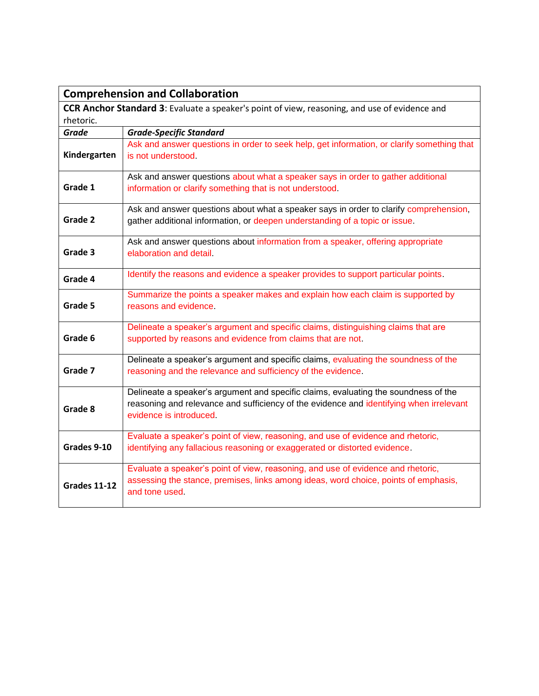|                     | <b>Comprehension and Collaboration</b>                                                                                                                                                                    |  |
|---------------------|-----------------------------------------------------------------------------------------------------------------------------------------------------------------------------------------------------------|--|
|                     | <b>CCR Anchor Standard 3:</b> Evaluate a speaker's point of view, reasoning, and use of evidence and                                                                                                      |  |
| rhetoric.           |                                                                                                                                                                                                           |  |
| <b>Grade</b>        | <b>Grade-Specific Standard</b>                                                                                                                                                                            |  |
| Kindergarten        | Ask and answer questions in order to seek help, get information, or clarify something that<br>is not understood.                                                                                          |  |
| Grade 1             | Ask and answer questions about what a speaker says in order to gather additional<br>information or clarify something that is not understood.                                                              |  |
| Grade 2             | Ask and answer questions about what a speaker says in order to clarify comprehension,<br>gather additional information, or deepen understanding of a topic or issue.                                      |  |
| Grade 3             | Ask and answer questions about information from a speaker, offering appropriate<br>elaboration and detail.                                                                                                |  |
| Grade 4             | Identify the reasons and evidence a speaker provides to support particular points.                                                                                                                        |  |
| Grade 5             | Summarize the points a speaker makes and explain how each claim is supported by<br>reasons and evidence.                                                                                                  |  |
| Grade 6             | Delineate a speaker's argument and specific claims, distinguishing claims that are<br>supported by reasons and evidence from claims that are not.                                                         |  |
| Grade 7             | Delineate a speaker's argument and specific claims, evaluating the soundness of the<br>reasoning and the relevance and sufficiency of the evidence.                                                       |  |
| Grade 8             | Delineate a speaker's argument and specific claims, evaluating the soundness of the<br>reasoning and relevance and sufficiency of the evidence and identifying when irrelevant<br>evidence is introduced. |  |
| Grades 9-10         | Evaluate a speaker's point of view, reasoning, and use of evidence and rhetoric,<br>identifying any fallacious reasoning or exaggerated or distorted evidence.                                            |  |
| <b>Grades 11-12</b> | Evaluate a speaker's point of view, reasoning, and use of evidence and rhetoric,<br>assessing the stance, premises, links among ideas, word choice, points of emphasis,<br>and tone used.                 |  |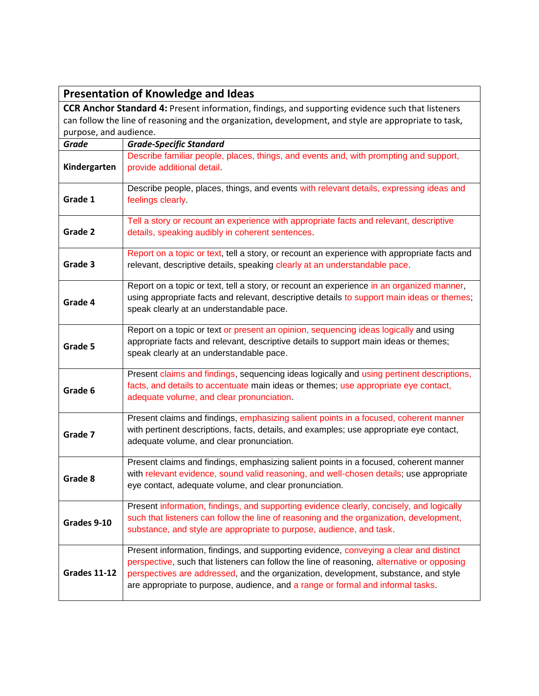|                        | <b>Presentation of Knowledge and Ideas</b>                                                                                                                                                                                                                                                                                                                     |  |
|------------------------|----------------------------------------------------------------------------------------------------------------------------------------------------------------------------------------------------------------------------------------------------------------------------------------------------------------------------------------------------------------|--|
|                        | <b>CCR Anchor Standard 4: Present information, findings, and supporting evidence such that listeners</b>                                                                                                                                                                                                                                                       |  |
|                        | can follow the line of reasoning and the organization, development, and style are appropriate to task,                                                                                                                                                                                                                                                         |  |
| purpose, and audience. |                                                                                                                                                                                                                                                                                                                                                                |  |
| <b>Grade</b>           | <b>Grade-Specific Standard</b>                                                                                                                                                                                                                                                                                                                                 |  |
| Kindergarten           | Describe familiar people, places, things, and events and, with prompting and support,<br>provide additional detail.                                                                                                                                                                                                                                            |  |
| Grade 1                | Describe people, places, things, and events with relevant details, expressing ideas and<br>feelings clearly.                                                                                                                                                                                                                                                   |  |
| Grade 2                | Tell a story or recount an experience with appropriate facts and relevant, descriptive<br>details, speaking audibly in coherent sentences.                                                                                                                                                                                                                     |  |
| Grade 3                | Report on a topic or text, tell a story, or recount an experience with appropriate facts and<br>relevant, descriptive details, speaking clearly at an understandable pace.                                                                                                                                                                                     |  |
| Grade 4                | Report on a topic or text, tell a story, or recount an experience in an organized manner,<br>using appropriate facts and relevant, descriptive details to support main ideas or themes;<br>speak clearly at an understandable pace.                                                                                                                            |  |
| Grade 5                | Report on a topic or text or present an opinion, sequencing ideas logically and using<br>appropriate facts and relevant, descriptive details to support main ideas or themes;<br>speak clearly at an understandable pace.                                                                                                                                      |  |
| Grade 6                | Present claims and findings, sequencing ideas logically and using pertinent descriptions,<br>facts, and details to accentuate main ideas or themes; use appropriate eye contact,<br>adequate volume, and clear pronunciation.                                                                                                                                  |  |
| Grade 7                | Present claims and findings, emphasizing salient points in a focused, coherent manner<br>with pertinent descriptions, facts, details, and examples; use appropriate eye contact,<br>adequate volume, and clear pronunciation.                                                                                                                                  |  |
| Grade 8                | Present claims and findings, emphasizing salient points in a focused, coherent manner<br>with relevant evidence, sound valid reasoning, and well-chosen details; use appropriate<br>eye contact, adequate volume, and clear pronunciation.                                                                                                                     |  |
| Grades 9-10            | Present information, findings, and supporting evidence clearly, concisely, and logically<br>such that listeners can follow the line of reasoning and the organization, development,<br>substance, and style are appropriate to purpose, audience, and task.                                                                                                    |  |
| <b>Grades 11-12</b>    | Present information, findings, and supporting evidence, conveying a clear and distinct<br>perspective, such that listeners can follow the line of reasoning, alternative or opposing<br>perspectives are addressed, and the organization, development, substance, and style<br>are appropriate to purpose, audience, and a range or formal and informal tasks. |  |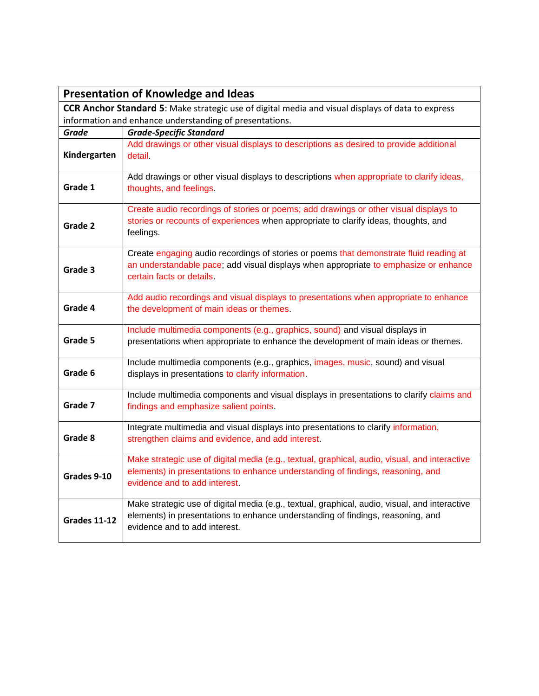|                     | <b>Presentation of Knowledge and Ideas</b>                                                                                                                                                                        |  |
|---------------------|-------------------------------------------------------------------------------------------------------------------------------------------------------------------------------------------------------------------|--|
|                     | CCR Anchor Standard 5: Make strategic use of digital media and visual displays of data to express                                                                                                                 |  |
|                     | information and enhance understanding of presentations.                                                                                                                                                           |  |
| Grade               | <b>Grade-Specific Standard</b>                                                                                                                                                                                    |  |
| Kindergarten        | Add drawings or other visual displays to descriptions as desired to provide additional<br>detail.                                                                                                                 |  |
| Grade 1             | Add drawings or other visual displays to descriptions when appropriate to clarify ideas,<br>thoughts, and feelings.                                                                                               |  |
| Grade 2             | Create audio recordings of stories or poems; add drawings or other visual displays to<br>stories or recounts of experiences when appropriate to clarify ideas, thoughts, and<br>feelings.                         |  |
| Grade 3             | Create engaging audio recordings of stories or poems that demonstrate fluid reading at<br>an understandable pace; add visual displays when appropriate to emphasize or enhance<br>certain facts or details.       |  |
| Grade 4             | Add audio recordings and visual displays to presentations when appropriate to enhance<br>the development of main ideas or themes.                                                                                 |  |
| Grade 5             | Include multimedia components (e.g., graphics, sound) and visual displays in<br>presentations when appropriate to enhance the development of main ideas or themes.                                                |  |
| Grade 6             | Include multimedia components (e.g., graphics, images, music, sound) and visual<br>displays in presentations to clarify information.                                                                              |  |
| Grade 7             | Include multimedia components and visual displays in presentations to clarify claims and<br>findings and emphasize salient points.                                                                                |  |
| Grade 8             | Integrate multimedia and visual displays into presentations to clarify information,<br>strengthen claims and evidence, and add interest.                                                                          |  |
| Grades 9-10         | Make strategic use of digital media (e.g., textual, graphical, audio, visual, and interactive<br>elements) in presentations to enhance understanding of findings, reasoning, and<br>evidence and to add interest. |  |
| <b>Grades 11-12</b> | Make strategic use of digital media (e.g., textual, graphical, audio, visual, and interactive<br>elements) in presentations to enhance understanding of findings, reasoning, and<br>evidence and to add interest. |  |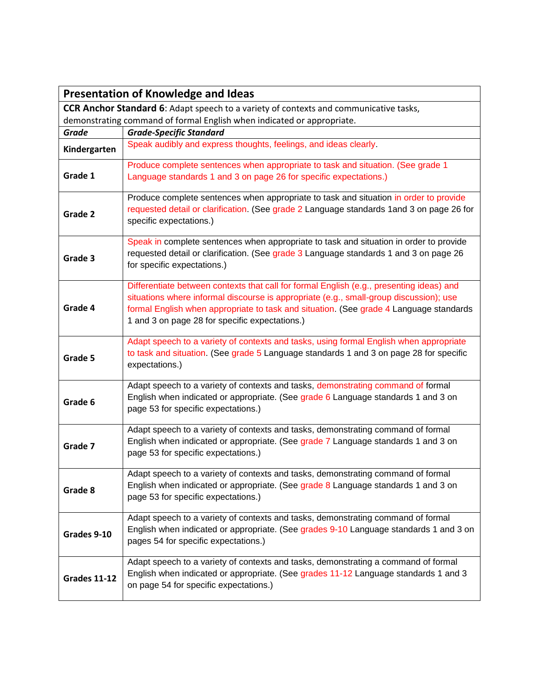|                                                                                       | <b>Presentation of Knowledge and Ideas</b>                                                                                                                                                                                                                                                                                     |
|---------------------------------------------------------------------------------------|--------------------------------------------------------------------------------------------------------------------------------------------------------------------------------------------------------------------------------------------------------------------------------------------------------------------------------|
| CCR Anchor Standard 6: Adapt speech to a variety of contexts and communicative tasks, |                                                                                                                                                                                                                                                                                                                                |
|                                                                                       | demonstrating command of formal English when indicated or appropriate.                                                                                                                                                                                                                                                         |
| <b>Grade</b>                                                                          | <b>Grade-Specific Standard</b>                                                                                                                                                                                                                                                                                                 |
| Kindergarten                                                                          | Speak audibly and express thoughts, feelings, and ideas clearly.                                                                                                                                                                                                                                                               |
| Grade 1                                                                               | Produce complete sentences when appropriate to task and situation. (See grade 1<br>Language standards 1 and 3 on page 26 for specific expectations.)                                                                                                                                                                           |
| Grade 2                                                                               | Produce complete sentences when appropriate to task and situation in order to provide<br>requested detail or clarification. (See grade 2 Language standards 1 and 3 on page 26 for<br>specific expectations.)                                                                                                                  |
| Grade 3                                                                               | Speak in complete sentences when appropriate to task and situation in order to provide<br>requested detail or clarification. (See grade 3 Language standards 1 and 3 on page 26<br>for specific expectations.)                                                                                                                 |
| Grade 4                                                                               | Differentiate between contexts that call for formal English (e.g., presenting ideas) and<br>situations where informal discourse is appropriate (e.g., small-group discussion); use<br>formal English when appropriate to task and situation. (See grade 4 Language standards<br>1 and 3 on page 28 for specific expectations.) |
| Grade 5                                                                               | Adapt speech to a variety of contexts and tasks, using formal English when appropriate<br>to task and situation. (See grade 5 Language standards 1 and 3 on page 28 for specific<br>expectations.)                                                                                                                             |
| Grade 6                                                                               | Adapt speech to a variety of contexts and tasks, demonstrating command of formal<br>English when indicated or appropriate. (See grade 6 Language standards 1 and 3 on<br>page 53 for specific expectations.)                                                                                                                   |
| Grade 7                                                                               | Adapt speech to a variety of contexts and tasks, demonstrating command of formal<br>English when indicated or appropriate. (See grade 7 Language standards 1 and 3 on<br>page 53 for specific expectations.)                                                                                                                   |
| Grade 8                                                                               | Adapt speech to a variety of contexts and tasks, demonstrating command of formal<br>English when indicated or appropriate. (See grade 8 Language standards 1 and 3 on<br>page 53 for specific expectations.)                                                                                                                   |
| Grades 9-10                                                                           | Adapt speech to a variety of contexts and tasks, demonstrating command of formal<br>English when indicated or appropriate. (See grades 9-10 Language standards 1 and 3 on<br>pages 54 for specific expectations.)                                                                                                              |
| <b>Grades 11-12</b>                                                                   | Adapt speech to a variety of contexts and tasks, demonstrating a command of formal<br>English when indicated or appropriate. (See grades 11-12 Language standards 1 and 3<br>on page 54 for specific expectations.)                                                                                                            |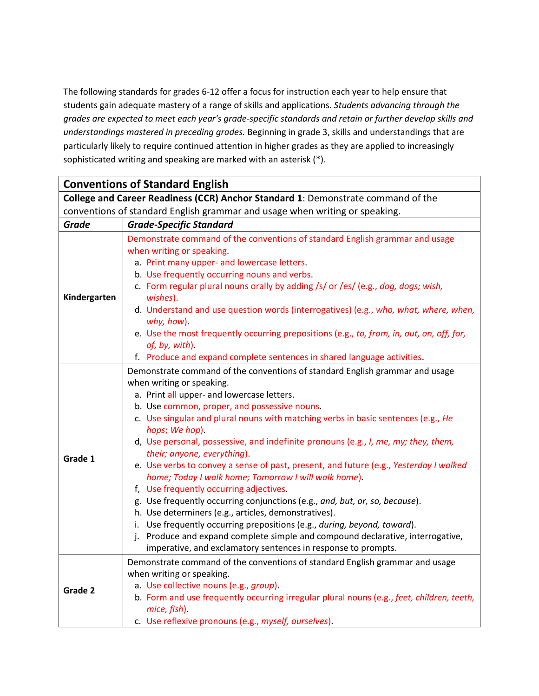The following standards for grades 6-12 offer a focus for instruction each year to help ensure that students gain adequate mastery of a range of skills and applications. *Students advancing through the grades are expected to meet each year's grade-specific standards and retain or further develop skills and understandings mastered in preceding grades.* Beginning in grade 3, skills and understandings that are particularly likely to require continued attention in higher grades as they are applied to increasingly sophisticated writing and speaking are marked with an asterisk (\*).

|                                                                                  | <b>Conventions of Standard English</b>                                                                                                                                                                                                                                                                                                                                                                                                                                                                                                                                                                                                                                                                                                                                                                                                                                                                                                                                                                |
|----------------------------------------------------------------------------------|-------------------------------------------------------------------------------------------------------------------------------------------------------------------------------------------------------------------------------------------------------------------------------------------------------------------------------------------------------------------------------------------------------------------------------------------------------------------------------------------------------------------------------------------------------------------------------------------------------------------------------------------------------------------------------------------------------------------------------------------------------------------------------------------------------------------------------------------------------------------------------------------------------------------------------------------------------------------------------------------------------|
| College and Career Readiness (CCR) Anchor Standard 1: Demonstrate command of the |                                                                                                                                                                                                                                                                                                                                                                                                                                                                                                                                                                                                                                                                                                                                                                                                                                                                                                                                                                                                       |
|                                                                                  | conventions of standard English grammar and usage when writing or speaking.                                                                                                                                                                                                                                                                                                                                                                                                                                                                                                                                                                                                                                                                                                                                                                                                                                                                                                                           |
| <b>Grade</b>                                                                     | <b>Grade-Specific Standard</b>                                                                                                                                                                                                                                                                                                                                                                                                                                                                                                                                                                                                                                                                                                                                                                                                                                                                                                                                                                        |
| Kindergarten                                                                     | Demonstrate command of the conventions of standard English grammar and usage<br>when writing or speaking.<br>a. Print many upper- and lowercase letters.<br>b. Use frequently occurring nouns and verbs.<br>c. Form regular plural nouns orally by adding /s/ or /es/ (e.g., dog, dogs; wish,<br>wishes).<br>d. Understand and use question words (interrogatives) (e.g., who, what, where, when,<br>why, how)<br>e. Use the most frequently occurring prepositions (e.g., to, from, in, out, on, off, for,<br>of, by, with)<br>f. Produce and expand complete sentences in shared language activities.                                                                                                                                                                                                                                                                                                                                                                                               |
| Grade 1                                                                          | Demonstrate command of the conventions of standard English grammar and usage<br>when writing or speaking.<br>a. Print all upper- and lowercase letters.<br>b. Use common, proper, and possessive nouns.<br>c. Use singular and plural nouns with matching verbs in basic sentences (e.g., He<br>hops; We hop).<br>d, Use personal, possessive, and indefinite pronouns (e.g., I, me, my; they, them,<br>their; anyone, everything).<br>e. Use verbs to convey a sense of past, present, and future (e.g., Yesterday I walked<br>home; Today I walk home; Tomorrow I will walk home).<br>f, Use frequently occurring adjectives.<br>g. Use frequently occurring conjunctions (e.g., and, but, or, so, because).<br>h. Use determiners (e.g., articles, demonstratives).<br>i. Use frequently occurring prepositions (e.g., during, beyond, toward).<br>j. Produce and expand complete simple and compound declarative, interrogative,<br>imperative, and exclamatory sentences in response to prompts. |
| Grade 2                                                                          | Demonstrate command of the conventions of standard English grammar and usage<br>when writing or speaking.<br>a. Use collective nouns (e.g., group).<br>b. Form and use frequently occurring irregular plural nouns (e.g., feet, children, teeth,<br>mice, fish).<br>c. Use reflexive pronouns (e.g., myself, ourselves).                                                                                                                                                                                                                                                                                                                                                                                                                                                                                                                                                                                                                                                                              |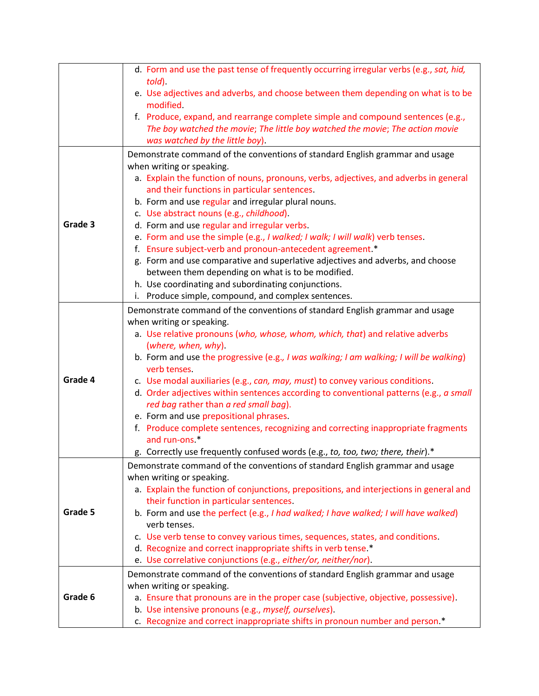|         | d. Form and use the past tense of frequently occurring irregular verbs (e.g., sat, hid,<br>told)                                           |
|---------|--------------------------------------------------------------------------------------------------------------------------------------------|
|         | e. Use adjectives and adverbs, and choose between them depending on what is to be<br>modified.                                             |
|         | f. Produce, expand, and rearrange complete simple and compound sentences (e.g.,                                                            |
|         | The boy watched the movie; The little boy watched the movie; The action movie                                                              |
|         | was watched by the little boy).                                                                                                            |
|         | Demonstrate command of the conventions of standard English grammar and usage                                                               |
|         | when writing or speaking.                                                                                                                  |
|         | a. Explain the function of nouns, pronouns, verbs, adjectives, and adverbs in general                                                      |
|         | and their functions in particular sentences.                                                                                               |
|         | b. Form and use regular and irregular plural nouns.                                                                                        |
| Grade 3 | c. Use abstract nouns (e.g., childhood).                                                                                                   |
|         | d. Form and use regular and irregular verbs.                                                                                               |
|         | e. Form and use the simple (e.g., I walked; I walk; I will walk) verb tenses.<br>f. Ensure subject-verb and pronoun-antecedent agreement.* |
|         | g. Form and use comparative and superlative adjectives and adverbs, and choose                                                             |
|         | between them depending on what is to be modified.                                                                                          |
|         | h. Use coordinating and subordinating conjunctions.                                                                                        |
|         | i. Produce simple, compound, and complex sentences.                                                                                        |
|         | Demonstrate command of the conventions of standard English grammar and usage                                                               |
|         | when writing or speaking.                                                                                                                  |
|         | a. Use relative pronouns (who, whose, whom, which, that) and relative adverbs                                                              |
|         | (where, when, why).                                                                                                                        |
|         | b. Form and use the progressive (e.g., I was walking; I am walking; I will be walking)                                                     |
|         | verb tenses.                                                                                                                               |
| Grade 4 | c. Use modal auxiliaries (e.g., can, may, must) to convey various conditions.                                                              |
|         | d. Order adjectives within sentences according to conventional patterns (e.g., a small                                                     |
|         | red bag rather than a red small bag).                                                                                                      |
|         | e. Form and use prepositional phrases.                                                                                                     |
|         | f. Produce complete sentences, recognizing and correcting inappropriate fragments<br>and run-ons <sup>*</sup>                              |
|         | g. Correctly use frequently confused words (e.g., to, too, two; there, their).*                                                            |
|         | Demonstrate command of the conventions of standard English grammar and usage                                                               |
|         | when writing or speaking.                                                                                                                  |
|         | a. Explain the function of conjunctions, prepositions, and interjections in general and                                                    |
|         | their function in particular sentences.                                                                                                    |
| Grade 5 | b. Form and use the perfect (e.g., I had walked; I have walked; I will have walked)                                                        |
|         | verb tenses.                                                                                                                               |
|         | c. Use verb tense to convey various times, sequences, states, and conditions.                                                              |
|         | d. Recognize and correct inappropriate shifts in verb tense *                                                                              |
|         | e. Use correlative conjunctions (e.g., either/or, neither/nor).                                                                            |
|         | Demonstrate command of the conventions of standard English grammar and usage                                                               |
|         | when writing or speaking.                                                                                                                  |
| Grade 6 | a. Ensure that pronouns are in the proper case (subjective, objective, possessive).                                                        |
|         | b. Use intensive pronouns (e.g., myself, ourselves).                                                                                       |
|         | c. Recognize and correct inappropriate shifts in pronoun number and person.*                                                               |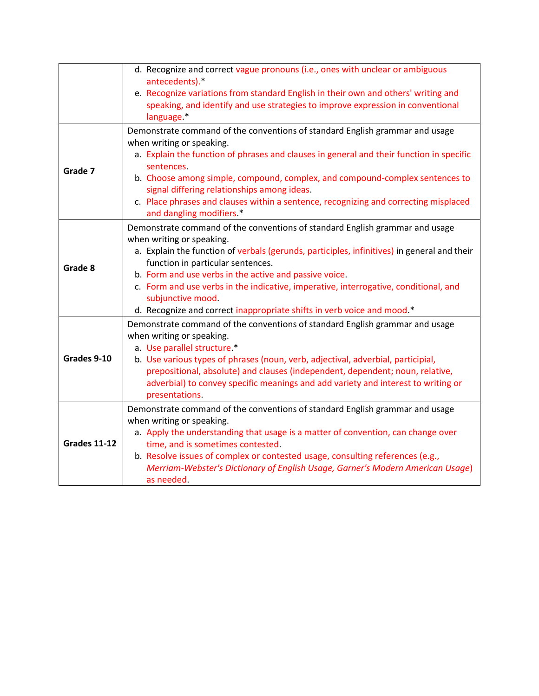|                     | d. Recognize and correct vague pronouns (i.e., ones with unclear or ambiguous<br>antecedents).*<br>e. Recognize variations from standard English in their own and others' writing and                                                                                                                                                                                                                                                                                                          |
|---------------------|------------------------------------------------------------------------------------------------------------------------------------------------------------------------------------------------------------------------------------------------------------------------------------------------------------------------------------------------------------------------------------------------------------------------------------------------------------------------------------------------|
|                     | speaking, and identify and use strategies to improve expression in conventional<br>language.*                                                                                                                                                                                                                                                                                                                                                                                                  |
| Grade 7             | Demonstrate command of the conventions of standard English grammar and usage<br>when writing or speaking.<br>a. Explain the function of phrases and clauses in general and their function in specific<br>sentences.<br>b. Choose among simple, compound, complex, and compound-complex sentences to<br>signal differing relationships among ideas.<br>c. Place phrases and clauses within a sentence, recognizing and correcting misplaced<br>and dangling modifiers.*                         |
| Grade 8             | Demonstrate command of the conventions of standard English grammar and usage<br>when writing or speaking.<br>a. Explain the function of verbals (gerunds, participles, infinitives) in general and their<br>function in particular sentences.<br>b. Form and use verbs in the active and passive voice.<br>c. Form and use verbs in the indicative, imperative, interrogative, conditional, and<br>subjunctive mood.<br>d. Recognize and correct inappropriate shifts in verb voice and mood.* |
| Grades 9-10         | Demonstrate command of the conventions of standard English grammar and usage<br>when writing or speaking.<br>a. Use parallel structure.*<br>b. Use various types of phrases (noun, verb, adjectival, adverbial, participial,<br>prepositional, absolute) and clauses (independent, dependent; noun, relative,<br>adverbial) to convey specific meanings and add variety and interest to writing or<br>presentations.                                                                           |
| <b>Grades 11-12</b> | Demonstrate command of the conventions of standard English grammar and usage<br>when writing or speaking.<br>a. Apply the understanding that usage is a matter of convention, can change over<br>time, and is sometimes contested.<br>b. Resolve issues of complex or contested usage, consulting references (e.g.,<br>Merriam-Webster's Dictionary of English Usage, Garner's Modern American Usage)<br>as needed.                                                                            |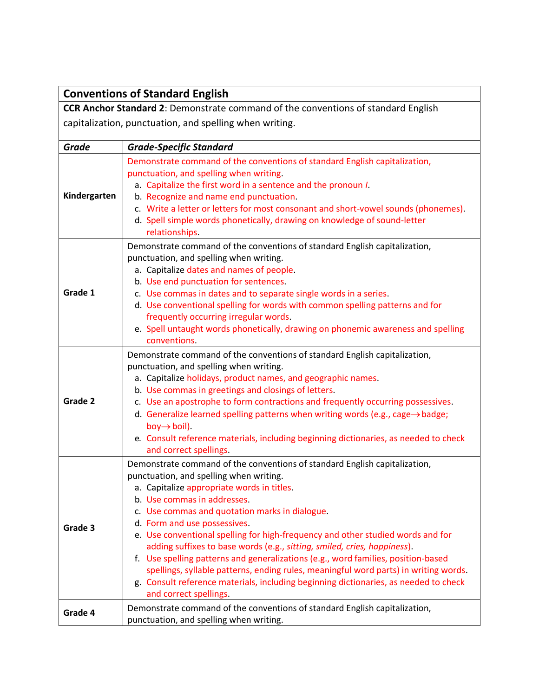|              | <b>Conventions of Standard English</b>                                                                                                                        |
|--------------|---------------------------------------------------------------------------------------------------------------------------------------------------------------|
|              | <b>CCR Anchor Standard 2: Demonstrate command of the conventions of standard English</b>                                                                      |
|              | capitalization, punctuation, and spelling when writing.                                                                                                       |
|              |                                                                                                                                                               |
| <b>Grade</b> | <b>Grade-Specific Standard</b>                                                                                                                                |
|              | Demonstrate command of the conventions of standard English capitalization,                                                                                    |
|              | punctuation, and spelling when writing.                                                                                                                       |
|              | a. Capitalize the first word in a sentence and the pronoun I.                                                                                                 |
| Kindergarten | b. Recognize and name end punctuation.                                                                                                                        |
|              | c. Write a letter or letters for most consonant and short-vowel sounds (phonemes).                                                                            |
|              | d. Spell simple words phonetically, drawing on knowledge of sound-letter                                                                                      |
|              | relationships.                                                                                                                                                |
|              | Demonstrate command of the conventions of standard English capitalization,                                                                                    |
|              | punctuation, and spelling when writing.                                                                                                                       |
|              | a. Capitalize dates and names of people.                                                                                                                      |
| Grade 1      | b. Use end punctuation for sentences.<br>c. Use commas in dates and to separate single words in a series.                                                     |
|              | d. Use conventional spelling for words with common spelling patterns and for                                                                                  |
|              | frequently occurring irregular words.                                                                                                                         |
|              | e. Spell untaught words phonetically, drawing on phonemic awareness and spelling                                                                              |
|              | conventions.                                                                                                                                                  |
|              | Demonstrate command of the conventions of standard English capitalization,                                                                                    |
|              | punctuation, and spelling when writing.                                                                                                                       |
|              | a. Capitalize holidays, product names, and geographic names.                                                                                                  |
|              | b. Use commas in greetings and closings of letters.                                                                                                           |
| Grade 2      | c. Use an apostrophe to form contractions and frequently occurring possessives.                                                                               |
|              | d. Generalize learned spelling patterns when writing words (e.g., cage $\rightarrow$ badge;                                                                   |
|              | $boy \rightarrow boil$ ).                                                                                                                                     |
|              | e. Consult reference materials, including beginning dictionaries, as needed to check                                                                          |
|              | and correct spellings.                                                                                                                                        |
|              | Demonstrate command of the conventions of standard English capitalization,                                                                                    |
|              | punctuation, and spelling when writing.                                                                                                                       |
|              | a. Capitalize appropriate words in titles.                                                                                                                    |
|              | b. Use commas in addresses.                                                                                                                                   |
|              | c. Use commas and quotation marks in dialogue.                                                                                                                |
| Grade 3      | d. Form and use possessives.                                                                                                                                  |
|              | e. Use conventional spelling for high-frequency and other studied words and for                                                                               |
|              | adding suffixes to base words (e.g., sitting, smiled, cries, happiness).<br>f. Use spelling patterns and generalizations (e.g., word families, position-based |
|              | spellings, syllable patterns, ending rules, meaningful word parts) in writing words.                                                                          |
|              | g. Consult reference materials, including beginning dictionaries, as needed to check                                                                          |
|              | and correct spellings.                                                                                                                                        |
|              | Demonstrate command of the conventions of standard English capitalization,                                                                                    |
| Grade 4      | punctuation, and spelling when writing.                                                                                                                       |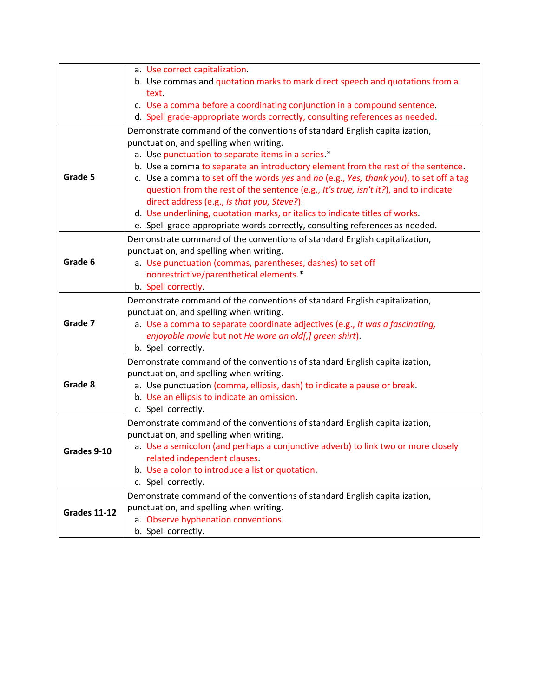|                     | a. Use correct capitalization.                                                                                              |
|---------------------|-----------------------------------------------------------------------------------------------------------------------------|
|                     | b. Use commas and quotation marks to mark direct speech and quotations from a                                               |
|                     | text.                                                                                                                       |
|                     | c. Use a comma before a coordinating conjunction in a compound sentence.                                                    |
|                     | d. Spell grade-appropriate words correctly, consulting references as needed.                                                |
|                     | Demonstrate command of the conventions of standard English capitalization,                                                  |
|                     | punctuation, and spelling when writing.                                                                                     |
|                     | a. Use punctuation to separate items in a series.*                                                                          |
|                     | b. Use a comma to separate an introductory element from the rest of the sentence.                                           |
| Grade 5             | c. Use a comma to set off the words yes and no (e.g., Yes, thank you), to set off a tag                                     |
|                     | question from the rest of the sentence (e.g., It's true, isn't it?), and to indicate                                        |
|                     |                                                                                                                             |
|                     | direct address (e.g., Is that you, Steve?).<br>d. Use underlining, quotation marks, or italics to indicate titles of works. |
|                     |                                                                                                                             |
|                     | e. Spell grade-appropriate words correctly, consulting references as needed.                                                |
|                     | Demonstrate command of the conventions of standard English capitalization,                                                  |
|                     | punctuation, and spelling when writing.                                                                                     |
| Grade 6             | a. Use punctuation (commas, parentheses, dashes) to set off                                                                 |
|                     | nonrestrictive/parenthetical elements *                                                                                     |
|                     | b. Spell correctly.                                                                                                         |
|                     | Demonstrate command of the conventions of standard English capitalization,                                                  |
|                     | punctuation, and spelling when writing.                                                                                     |
| Grade 7             | a. Use a comma to separate coordinate adjectives (e.g., It was a fascinating,                                               |
|                     | enjoyable movie but not He wore an old[,] green shirt).                                                                     |
|                     | b. Spell correctly.                                                                                                         |
|                     | Demonstrate command of the conventions of standard English capitalization,                                                  |
|                     | punctuation, and spelling when writing.                                                                                     |
| Grade 8             | a. Use punctuation (comma, ellipsis, dash) to indicate a pause or break.                                                    |
|                     | b. Use an ellipsis to indicate an omission.                                                                                 |
|                     | c. Spell correctly.                                                                                                         |
|                     | Demonstrate command of the conventions of standard English capitalization,                                                  |
|                     | punctuation, and spelling when writing.                                                                                     |
| Grades 9-10         | a. Use a semicolon (and perhaps a conjunctive adverb) to link two or more closely                                           |
|                     | related independent clauses.                                                                                                |
|                     | b. Use a colon to introduce a list or quotation.                                                                            |
|                     | c. Spell correctly.                                                                                                         |
|                     | Demonstrate command of the conventions of standard English capitalization,                                                  |
| <b>Grades 11-12</b> | punctuation, and spelling when writing.                                                                                     |
|                     | a. Observe hyphenation conventions.                                                                                         |
|                     | b. Spell correctly.                                                                                                         |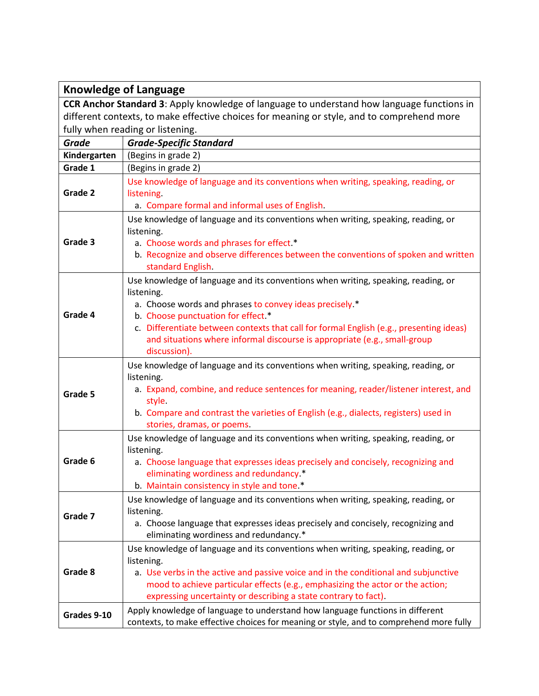| <b>Knowledge of Language</b>                                                               |                                                                                                                                                                                                                                                                                                                                                                                          |
|--------------------------------------------------------------------------------------------|------------------------------------------------------------------------------------------------------------------------------------------------------------------------------------------------------------------------------------------------------------------------------------------------------------------------------------------------------------------------------------------|
| CCR Anchor Standard 3: Apply knowledge of language to understand how language functions in |                                                                                                                                                                                                                                                                                                                                                                                          |
| different contexts, to make effective choices for meaning or style, and to comprehend more |                                                                                                                                                                                                                                                                                                                                                                                          |
|                                                                                            | fully when reading or listening.                                                                                                                                                                                                                                                                                                                                                         |
| <b>Grade</b>                                                                               | <b>Grade-Specific Standard</b>                                                                                                                                                                                                                                                                                                                                                           |
| Kindergarten                                                                               | (Begins in grade 2)                                                                                                                                                                                                                                                                                                                                                                      |
| Grade 1                                                                                    | (Begins in grade 2)                                                                                                                                                                                                                                                                                                                                                                      |
| Grade 2                                                                                    | Use knowledge of language and its conventions when writing, speaking, reading, or<br>listening.<br>a. Compare formal and informal uses of English.                                                                                                                                                                                                                                       |
| Grade 3                                                                                    | Use knowledge of language and its conventions when writing, speaking, reading, or<br>listening.<br>a. Choose words and phrases for effect.*<br>b. Recognize and observe differences between the conventions of spoken and written<br>standard English.                                                                                                                                   |
| Grade 4                                                                                    | Use knowledge of language and its conventions when writing, speaking, reading, or<br>listening.<br>a. Choose words and phrases to convey ideas precisely.*<br>b. Choose punctuation for effect.*<br>c. Differentiate between contexts that call for formal English (e.g., presenting ideas)<br>and situations where informal discourse is appropriate (e.g., small-group<br>discussion). |
| Grade 5                                                                                    | Use knowledge of language and its conventions when writing, speaking, reading, or<br>listening.<br>a. Expand, combine, and reduce sentences for meaning, reader/listener interest, and<br>style.<br>b. Compare and contrast the varieties of English (e.g., dialects, registers) used in<br>stories, dramas, or poems.                                                                   |
| Grade 6                                                                                    | Use knowledge of language and its conventions when writing, speaking, reading, or<br>listening.<br>a. Choose language that expresses ideas precisely and concisely, recognizing and<br>eliminating wordiness and redundancy.*<br>b. Maintain consistency in style and tone.*                                                                                                             |
| Grade 7                                                                                    | Use knowledge of language and its conventions when writing, speaking, reading, or<br>listening.<br>a. Choose language that expresses ideas precisely and concisely, recognizing and<br>eliminating wordiness and redundancy.*                                                                                                                                                            |
| Grade 8                                                                                    | Use knowledge of language and its conventions when writing, speaking, reading, or<br>listening.<br>a. Use verbs in the active and passive voice and in the conditional and subjunctive<br>mood to achieve particular effects (e.g., emphasizing the actor or the action;<br>expressing uncertainty or describing a state contrary to fact).                                              |
| Grades 9-10                                                                                | Apply knowledge of language to understand how language functions in different<br>contexts, to make effective choices for meaning or style, and to comprehend more fully                                                                                                                                                                                                                  |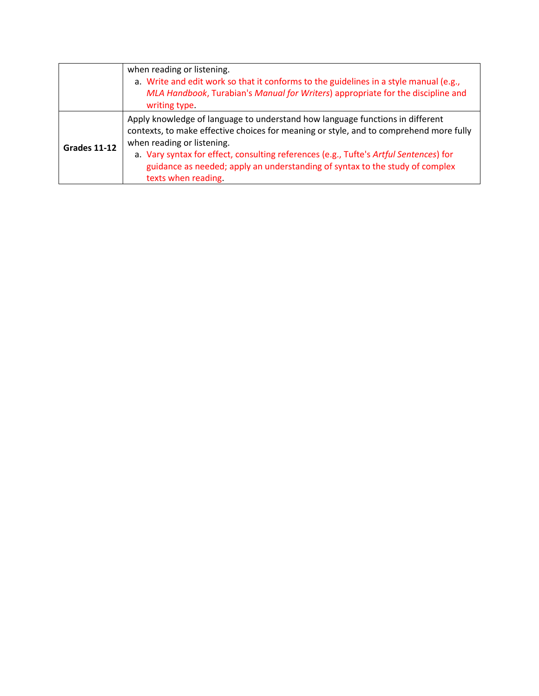|              | when reading or listening.<br>a. Write and edit work so that it conforms to the guidelines in a style manual (e.g.,<br>MLA Handbook, Turabian's Manual for Writers) appropriate for the discipline and<br>writing type.                                                                                                                                                                               |
|--------------|-------------------------------------------------------------------------------------------------------------------------------------------------------------------------------------------------------------------------------------------------------------------------------------------------------------------------------------------------------------------------------------------------------|
| Grades 11-12 | Apply knowledge of language to understand how language functions in different<br>contexts, to make effective choices for meaning or style, and to comprehend more fully<br>when reading or listening.<br>a. Vary syntax for effect, consulting references (e.g., Tufte's Artful Sentences) for<br>guidance as needed; apply an understanding of syntax to the study of complex<br>texts when reading. |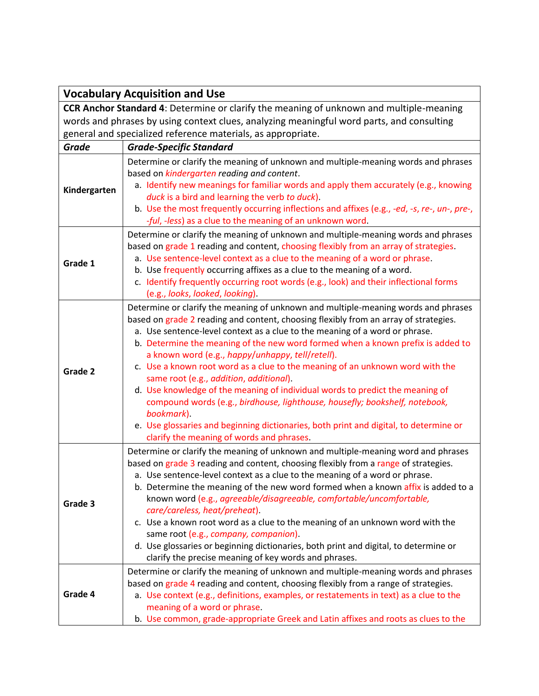|                                                                                                | <b>Vocabulary Acquisition and Use</b>                                                                                                                                      |  |
|------------------------------------------------------------------------------------------------|----------------------------------------------------------------------------------------------------------------------------------------------------------------------------|--|
| <b>CCR Anchor Standard 4:</b> Determine or clarify the meaning of unknown and multiple-meaning |                                                                                                                                                                            |  |
| words and phrases by using context clues, analyzing meaningful word parts, and consulting      |                                                                                                                                                                            |  |
|                                                                                                | general and specialized reference materials, as appropriate.                                                                                                               |  |
| <b>Grade</b>                                                                                   | <b>Grade-Specific Standard</b>                                                                                                                                             |  |
|                                                                                                | Determine or clarify the meaning of unknown and multiple-meaning words and phrases                                                                                         |  |
|                                                                                                | based on kindergarten reading and content.                                                                                                                                 |  |
| Kindergarten                                                                                   | a. Identify new meanings for familiar words and apply them accurately (e.g., knowing                                                                                       |  |
|                                                                                                | duck is a bird and learning the verb to duck).                                                                                                                             |  |
|                                                                                                | b. Use the most frequently occurring inflections and affixes (e.g., -ed, -s, re-, un-, pre-,                                                                               |  |
|                                                                                                | -ful, -less) as a clue to the meaning of an unknown word.                                                                                                                  |  |
|                                                                                                | Determine or clarify the meaning of unknown and multiple-meaning words and phrases<br>based on grade 1 reading and content, choosing flexibly from an array of strategies. |  |
|                                                                                                | a. Use sentence-level context as a clue to the meaning of a word or phrase.                                                                                                |  |
| Grade 1                                                                                        | b. Use frequently occurring affixes as a clue to the meaning of a word.                                                                                                    |  |
|                                                                                                | c. Identify frequently occurring root words (e.g., look) and their inflectional forms                                                                                      |  |
|                                                                                                | (e.g., looks, looked, looking).                                                                                                                                            |  |
|                                                                                                | Determine or clarify the meaning of unknown and multiple-meaning words and phrases                                                                                         |  |
|                                                                                                | based on grade 2 reading and content, choosing flexibly from an array of strategies.                                                                                       |  |
|                                                                                                | a. Use sentence-level context as a clue to the meaning of a word or phrase.                                                                                                |  |
|                                                                                                | b. Determine the meaning of the new word formed when a known prefix is added to                                                                                            |  |
|                                                                                                | a known word (e.g., happy/unhappy, tell/retell).                                                                                                                           |  |
| Grade 2                                                                                        | c. Use a known root word as a clue to the meaning of an unknown word with the                                                                                              |  |
|                                                                                                | same root (e.g., addition, additional).<br>d. Use knowledge of the meaning of individual words to predict the meaning of                                                   |  |
|                                                                                                | compound words (e.g., birdhouse, lighthouse, housefly; bookshelf, notebook,                                                                                                |  |
|                                                                                                | bookmark).                                                                                                                                                                 |  |
|                                                                                                | e. Use glossaries and beginning dictionaries, both print and digital, to determine or                                                                                      |  |
|                                                                                                | clarify the meaning of words and phrases.                                                                                                                                  |  |
|                                                                                                | Determine or clarify the meaning of unknown and multiple-meaning word and phrases                                                                                          |  |
|                                                                                                | based on grade 3 reading and content, choosing flexibly from a range of strategies.                                                                                        |  |
|                                                                                                | a. Use sentence-level context as a clue to the meaning of a word or phrase.                                                                                                |  |
|                                                                                                | b. Determine the meaning of the new word formed when a known affix is added to a                                                                                           |  |
| Grade 3                                                                                        | known word (e.g., agreeable/disagreeable, comfortable/uncomfortable,                                                                                                       |  |
|                                                                                                | care/careless, heat/preheat).                                                                                                                                              |  |
|                                                                                                | c. Use a known root word as a clue to the meaning of an unknown word with the<br>same root (e.g., company, companion).                                                     |  |
|                                                                                                | d. Use glossaries or beginning dictionaries, both print and digital, to determine or                                                                                       |  |
|                                                                                                | clarify the precise meaning of key words and phrases.                                                                                                                      |  |
|                                                                                                | Determine or clarify the meaning of unknown and multiple-meaning words and phrases                                                                                         |  |
|                                                                                                | based on grade 4 reading and content, choosing flexibly from a range of strategies.                                                                                        |  |
| Grade 4                                                                                        | a. Use context (e.g., definitions, examples, or restatements in text) as a clue to the                                                                                     |  |
|                                                                                                | meaning of a word or phrase.                                                                                                                                               |  |
|                                                                                                | b. Use common, grade-appropriate Greek and Latin affixes and roots as clues to the                                                                                         |  |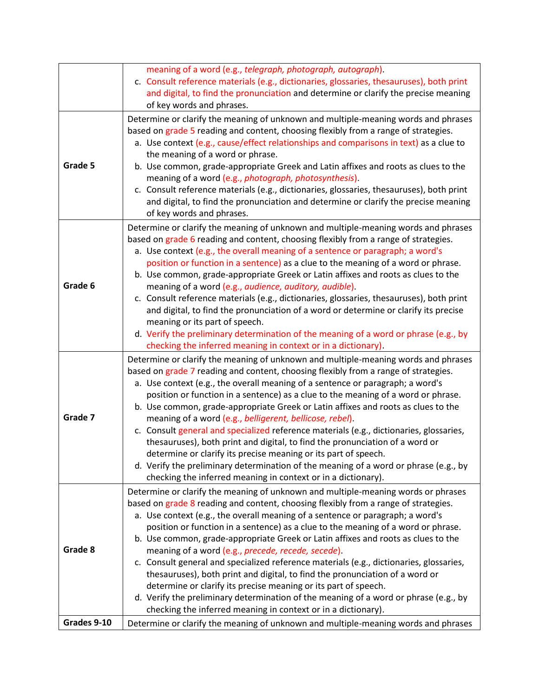|             | meaning of a word (e.g., telegraph, photograph, autograph).<br>c. Consult reference materials (e.g., dictionaries, glossaries, thesauruses), both print<br>and digital, to find the pronunciation and determine or clarify the precise meaning                                                                                                                                                                                                                                                                                                                                                                                                                                                                                                                                                                                                                                                           |
|-------------|----------------------------------------------------------------------------------------------------------------------------------------------------------------------------------------------------------------------------------------------------------------------------------------------------------------------------------------------------------------------------------------------------------------------------------------------------------------------------------------------------------------------------------------------------------------------------------------------------------------------------------------------------------------------------------------------------------------------------------------------------------------------------------------------------------------------------------------------------------------------------------------------------------|
| Grade 5     | of key words and phrases.<br>Determine or clarify the meaning of unknown and multiple-meaning words and phrases<br>based on grade 5 reading and content, choosing flexibly from a range of strategies.<br>a. Use context (e.g., cause/effect relationships and comparisons in text) as a clue to<br>the meaning of a word or phrase.<br>b. Use common, grade-appropriate Greek and Latin affixes and roots as clues to the<br>meaning of a word (e.g., photograph, photosynthesis).<br>c. Consult reference materials (e.g., dictionaries, glossaries, thesauruses), both print<br>and digital, to find the pronunciation and determine or clarify the precise meaning<br>of key words and phrases.                                                                                                                                                                                                      |
| Grade 6     | Determine or clarify the meaning of unknown and multiple-meaning words and phrases<br>based on grade 6 reading and content, choosing flexibly from a range of strategies.<br>a. Use context (e.g., the overall meaning of a sentence or paragraph; a word's<br>position or function in a sentence) as a clue to the meaning of a word or phrase.<br>b. Use common, grade-appropriate Greek or Latin affixes and roots as clues to the<br>meaning of a word (e.g., audience, auditory, audible).<br>c. Consult reference materials (e.g., dictionaries, glossaries, thesauruses), both print<br>and digital, to find the pronunciation of a word or determine or clarify its precise<br>meaning or its part of speech.<br>d. Verify the preliminary determination of the meaning of a word or phrase (e.g., by<br>checking the inferred meaning in context or in a dictionary).                           |
| Grade 7     | Determine or clarify the meaning of unknown and multiple-meaning words and phrases<br>based on grade 7 reading and content, choosing flexibly from a range of strategies.<br>a. Use context (e.g., the overall meaning of a sentence or paragraph; a word's<br>position or function in a sentence) as a clue to the meaning of a word or phrase.<br>b. Use common, grade-appropriate Greek or Latin affixes and roots as clues to the<br>meaning of a word (e.g., belligerent, bellicose, rebel).<br>c. Consult general and specialized reference materials (e.g., dictionaries, glossaries,<br>thesauruses), both print and digital, to find the pronunciation of a word or<br>determine or clarify its precise meaning or its part of speech.<br>d. Verify the preliminary determination of the meaning of a word or phrase (e.g., by<br>checking the inferred meaning in context or in a dictionary). |
| Grade 8     | Determine or clarify the meaning of unknown and multiple-meaning words or phrases<br>based on grade 8 reading and content, choosing flexibly from a range of strategies.<br>a. Use context (e.g., the overall meaning of a sentence or paragraph; a word's<br>position or function in a sentence) as a clue to the meaning of a word or phrase.<br>b. Use common, grade-appropriate Greek or Latin affixes and roots as clues to the<br>meaning of a word (e.g., precede, recede, secede).<br>c. Consult general and specialized reference materials (e.g., dictionaries, glossaries,<br>thesauruses), both print and digital, to find the pronunciation of a word or<br>determine or clarify its precise meaning or its part of speech.<br>d. Verify the preliminary determination of the meaning of a word or phrase (e.g., by<br>checking the inferred meaning in context or in a dictionary).        |
| Grades 9-10 | Determine or clarify the meaning of unknown and multiple-meaning words and phrases                                                                                                                                                                                                                                                                                                                                                                                                                                                                                                                                                                                                                                                                                                                                                                                                                       |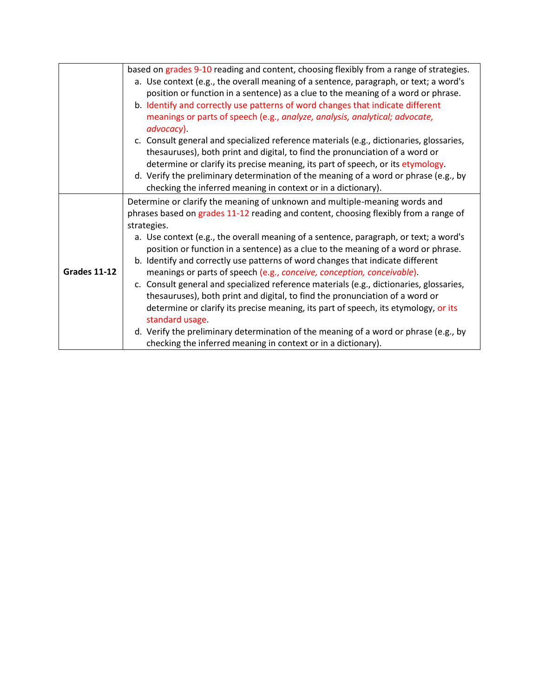|                     | based on grades 9-10 reading and content, choosing flexibly from a range of strategies. |
|---------------------|-----------------------------------------------------------------------------------------|
|                     | a. Use context (e.g., the overall meaning of a sentence, paragraph, or text; a word's   |
|                     | position or function in a sentence) as a clue to the meaning of a word or phrase.       |
|                     | b. Identify and correctly use patterns of word changes that indicate different          |
|                     | meanings or parts of speech (e.g., analyze, analysis, analytical; advocate,             |
|                     | advocacy).                                                                              |
|                     | c. Consult general and specialized reference materials (e.g., dictionaries, glossaries, |
|                     | thesauruses), both print and digital, to find the pronunciation of a word or            |
|                     | determine or clarify its precise meaning, its part of speech, or its etymology.         |
|                     | d. Verify the preliminary determination of the meaning of a word or phrase (e.g., by    |
|                     | checking the inferred meaning in context or in a dictionary).                           |
|                     | Determine or clarify the meaning of unknown and multiple-meaning words and              |
|                     | phrases based on grades 11-12 reading and content, choosing flexibly from a range of    |
|                     | strategies.                                                                             |
|                     | a. Use context (e.g., the overall meaning of a sentence, paragraph, or text; a word's   |
|                     | position or function in a sentence) as a clue to the meaning of a word or phrase.       |
|                     | b. Identify and correctly use patterns of word changes that indicate different          |
| <b>Grades 11-12</b> | meanings or parts of speech (e.g., conceive, conception, conceivable).                  |
|                     | c. Consult general and specialized reference materials (e.g., dictionaries, glossaries, |
|                     | thesauruses), both print and digital, to find the pronunciation of a word or            |
|                     | determine or clarify its precise meaning, its part of speech, its etymology, or its     |
|                     | standard usage.                                                                         |
|                     | d. Verify the preliminary determination of the meaning of a word or phrase (e.g., by    |
|                     | checking the inferred meaning in context or in a dictionary).                           |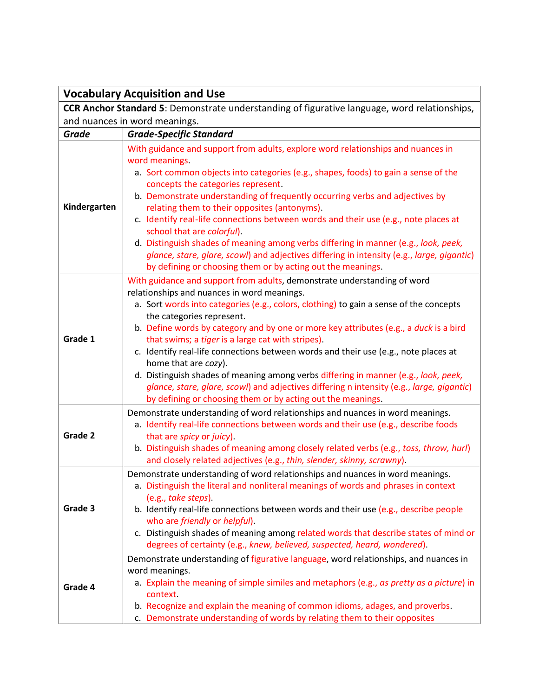| <b>Vocabulary Acquisition and Use</b>                                                                |                                                                                                                                                                                                                                                                                                                                                                                                                                                                                                                                                                                                                                                                                                                                                                |
|------------------------------------------------------------------------------------------------------|----------------------------------------------------------------------------------------------------------------------------------------------------------------------------------------------------------------------------------------------------------------------------------------------------------------------------------------------------------------------------------------------------------------------------------------------------------------------------------------------------------------------------------------------------------------------------------------------------------------------------------------------------------------------------------------------------------------------------------------------------------------|
| <b>CCR Anchor Standard 5</b> : Demonstrate understanding of figurative language, word relationships, |                                                                                                                                                                                                                                                                                                                                                                                                                                                                                                                                                                                                                                                                                                                                                                |
| and nuances in word meanings.                                                                        |                                                                                                                                                                                                                                                                                                                                                                                                                                                                                                                                                                                                                                                                                                                                                                |
| <b>Grade</b>                                                                                         | <b>Grade-Specific Standard</b>                                                                                                                                                                                                                                                                                                                                                                                                                                                                                                                                                                                                                                                                                                                                 |
| Kindergarten                                                                                         | With guidance and support from adults, explore word relationships and nuances in<br>word meanings.<br>a. Sort common objects into categories (e.g., shapes, foods) to gain a sense of the<br>concepts the categories represent.<br>b. Demonstrate understanding of frequently occurring verbs and adjectives by<br>relating them to their opposites (antonyms).<br>c. Identify real-life connections between words and their use (e.g., note places at<br>school that are colorful).<br>d. Distinguish shades of meaning among verbs differing in manner (e.g., look, peek,<br>glance, stare, glare, scowl) and adjectives differing in intensity (e.g., large, gigantic)<br>by defining or choosing them or by acting out the meanings.                       |
| Grade 1                                                                                              | With guidance and support from adults, demonstrate understanding of word<br>relationships and nuances in word meanings.<br>a. Sort words into categories (e.g., colors, clothing) to gain a sense of the concepts<br>the categories represent.<br>b. Define words by category and by one or more key attributes (e.g., a duck is a bird<br>that swims; a tiger is a large cat with stripes).<br>c. Identify real-life connections between words and their use (e.g., note places at<br>home that are cozy).<br>d. Distinguish shades of meaning among verbs differing in manner (e.g., look, peek,<br>glance, stare, glare, scowl) and adjectives differing n intensity (e.g., large, gigantic)<br>by defining or choosing them or by acting out the meanings. |
| Grade 2                                                                                              | Demonstrate understanding of word relationships and nuances in word meanings.<br>a. Identify real-life connections between words and their use (e.g., describe foods<br>that are spicy or juicy).<br>b. Distinguish shades of meaning among closely related verbs (e.g., toss, throw, hurl)<br>and closely related adjectives (e.g., thin, slender, skinny, scrawny).                                                                                                                                                                                                                                                                                                                                                                                          |
| Grade 3                                                                                              | Demonstrate understanding of word relationships and nuances in word meanings.<br>a. Distinguish the literal and nonliteral meanings of words and phrases in context<br>(e.g., take steps).<br>b. Identify real-life connections between words and their use (e.g., describe people<br>who are friendly or helpful).<br>c. Distinguish shades of meaning among related words that describe states of mind or<br>degrees of certainty (e.g., knew, believed, suspected, heard, wondered).                                                                                                                                                                                                                                                                        |
| Grade 4                                                                                              | Demonstrate understanding of figurative language, word relationships, and nuances in<br>word meanings.<br>a. Explain the meaning of simple similes and metaphors (e.g., as pretty as a picture) in<br>context.<br>b. Recognize and explain the meaning of common idioms, adages, and proverbs.<br>c. Demonstrate understanding of words by relating them to their opposites                                                                                                                                                                                                                                                                                                                                                                                    |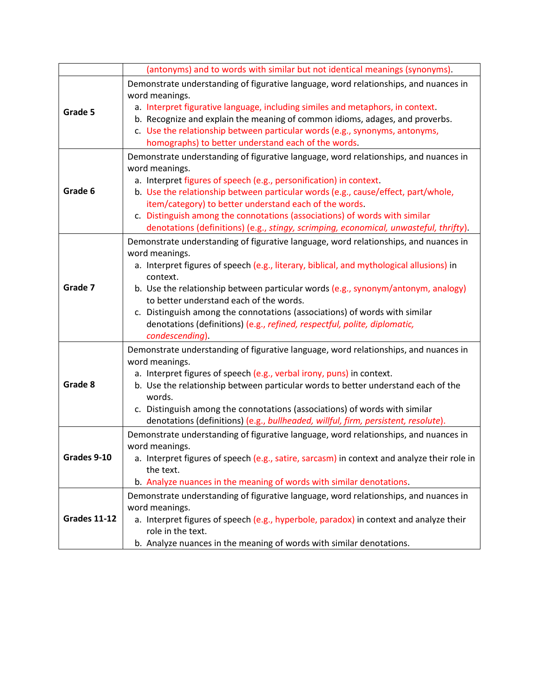|                     | (antonyms) and to words with similar but not identical meanings (synonyms).                                                                                                                                                                                                                                                                                                                                                                                                                                                  |
|---------------------|------------------------------------------------------------------------------------------------------------------------------------------------------------------------------------------------------------------------------------------------------------------------------------------------------------------------------------------------------------------------------------------------------------------------------------------------------------------------------------------------------------------------------|
| Grade 5             | Demonstrate understanding of figurative language, word relationships, and nuances in<br>word meanings.<br>a. Interpret figurative language, including similes and metaphors, in context.<br>b. Recognize and explain the meaning of common idioms, adages, and proverbs.<br>c. Use the relationship between particular words (e.g., synonyms, antonyms,<br>homographs) to better understand each of the words.                                                                                                               |
| Grade 6             | Demonstrate understanding of figurative language, word relationships, and nuances in<br>word meanings.<br>a. Interpret figures of speech (e.g., personification) in context.<br>b. Use the relationship between particular words (e.g., cause/effect, part/whole,<br>item/category) to better understand each of the words.<br>c. Distinguish among the connotations (associations) of words with similar<br>denotations (definitions) (e.g., stingy, scrimping, economical, unwasteful, thrifty).                           |
| Grade 7             | Demonstrate understanding of figurative language, word relationships, and nuances in<br>word meanings.<br>a. Interpret figures of speech (e.g., literary, biblical, and mythological allusions) in<br>context.<br>b. Use the relationship between particular words (e.g., synonym/antonym, analogy)<br>to better understand each of the words.<br>c. Distinguish among the connotations (associations) of words with similar<br>denotations (definitions) (e.g., refined, respectful, polite, diplomatic,<br>condescending). |
| Grade 8             | Demonstrate understanding of figurative language, word relationships, and nuances in<br>word meanings.<br>a. Interpret figures of speech (e.g., verbal irony, puns) in context.<br>b. Use the relationship between particular words to better understand each of the<br>words.<br>c. Distinguish among the connotations (associations) of words with similar<br>denotations (definitions) (e.g., bullheaded, willful, firm, persistent, resolute).                                                                           |
| Grades 9-10         | Demonstrate understanding of figurative language, word relationships, and nuances in<br>word meanings.<br>a. Interpret figures of speech (e.g., satire, sarcasm) in context and analyze their role in<br>the text.<br>b. Analyze nuances in the meaning of words with similar denotations.                                                                                                                                                                                                                                   |
| <b>Grades 11-12</b> | Demonstrate understanding of figurative language, word relationships, and nuances in<br>word meanings.<br>a. Interpret figures of speech (e.g., hyperbole, paradox) in context and analyze their<br>role in the text.<br>b. Analyze nuances in the meaning of words with similar denotations.                                                                                                                                                                                                                                |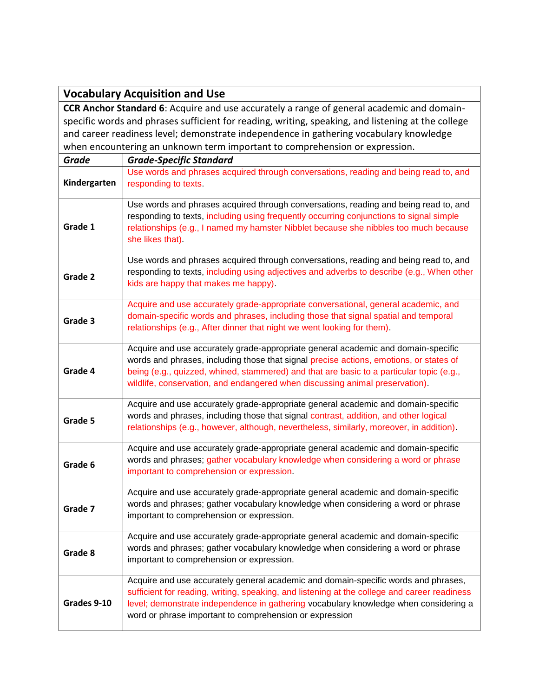| <b>Vocabulary Acquisition and Use</b>                                                              |                                                                                                                                                                                                                                                                                                                                                         |  |
|----------------------------------------------------------------------------------------------------|---------------------------------------------------------------------------------------------------------------------------------------------------------------------------------------------------------------------------------------------------------------------------------------------------------------------------------------------------------|--|
| <b>CCR Anchor Standard 6:</b> Acquire and use accurately a range of general academic and domain-   |                                                                                                                                                                                                                                                                                                                                                         |  |
| specific words and phrases sufficient for reading, writing, speaking, and listening at the college |                                                                                                                                                                                                                                                                                                                                                         |  |
| and career readiness level; demonstrate independence in gathering vocabulary knowledge             |                                                                                                                                                                                                                                                                                                                                                         |  |
| when encountering an unknown term important to comprehension or expression.                        |                                                                                                                                                                                                                                                                                                                                                         |  |
| <b>Grade</b>                                                                                       | <b>Grade-Specific Standard</b>                                                                                                                                                                                                                                                                                                                          |  |
| Kindergarten                                                                                       | Use words and phrases acquired through conversations, reading and being read to, and<br>responding to texts.                                                                                                                                                                                                                                            |  |
| Grade 1                                                                                            | Use words and phrases acquired through conversations, reading and being read to, and<br>responding to texts, including using frequently occurring conjunctions to signal simple<br>relationships (e.g., I named my hamster Nibblet because she nibbles too much because<br>she likes that).                                                             |  |
| Grade 2                                                                                            | Use words and phrases acquired through conversations, reading and being read to, and<br>responding to texts, including using adjectives and adverbs to describe (e.g., When other<br>kids are happy that makes me happy).                                                                                                                               |  |
| Grade 3                                                                                            | Acquire and use accurately grade-appropriate conversational, general academic, and<br>domain-specific words and phrases, including those that signal spatial and temporal<br>relationships (e.g., After dinner that night we went looking for them).                                                                                                    |  |
| Grade 4                                                                                            | Acquire and use accurately grade-appropriate general academic and domain-specific<br>words and phrases, including those that signal precise actions, emotions, or states of<br>being (e.g., quizzed, whined, stammered) and that are basic to a particular topic (e.g.,<br>wildlife, conservation, and endangered when discussing animal preservation). |  |
| Grade 5                                                                                            | Acquire and use accurately grade-appropriate general academic and domain-specific<br>words and phrases, including those that signal contrast, addition, and other logical<br>relationships (e.g., however, although, nevertheless, similarly, moreover, in addition).                                                                                   |  |
| Grade 6                                                                                            | Acquire and use accurately grade-appropriate general academic and domain-specific<br>words and phrases; gather vocabulary knowledge when considering a word or phrase<br>important to comprehension or expression.                                                                                                                                      |  |
| Grade 7                                                                                            | Acquire and use accurately grade-appropriate general academic and domain-specific<br>words and phrases; gather vocabulary knowledge when considering a word or phrase<br>important to comprehension or expression.                                                                                                                                      |  |
| Grade 8                                                                                            | Acquire and use accurately grade-appropriate general academic and domain-specific<br>words and phrases; gather vocabulary knowledge when considering a word or phrase<br>important to comprehension or expression.                                                                                                                                      |  |
| Grades 9-10                                                                                        | Acquire and use accurately general academic and domain-specific words and phrases,<br>sufficient for reading, writing, speaking, and listening at the college and career readiness<br>level; demonstrate independence in gathering vocabulary knowledge when considering a<br>word or phrase important to comprehension or expression                   |  |